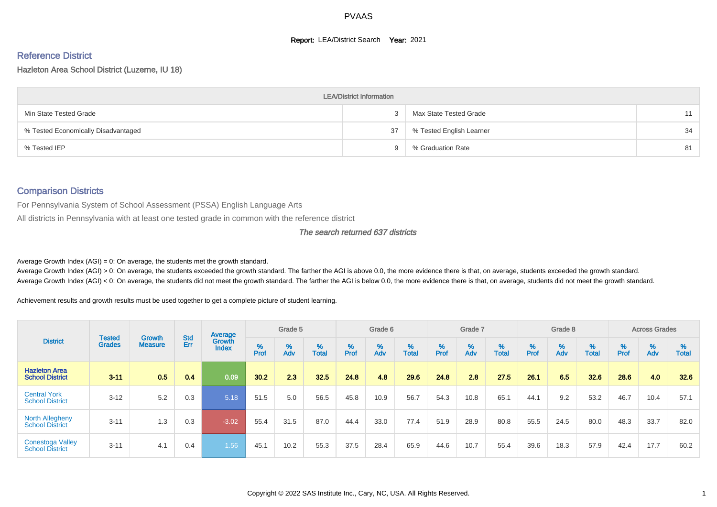#### **Report: LEA/District Search Year: 2021**

# Reference District

Hazleton Area School District (Luzerne, IU 18)

|                                     | <b>LEA/District Information</b> |                          |    |
|-------------------------------------|---------------------------------|--------------------------|----|
| Min State Tested Grade              |                                 | Max State Tested Grade   | 11 |
| % Tested Economically Disadvantaged | 37                              | % Tested English Learner | 34 |
| % Tested IEP                        |                                 | % Graduation Rate        | 81 |

#### Comparison Districts

For Pennsylvania System of School Assessment (PSSA) English Language Arts

All districts in Pennsylvania with at least one tested grade in common with the reference district

#### The search returned 637 districts

Average Growth Index  $(AGI) = 0$ : On average, the students met the growth standard.

Average Growth Index (AGI) > 0: On average, the students exceeded the growth standard. The farther the AGI is above 0.0, the more evidence there is that, on average, students exceeded the growth standard. Average Growth Index (AGI) < 0: On average, the students did not meet the growth standard. The farther the AGI is below 0.0, the more evidence there is that, on average, students did not meet the growth standard.

Achievement results and growth results must be used together to get a complete picture of student learning.

|                                                   |                                |                                 |                   | Average                       |                    | Grade 5  |                   |        | Grade 6  |                   |           | Grade 7  |                   |           | Grade 8  |                   |        | <b>Across Grades</b> |                   |
|---------------------------------------------------|--------------------------------|---------------------------------|-------------------|-------------------------------|--------------------|----------|-------------------|--------|----------|-------------------|-----------|----------|-------------------|-----------|----------|-------------------|--------|----------------------|-------------------|
| <b>District</b>                                   | <b>Tested</b><br><b>Grades</b> | <b>Growth</b><br><b>Measure</b> | <b>Std</b><br>Err | <b>Growth</b><br><b>Index</b> | $% P_{\text{ref}}$ | %<br>Adv | %<br><b>Total</b> | % Pref | %<br>Adv | %<br><b>Total</b> | %<br>Prof | %<br>Adv | %<br><b>Total</b> | %<br>Prof | %<br>Adv | %<br><b>Total</b> | % Pref | %<br>Adv             | %<br><b>Total</b> |
| <b>Hazleton Area</b><br><b>School District</b>    | $3 - 11$                       | 0.5                             | 0.4               | 0.09                          | 30.2               | 2.3      | 32.5              | 24.8   | 4.8      | 29.6              | 24.8      | 2.8      | 27.5              | 26.1      | 6.5      | 32.6              | 28.6   | 4.0                  | 32.6              |
| <b>Central York</b><br><b>School District</b>     | $3 - 12$                       | 5.2                             | 0.3               | 5.18                          | 51.5               | 5.0      | 56.5              | 45.8   | 10.9     | 56.7              | 54.3      | 10.8     | 65.1              | 44.1      | 9.2      | 53.2              | 46.7   | 10.4                 | 57.1              |
| <b>North Allegheny</b><br><b>School District</b>  | $3 - 11$                       | 1.3                             | 0.3               | $-3.02$                       | 55.4               | 31.5     | 87.0              | 44.4   | 33.0     | 77.4              | 51.9      | 28.9     | 80.8              | 55.5      | 24.5     | 80.0              | 48.3   | 33.7                 | 82.0              |
| <b>Conestoga Valley</b><br><b>School District</b> | $3 - 11$                       | 4.1                             | 0.4               | 1.56                          | 45.1               | 10.2     | 55.3              | 37.5   | 28.4     | 65.9              | 44.6      | 10.7     | 55.4              | 39.6      | 18.3     | 57.9              | 42.4   | 17.7                 | 60.2              |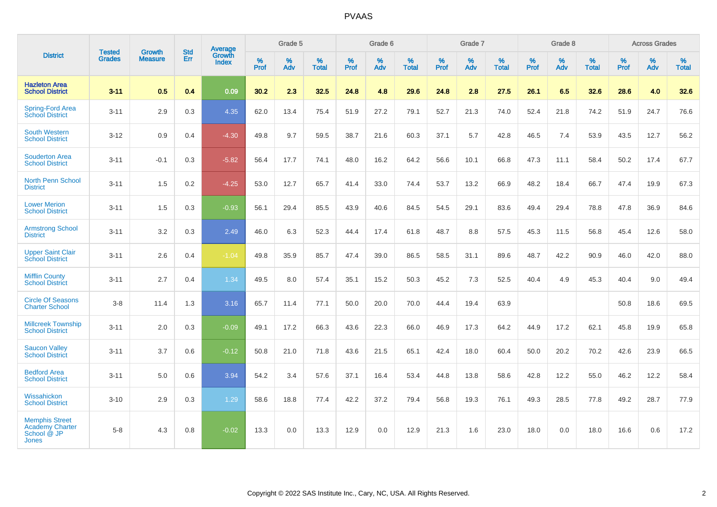| <b>District</b>                                                                | <b>Tested</b> | <b>Growth</b>  | <b>Std</b> | <b>Average</b>  |           | Grade 5  |                   |                  | Grade 6  |                   |           | Grade 7  |                   |                  | Grade 8  |                   |                  | <b>Across Grades</b> |                   |
|--------------------------------------------------------------------------------|---------------|----------------|------------|-----------------|-----------|----------|-------------------|------------------|----------|-------------------|-----------|----------|-------------------|------------------|----------|-------------------|------------------|----------------------|-------------------|
|                                                                                | <b>Grades</b> | <b>Measure</b> | Err        | Growth<br>Index | %<br>Prof | %<br>Adv | %<br><b>Total</b> | %<br><b>Prof</b> | %<br>Adv | %<br><b>Total</b> | %<br>Prof | %<br>Adv | %<br><b>Total</b> | %<br><b>Prof</b> | %<br>Adv | %<br><b>Total</b> | %<br><b>Prof</b> | %<br>Adv             | %<br><b>Total</b> |
| <b>Hazleton Area</b><br><b>School District</b>                                 | $3 - 11$      | 0.5            | 0.4        | 0.09            | 30.2      | 2.3      | 32.5              | 24.8             | 4.8      | 29.6              | 24.8      | 2.8      | 27.5              | 26.1             | 6.5      | 32.6              | 28.6             | 4.0                  | 32.6              |
| <b>Spring-Ford Area</b><br><b>School District</b>                              | $3 - 11$      | 2.9            | 0.3        | 4.35            | 62.0      | 13.4     | 75.4              | 51.9             | 27.2     | 79.1              | 52.7      | 21.3     | 74.0              | 52.4             | 21.8     | 74.2              | 51.9             | 24.7                 | 76.6              |
| <b>South Western</b><br><b>School District</b>                                 | $3 - 12$      | 0.9            | 0.4        | $-4.30$         | 49.8      | 9.7      | 59.5              | 38.7             | 21.6     | 60.3              | 37.1      | 5.7      | 42.8              | 46.5             | 7.4      | 53.9              | 43.5             | 12.7                 | 56.2              |
| <b>Souderton Area</b><br><b>School District</b>                                | $3 - 11$      | $-0.1$         | 0.3        | $-5.82$         | 56.4      | 17.7     | 74.1              | 48.0             | 16.2     | 64.2              | 56.6      | 10.1     | 66.8              | 47.3             | 11.1     | 58.4              | 50.2             | 17.4                 | 67.7              |
| <b>North Penn School</b><br><b>District</b>                                    | $3 - 11$      | 1.5            | 0.2        | $-4.25$         | 53.0      | 12.7     | 65.7              | 41.4             | 33.0     | 74.4              | 53.7      | 13.2     | 66.9              | 48.2             | 18.4     | 66.7              | 47.4             | 19.9                 | 67.3              |
| <b>Lower Merion</b><br><b>School District</b>                                  | $3 - 11$      | 1.5            | 0.3        | $-0.93$         | 56.1      | 29.4     | 85.5              | 43.9             | 40.6     | 84.5              | 54.5      | 29.1     | 83.6              | 49.4             | 29.4     | 78.8              | 47.8             | 36.9                 | 84.6              |
| <b>Armstrong School</b><br><b>District</b>                                     | $3 - 11$      | 3.2            | 0.3        | 2.49            | 46.0      | 6.3      | 52.3              | 44.4             | 17.4     | 61.8              | 48.7      | 8.8      | 57.5              | 45.3             | 11.5     | 56.8              | 45.4             | 12.6                 | 58.0              |
| <b>Upper Saint Clair</b><br><b>School District</b>                             | $3 - 11$      | 2.6            | 0.4        | $-1.04$         | 49.8      | 35.9     | 85.7              | 47.4             | 39.0     | 86.5              | 58.5      | 31.1     | 89.6              | 48.7             | 42.2     | 90.9              | 46.0             | 42.0                 | 88.0              |
| <b>Mifflin County</b><br><b>School District</b>                                | $3 - 11$      | 2.7            | 0.4        | 1.34            | 49.5      | 8.0      | 57.4              | 35.1             | 15.2     | 50.3              | 45.2      | 7.3      | 52.5              | 40.4             | 4.9      | 45.3              | 40.4             | 9.0                  | 49.4              |
| <b>Circle Of Seasons</b><br><b>Charter School</b>                              | $3 - 8$       | 11.4           | 1.3        | 3.16            | 65.7      | 11.4     | 77.1              | 50.0             | 20.0     | 70.0              | 44.4      | 19.4     | 63.9              |                  |          |                   | 50.8             | 18.6                 | 69.5              |
| <b>Millcreek Township</b><br><b>School District</b>                            | $3 - 11$      | 2.0            | 0.3        | $-0.09$         | 49.1      | 17.2     | 66.3              | 43.6             | 22.3     | 66.0              | 46.9      | 17.3     | 64.2              | 44.9             | 17.2     | 62.1              | 45.8             | 19.9                 | 65.8              |
| <b>Saucon Valley</b><br><b>School District</b>                                 | $3 - 11$      | 3.7            | 0.6        | $-0.12$         | 50.8      | 21.0     | 71.8              | 43.6             | 21.5     | 65.1              | 42.4      | 18.0     | 60.4              | 50.0             | 20.2     | 70.2              | 42.6             | 23.9                 | 66.5              |
| <b>Bedford Area</b><br><b>School District</b>                                  | $3 - 11$      | 5.0            | 0.6        | 3.94            | 54.2      | 3.4      | 57.6              | 37.1             | 16.4     | 53.4              | 44.8      | 13.8     | 58.6              | 42.8             | 12.2     | 55.0              | 46.2             | 12.2                 | 58.4              |
| Wissahickon<br><b>School District</b>                                          | $3 - 10$      | 2.9            | 0.3        | 1.29            | 58.6      | 18.8     | 77.4              | 42.2             | 37.2     | 79.4              | 56.8      | 19.3     | 76.1              | 49.3             | 28.5     | 77.8              | 49.2             | 28.7                 | 77.9              |
| <b>Memphis Street</b><br><b>Academy Charter</b><br>School @ JP<br><b>Jones</b> | $5 - 8$       | 4.3            | 0.8        | $-0.02$         | 13.3      | 0.0      | 13.3              | 12.9             | 0.0      | 12.9              | 21.3      | 1.6      | 23.0              | 18.0             | 0.0      | 18.0              | 16.6             | 0.6                  | 17.2              |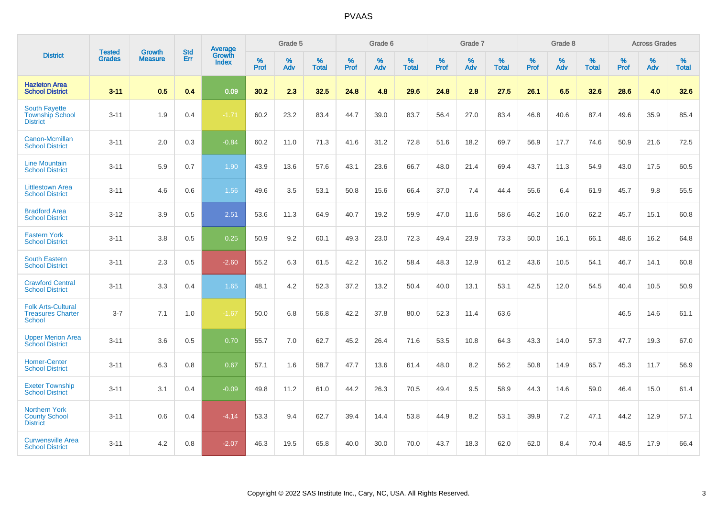|                                                                        | <b>Tested</b> | <b>Growth</b>  | <b>Std</b> | Average                       |           | Grade 5  |                   |           | Grade 6  |                   |           | Grade 7  |                   |           | Grade 8  |                   |           | <b>Across Grades</b> |                   |
|------------------------------------------------------------------------|---------------|----------------|------------|-------------------------------|-----------|----------|-------------------|-----------|----------|-------------------|-----------|----------|-------------------|-----------|----------|-------------------|-----------|----------------------|-------------------|
| <b>District</b>                                                        | <b>Grades</b> | <b>Measure</b> | Err        | <b>Growth</b><br><b>Index</b> | %<br>Prof | %<br>Adv | %<br><b>Total</b> | %<br>Prof | %<br>Adv | %<br><b>Total</b> | %<br>Prof | %<br>Adv | %<br><b>Total</b> | %<br>Prof | %<br>Adv | %<br><b>Total</b> | %<br>Prof | %<br>Adv             | %<br><b>Total</b> |
| <b>Hazleton Area</b><br><b>School District</b>                         | $3 - 11$      | 0.5            | 0.4        | 0.09                          | 30.2      | 2.3      | 32.5              | 24.8      | 4.8      | 29.6              | 24.8      | 2.8      | 27.5              | 26.1      | 6.5      | 32.6              | 28.6      | 4.0                  | 32.6              |
| <b>South Fayette</b><br><b>Township School</b><br><b>District</b>      | $3 - 11$      | 1.9            | 0.4        | $-1.71$                       | 60.2      | 23.2     | 83.4              | 44.7      | 39.0     | 83.7              | 56.4      | 27.0     | 83.4              | 46.8      | 40.6     | 87.4              | 49.6      | 35.9                 | 85.4              |
| Canon-Mcmillan<br><b>School District</b>                               | $3 - 11$      | 2.0            | 0.3        | $-0.84$                       | 60.2      | 11.0     | 71.3              | 41.6      | 31.2     | 72.8              | 51.6      | 18.2     | 69.7              | 56.9      | 17.7     | 74.6              | 50.9      | 21.6                 | 72.5              |
| <b>Line Mountain</b><br><b>School District</b>                         | $3 - 11$      | 5.9            | 0.7        | 1.90                          | 43.9      | 13.6     | 57.6              | 43.1      | 23.6     | 66.7              | 48.0      | 21.4     | 69.4              | 43.7      | 11.3     | 54.9              | 43.0      | 17.5                 | 60.5              |
| <b>Littlestown Area</b><br><b>School District</b>                      | $3 - 11$      | 4.6            | 0.6        | 1.56                          | 49.6      | 3.5      | 53.1              | 50.8      | 15.6     | 66.4              | 37.0      | 7.4      | 44.4              | 55.6      | 6.4      | 61.9              | 45.7      | 9.8                  | 55.5              |
| <b>Bradford Area</b><br><b>School District</b>                         | $3 - 12$      | 3.9            | 0.5        | 2.51                          | 53.6      | 11.3     | 64.9              | 40.7      | 19.2     | 59.9              | 47.0      | 11.6     | 58.6              | 46.2      | 16.0     | 62.2              | 45.7      | 15.1                 | 60.8              |
| <b>Eastern York</b><br><b>School District</b>                          | $3 - 11$      | 3.8            | 0.5        | 0.25                          | 50.9      | 9.2      | 60.1              | 49.3      | 23.0     | 72.3              | 49.4      | 23.9     | 73.3              | 50.0      | 16.1     | 66.1              | 48.6      | 16.2                 | 64.8              |
| <b>South Eastern</b><br><b>School District</b>                         | $3 - 11$      | 2.3            | 0.5        | $-2.60$                       | 55.2      | 6.3      | 61.5              | 42.2      | 16.2     | 58.4              | 48.3      | 12.9     | 61.2              | 43.6      | 10.5     | 54.1              | 46.7      | 14.1                 | 60.8              |
| <b>Crawford Central</b><br><b>School District</b>                      | $3 - 11$      | 3.3            | 0.4        | 1.65                          | 48.1      | 4.2      | 52.3              | 37.2      | 13.2     | 50.4              | 40.0      | 13.1     | 53.1              | 42.5      | 12.0     | 54.5              | 40.4      | 10.5                 | 50.9              |
| <b>Folk Arts-Cultural</b><br><b>Treasures Charter</b><br><b>School</b> | $3 - 7$       | 7.1            | 1.0        | $-1.67$                       | 50.0      | 6.8      | 56.8              | 42.2      | 37.8     | 80.0              | 52.3      | 11.4     | 63.6              |           |          |                   | 46.5      | 14.6                 | 61.1              |
| <b>Upper Merion Area</b><br><b>School District</b>                     | $3 - 11$      | 3.6            | 0.5        | 0.70                          | 55.7      | 7.0      | 62.7              | 45.2      | 26.4     | 71.6              | 53.5      | 10.8     | 64.3              | 43.3      | 14.0     | 57.3              | 47.7      | 19.3                 | 67.0              |
| <b>Homer-Center</b><br><b>School District</b>                          | $3 - 11$      | 6.3            | 0.8        | 0.67                          | 57.1      | 1.6      | 58.7              | 47.7      | 13.6     | 61.4              | 48.0      | 8.2      | 56.2              | 50.8      | 14.9     | 65.7              | 45.3      | 11.7                 | 56.9              |
| <b>Exeter Township</b><br><b>School District</b>                       | $3 - 11$      | 3.1            | 0.4        | $-0.09$                       | 49.8      | 11.2     | 61.0              | 44.2      | 26.3     | 70.5              | 49.4      | 9.5      | 58.9              | 44.3      | 14.6     | 59.0              | 46.4      | 15.0                 | 61.4              |
| <b>Northern York</b><br><b>County School</b><br><b>District</b>        | $3 - 11$      | 0.6            | 0.4        | $-4.14$                       | 53.3      | 9.4      | 62.7              | 39.4      | 14.4     | 53.8              | 44.9      | 8.2      | 53.1              | 39.9      | 7.2      | 47.1              | 44.2      | 12.9                 | 57.1              |
| <b>Curwensville Area</b><br><b>School District</b>                     | $3 - 11$      | 4.2            | 0.8        | $-2.07$                       | 46.3      | 19.5     | 65.8              | 40.0      | 30.0     | 70.0              | 43.7      | 18.3     | 62.0              | 62.0      | 8.4      | 70.4              | 48.5      | 17.9                 | 66.4              |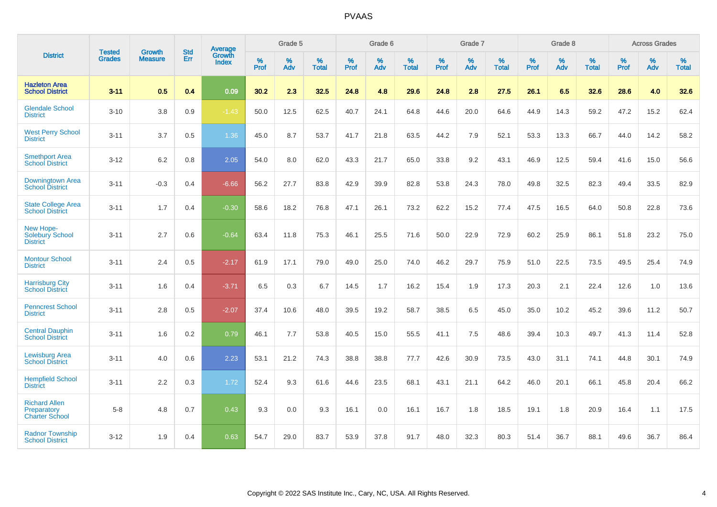| <b>District</b>                                              | <b>Tested</b> | <b>Growth</b>  | <b>Std</b> | <b>Average</b>         |           | Grade 5  |                   |           | Grade 6  |                   |           | Grade 7  |                   |           | Grade 8  |                   |           | <b>Across Grades</b> |                   |
|--------------------------------------------------------------|---------------|----------------|------------|------------------------|-----------|----------|-------------------|-----------|----------|-------------------|-----------|----------|-------------------|-----------|----------|-------------------|-----------|----------------------|-------------------|
|                                                              | <b>Grades</b> | <b>Measure</b> | Err        | Growth<br><b>Index</b> | %<br>Prof | %<br>Adv | %<br><b>Total</b> | %<br>Prof | %<br>Adv | %<br><b>Total</b> | %<br>Prof | %<br>Adv | %<br><b>Total</b> | %<br>Prof | %<br>Adv | %<br><b>Total</b> | %<br>Prof | %<br>Adv             | %<br><b>Total</b> |
| <b>Hazleton Area</b><br><b>School District</b>               | $3 - 11$      | 0.5            | 0.4        | 0.09                   | 30.2      | 2.3      | 32.5              | 24.8      | 4.8      | 29.6              | 24.8      | 2.8      | 27.5              | 26.1      | 6.5      | 32.6              | 28.6      | 4.0                  | 32.6              |
| <b>Glendale School</b><br><b>District</b>                    | $3 - 10$      | 3.8            | 0.9        | $-1.43$                | 50.0      | 12.5     | 62.5              | 40.7      | 24.1     | 64.8              | 44.6      | 20.0     | 64.6              | 44.9      | 14.3     | 59.2              | 47.2      | 15.2                 | 62.4              |
| <b>West Perry School</b><br><b>District</b>                  | $3 - 11$      | 3.7            | 0.5        | 1.36                   | 45.0      | 8.7      | 53.7              | 41.7      | 21.8     | 63.5              | 44.2      | 7.9      | 52.1              | 53.3      | 13.3     | 66.7              | 44.0      | 14.2                 | 58.2              |
| <b>Smethport Area</b><br><b>School District</b>              | $3 - 12$      | 6.2            | 0.8        | 2.05                   | 54.0      | 8.0      | 62.0              | 43.3      | 21.7     | 65.0              | 33.8      | 9.2      | 43.1              | 46.9      | 12.5     | 59.4              | 41.6      | 15.0                 | 56.6              |
| Downingtown Area<br><b>School District</b>                   | $3 - 11$      | $-0.3$         | 0.4        | $-6.66$                | 56.2      | 27.7     | 83.8              | 42.9      | 39.9     | 82.8              | 53.8      | 24.3     | 78.0              | 49.8      | 32.5     | 82.3              | 49.4      | 33.5                 | 82.9              |
| <b>State College Area</b><br><b>School District</b>          | $3 - 11$      | 1.7            | 0.4        | $-0.30$                | 58.6      | 18.2     | 76.8              | 47.1      | 26.1     | 73.2              | 62.2      | 15.2     | 77.4              | 47.5      | 16.5     | 64.0              | 50.8      | 22.8                 | 73.6              |
| New Hope-<br><b>Solebury School</b><br><b>District</b>       | $3 - 11$      | 2.7            | 0.6        | $-0.64$                | 63.4      | 11.8     | 75.3              | 46.1      | 25.5     | 71.6              | 50.0      | 22.9     | 72.9              | 60.2      | 25.9     | 86.1              | 51.8      | 23.2                 | 75.0              |
| <b>Montour School</b><br><b>District</b>                     | $3 - 11$      | 2.4            | 0.5        | $-2.17$                | 61.9      | 17.1     | 79.0              | 49.0      | 25.0     | 74.0              | 46.2      | 29.7     | 75.9              | 51.0      | 22.5     | 73.5              | 49.5      | 25.4                 | 74.9              |
| <b>Harrisburg City</b><br><b>School District</b>             | $3 - 11$      | 1.6            | 0.4        | $-3.71$                | 6.5       | 0.3      | 6.7               | 14.5      | 1.7      | 16.2              | 15.4      | 1.9      | 17.3              | 20.3      | 2.1      | 22.4              | 12.6      | 1.0                  | 13.6              |
| <b>Penncrest School</b><br><b>District</b>                   | $3 - 11$      | 2.8            | 0.5        | $-2.07$                | 37.4      | 10.6     | 48.0              | 39.5      | 19.2     | 58.7              | 38.5      | 6.5      | 45.0              | 35.0      | 10.2     | 45.2              | 39.6      | 11.2                 | 50.7              |
| <b>Central Dauphin</b><br><b>School District</b>             | $3 - 11$      | 1.6            | 0.2        | 0.79                   | 46.1      | 7.7      | 53.8              | 40.5      | 15.0     | 55.5              | 41.1      | 7.5      | 48.6              | 39.4      | 10.3     | 49.7              | 41.3      | 11.4                 | 52.8              |
| <b>Lewisburg Area</b><br><b>School District</b>              | $3 - 11$      | 4.0            | 0.6        | 2.23                   | 53.1      | 21.2     | 74.3              | 38.8      | 38.8     | 77.7              | 42.6      | 30.9     | 73.5              | 43.0      | 31.1     | 74.1              | 44.8      | 30.1                 | 74.9              |
| <b>Hempfield School</b><br><b>District</b>                   | $3 - 11$      | 2.2            | 0.3        | 1.72                   | 52.4      | 9.3      | 61.6              | 44.6      | 23.5     | 68.1              | 43.1      | 21.1     | 64.2              | 46.0      | 20.1     | 66.1              | 45.8      | 20.4                 | 66.2              |
| <b>Richard Allen</b><br>Preparatory<br><b>Charter School</b> | $5-8$         | 4.8            | 0.7        | 0.43                   | 9.3       | 0.0      | 9.3               | 16.1      | 0.0      | 16.1              | 16.7      | 1.8      | 18.5              | 19.1      | 1.8      | 20.9              | 16.4      | 1.1                  | 17.5              |
| <b>Radnor Township</b><br><b>School District</b>             | $3 - 12$      | 1.9            | 0.4        | 0.63                   | 54.7      | 29.0     | 83.7              | 53.9      | 37.8     | 91.7              | 48.0      | 32.3     | 80.3              | 51.4      | 36.7     | 88.1              | 49.6      | 36.7                 | 86.4              |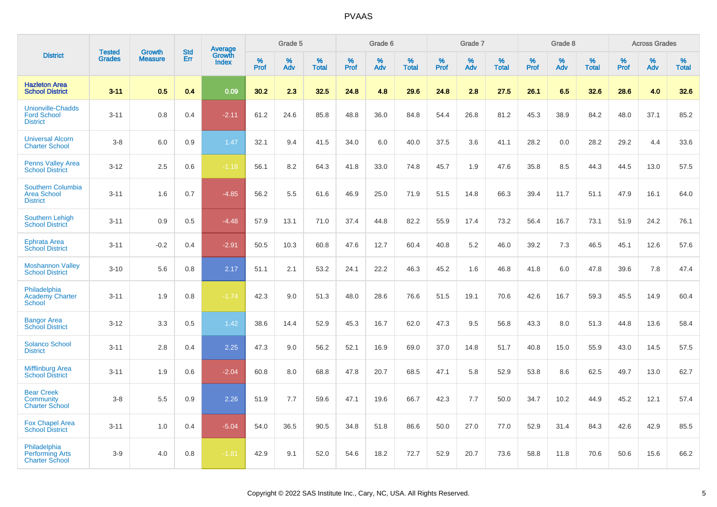|                                                                   |                                |                                 |                   | Average                |                  | Grade 5  |                   |                  | Grade 6  |                   |                  | Grade 7  |                   |           | Grade 8  |                   |                  | <b>Across Grades</b> |                   |
|-------------------------------------------------------------------|--------------------------------|---------------------------------|-------------------|------------------------|------------------|----------|-------------------|------------------|----------|-------------------|------------------|----------|-------------------|-----------|----------|-------------------|------------------|----------------------|-------------------|
| <b>District</b>                                                   | <b>Tested</b><br><b>Grades</b> | <b>Growth</b><br><b>Measure</b> | <b>Std</b><br>Err | Growth<br><b>Index</b> | %<br><b>Prof</b> | %<br>Adv | %<br><b>Total</b> | %<br><b>Prof</b> | %<br>Adv | %<br><b>Total</b> | %<br><b>Prof</b> | %<br>Adv | %<br><b>Total</b> | %<br>Prof | %<br>Adv | %<br><b>Total</b> | %<br><b>Prof</b> | %<br>Adv             | %<br><b>Total</b> |
| <b>Hazleton Area</b><br><b>School District</b>                    | $3 - 11$                       | 0.5                             | 0.4               | 0.09                   | 30.2             | 2.3      | 32.5              | 24.8             | 4.8      | 29.6              | 24.8             | 2.8      | 27.5              | 26.1      | 6.5      | 32.6              | 28.6             | 4.0                  | 32.6              |
| <b>Unionville-Chadds</b><br><b>Ford School</b><br><b>District</b> | $3 - 11$                       | 0.8                             | 0.4               | $-2.11$                | 61.2             | 24.6     | 85.8              | 48.8             | 36.0     | 84.8              | 54.4             | 26.8     | 81.2              | 45.3      | 38.9     | 84.2              | 48.0             | 37.1                 | 85.2              |
| <b>Universal Alcorn</b><br><b>Charter School</b>                  | $3-8$                          | 6.0                             | 0.9               | 1.47                   | 32.1             | 9.4      | 41.5              | 34.0             | 6.0      | 40.0              | 37.5             | 3.6      | 41.1              | 28.2      | 0.0      | 28.2              | 29.2             | 4.4                  | 33.6              |
| <b>Penns Valley Area</b><br><b>School District</b>                | $3 - 12$                       | 2.5                             | 0.6               | $-1.18$                | 56.1             | 8.2      | 64.3              | 41.8             | 33.0     | 74.8              | 45.7             | 1.9      | 47.6              | 35.8      | 8.5      | 44.3              | 44.5             | 13.0                 | 57.5              |
| Southern Columbia<br><b>Area School</b><br><b>District</b>        | $3 - 11$                       | 1.6                             | 0.7               | $-4.85$                | 56.2             | 5.5      | 61.6              | 46.9             | 25.0     | 71.9              | 51.5             | 14.8     | 66.3              | 39.4      | 11.7     | 51.1              | 47.9             | 16.1                 | 64.0              |
| <b>Southern Lehigh</b><br><b>School District</b>                  | $3 - 11$                       | 0.9                             | 0.5               | $-4.48$                | 57.9             | 13.1     | 71.0              | 37.4             | 44.8     | 82.2              | 55.9             | 17.4     | 73.2              | 56.4      | 16.7     | 73.1              | 51.9             | 24.2                 | 76.1              |
| <b>Ephrata Area</b><br><b>School District</b>                     | $3 - 11$                       | $-0.2$                          | 0.4               | $-2.91$                | 50.5             | 10.3     | 60.8              | 47.6             | 12.7     | 60.4              | 40.8             | 5.2      | 46.0              | 39.2      | 7.3      | 46.5              | 45.1             | 12.6                 | 57.6              |
| <b>Moshannon Valley</b><br><b>School District</b>                 | $3 - 10$                       | 5.6                             | 0.8               | 2.17                   | 51.1             | 2.1      | 53.2              | 24.1             | 22.2     | 46.3              | 45.2             | 1.6      | 46.8              | 41.8      | 6.0      | 47.8              | 39.6             | 7.8                  | 47.4              |
| Philadelphia<br><b>Academy Charter</b><br><b>School</b>           | $3 - 11$                       | 1.9                             | 0.8               | $-1.74$                | 42.3             | 9.0      | 51.3              | 48.0             | 28.6     | 76.6              | 51.5             | 19.1     | 70.6              | 42.6      | 16.7     | 59.3              | 45.5             | 14.9                 | 60.4              |
| <b>Bangor Area</b><br><b>School District</b>                      | $3 - 12$                       | 3.3                             | 0.5               | 1.42                   | 38.6             | 14.4     | 52.9              | 45.3             | 16.7     | 62.0              | 47.3             | 9.5      | 56.8              | 43.3      | 8.0      | 51.3              | 44.8             | 13.6                 | 58.4              |
| <b>Solanco School</b><br><b>District</b>                          | $3 - 11$                       | 2.8                             | 0.4               | 2.25                   | 47.3             | 9.0      | 56.2              | 52.1             | 16.9     | 69.0              | 37.0             | 14.8     | 51.7              | 40.8      | 15.0     | 55.9              | 43.0             | 14.5                 | 57.5              |
| <b>Mifflinburg Area</b><br><b>School District</b>                 | $3 - 11$                       | 1.9                             | 0.6               | $-2.04$                | 60.8             | 8.0      | 68.8              | 47.8             | 20.7     | 68.5              | 47.1             | 5.8      | 52.9              | 53.8      | 8.6      | 62.5              | 49.7             | 13.0                 | 62.7              |
| <b>Bear Creek</b><br>Community<br><b>Charter School</b>           | $3-8$                          | 5.5                             | 0.9               | 2.26                   | 51.9             | 7.7      | 59.6              | 47.1             | 19.6     | 66.7              | 42.3             | 7.7      | 50.0              | 34.7      | 10.2     | 44.9              | 45.2             | 12.1                 | 57.4              |
| <b>Fox Chapel Area</b><br><b>School District</b>                  | $3 - 11$                       | 1.0                             | 0.4               | $-5.04$                | 54.0             | 36.5     | 90.5              | 34.8             | 51.8     | 86.6              | 50.0             | 27.0     | 77.0              | 52.9      | 31.4     | 84.3              | 42.6             | 42.9                 | 85.5              |
| Philadelphia<br><b>Performing Arts</b><br><b>Charter School</b>   | $3-9$                          | 4.0                             | 0.8               | $-1.81$                | 42.9             | 9.1      | 52.0              | 54.6             | 18.2     | 72.7              | 52.9             | 20.7     | 73.6              | 58.8      | 11.8     | 70.6              | 50.6             | 15.6                 | 66.2              |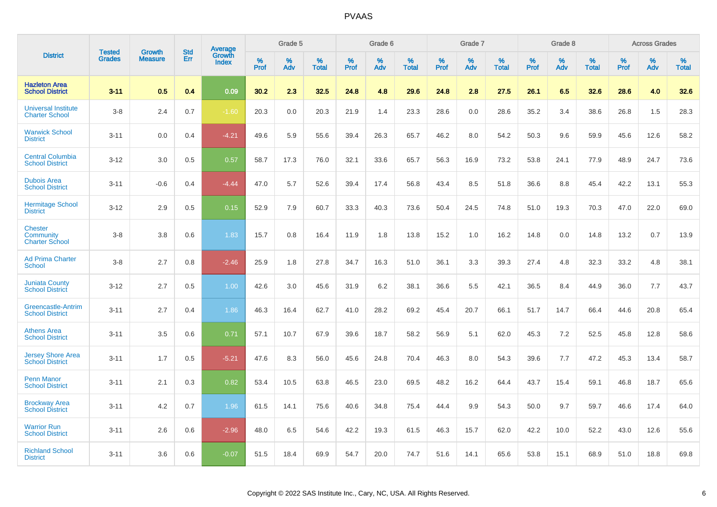| <b>District</b>                                             |                                |                                 | <b>Std</b> | Average                |              | Grade 5     |                      |                     | Grade 6     |                      |              | Grade 7     |                      |              | Grade 8     |                      |                     | <b>Across Grades</b> |                      |
|-------------------------------------------------------------|--------------------------------|---------------------------------|------------|------------------------|--------------|-------------|----------------------|---------------------|-------------|----------------------|--------------|-------------|----------------------|--------------|-------------|----------------------|---------------------|----------------------|----------------------|
|                                                             | <b>Tested</b><br><b>Grades</b> | <b>Growth</b><br><b>Measure</b> | Err        | Growth<br><b>Index</b> | $\%$<br>Prof | $\%$<br>Adv | $\%$<br><b>Total</b> | $\%$<br><b>Prof</b> | $\%$<br>Adv | $\%$<br><b>Total</b> | $\%$<br>Prof | $\%$<br>Adv | $\%$<br><b>Total</b> | $\%$<br>Prof | $\%$<br>Adv | $\%$<br><b>Total</b> | $\%$<br><b>Prof</b> | $\%$<br>Adv          | $\%$<br><b>Total</b> |
| <b>Hazleton Area</b><br><b>School District</b>              | $3 - 11$                       | 0.5                             | 0.4        | 0.09                   | 30.2         | 2.3         | 32.5                 | 24.8                | 4.8         | 29.6                 | 24.8         | 2.8         | 27.5                 | 26.1         | 6.5         | 32.6                 | 28.6                | 4.0                  | 32.6                 |
| <b>Universal Institute</b><br><b>Charter School</b>         | $3 - 8$                        | 2.4                             | 0.7        | $-1.60$                | 20.3         | 0.0         | 20.3                 | 21.9                | 1.4         | 23.3                 | 28.6         | 0.0         | 28.6                 | 35.2         | 3.4         | 38.6                 | 26.8                | 1.5                  | 28.3                 |
| <b>Warwick School</b><br><b>District</b>                    | $3 - 11$                       | 0.0                             | 0.4        | $-4.21$                | 49.6         | 5.9         | 55.6                 | 39.4                | 26.3        | 65.7                 | 46.2         | 8.0         | 54.2                 | 50.3         | 9.6         | 59.9                 | 45.6                | 12.6                 | 58.2                 |
| <b>Central Columbia</b><br><b>School District</b>           | $3 - 12$                       | 3.0                             | 0.5        | 0.57                   | 58.7         | 17.3        | 76.0                 | 32.1                | 33.6        | 65.7                 | 56.3         | 16.9        | 73.2                 | 53.8         | 24.1        | 77.9                 | 48.9                | 24.7                 | 73.6                 |
| <b>Dubois Area</b><br><b>School District</b>                | $3 - 11$                       | $-0.6$                          | 0.4        | $-4.44$                | 47.0         | 5.7         | 52.6                 | 39.4                | 17.4        | 56.8                 | 43.4         | 8.5         | 51.8                 | 36.6         | 8.8         | 45.4                 | 42.2                | 13.1                 | 55.3                 |
| <b>Hermitage School</b><br><b>District</b>                  | $3 - 12$                       | 2.9                             | 0.5        | 0.15                   | 52.9         | 7.9         | 60.7                 | 33.3                | 40.3        | 73.6                 | 50.4         | 24.5        | 74.8                 | 51.0         | 19.3        | 70.3                 | 47.0                | 22.0                 | 69.0                 |
| <b>Chester</b><br><b>Community</b><br><b>Charter School</b> | $3 - 8$                        | 3.8                             | 0.6        | 1.83                   | 15.7         | 0.8         | 16.4                 | 11.9                | 1.8         | 13.8                 | 15.2         | 1.0         | 16.2                 | 14.8         | 0.0         | 14.8                 | 13.2                | 0.7                  | 13.9                 |
| <b>Ad Prima Charter</b><br><b>School</b>                    | $3 - 8$                        | 2.7                             | 0.8        | $-2.46$                | 25.9         | 1.8         | 27.8                 | 34.7                | 16.3        | 51.0                 | 36.1         | 3.3         | 39.3                 | 27.4         | 4.8         | 32.3                 | 33.2                | 4.8                  | 38.1                 |
| <b>Juniata County</b><br><b>School District</b>             | $3 - 12$                       | 2.7                             | 0.5        | 1.00                   | 42.6         | 3.0         | 45.6                 | 31.9                | 6.2         | 38.1                 | 36.6         | 5.5         | 42.1                 | 36.5         | 8.4         | 44.9                 | 36.0                | 7.7                  | 43.7                 |
| <b>Greencastle-Antrim</b><br><b>School District</b>         | $3 - 11$                       | 2.7                             | 0.4        | 1.86                   | 46.3         | 16.4        | 62.7                 | 41.0                | 28.2        | 69.2                 | 45.4         | 20.7        | 66.1                 | 51.7         | 14.7        | 66.4                 | 44.6                | 20.8                 | 65.4                 |
| <b>Athens Area</b><br><b>School District</b>                | $3 - 11$                       | 3.5                             | 0.6        | 0.71                   | 57.1         | 10.7        | 67.9                 | 39.6                | 18.7        | 58.2                 | 56.9         | 5.1         | 62.0                 | 45.3         | 7.2         | 52.5                 | 45.8                | 12.8                 | 58.6                 |
| <b>Jersey Shore Area</b><br><b>School District</b>          | $3 - 11$                       | 1.7                             | 0.5        | $-5.21$                | 47.6         | 8.3         | 56.0                 | 45.6                | 24.8        | 70.4                 | 46.3         | 8.0         | 54.3                 | 39.6         | 7.7         | 47.2                 | 45.3                | 13.4                 | 58.7                 |
| <b>Penn Manor</b><br><b>School District</b>                 | $3 - 11$                       | 2.1                             | 0.3        | 0.82                   | 53.4         | 10.5        | 63.8                 | 46.5                | 23.0        | 69.5                 | 48.2         | 16.2        | 64.4                 | 43.7         | 15.4        | 59.1                 | 46.8                | 18.7                 | 65.6                 |
| <b>Brockway Area</b><br><b>School District</b>              | $3 - 11$                       | 4.2                             | 0.7        | 1.96                   | 61.5         | 14.1        | 75.6                 | 40.6                | 34.8        | 75.4                 | 44.4         | 9.9         | 54.3                 | 50.0         | 9.7         | 59.7                 | 46.6                | 17.4                 | 64.0                 |
| <b>Warrior Run</b><br><b>School District</b>                | $3 - 11$                       | 2.6                             | 0.6        | $-2.96$                | 48.0         | 6.5         | 54.6                 | 42.2                | 19.3        | 61.5                 | 46.3         | 15.7        | 62.0                 | 42.2         | 10.0        | 52.2                 | 43.0                | 12.6                 | 55.6                 |
| <b>Richland School</b><br><b>District</b>                   | $3 - 11$                       | 3.6                             | 0.6        | $-0.07$                | 51.5         | 18.4        | 69.9                 | 54.7                | 20.0        | 74.7                 | 51.6         | 14.1        | 65.6                 | 53.8         | 15.1        | 68.9                 | 51.0                | 18.8                 | 69.8                 |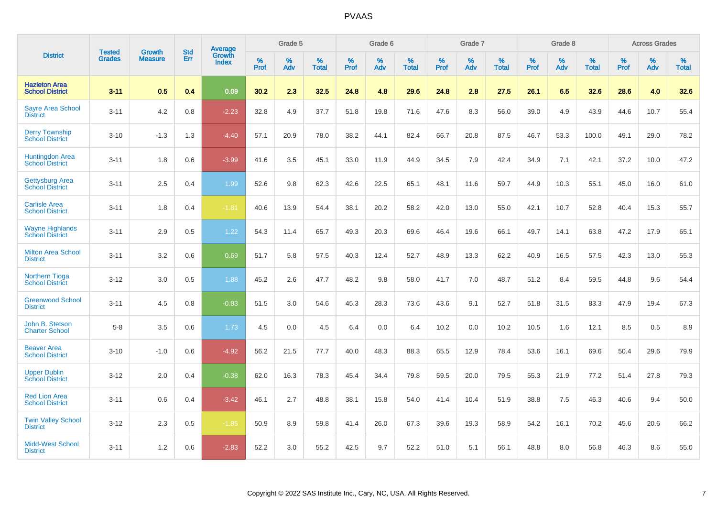| <b>District</b>                                  | <b>Tested</b> | <b>Growth</b>  | <b>Std</b> | Average         |              | Grade 5  |                      |              | Grade 6  |                   |              | Grade 7  |                   |              | Grade 8  |                      |           | <b>Across Grades</b> |                   |
|--------------------------------------------------|---------------|----------------|------------|-----------------|--------------|----------|----------------------|--------------|----------|-------------------|--------------|----------|-------------------|--------------|----------|----------------------|-----------|----------------------|-------------------|
|                                                  | <b>Grades</b> | <b>Measure</b> | Err        | Growth<br>Index | $\%$<br>Prof | %<br>Adv | $\%$<br><b>Total</b> | $\%$<br>Prof | %<br>Adv | %<br><b>Total</b> | $\%$<br>Prof | %<br>Adv | %<br><b>Total</b> | $\%$<br>Prof | %<br>Adv | $\%$<br><b>Total</b> | %<br>Prof | %<br>Adv             | %<br><b>Total</b> |
| <b>Hazleton Area</b><br><b>School District</b>   | $3 - 11$      | 0.5            | 0.4        | 0.09            | 30.2         | 2.3      | 32.5                 | 24.8         | 4.8      | 29.6              | 24.8         | 2.8      | 27.5              | 26.1         | 6.5      | 32.6                 | 28.6      | 4.0                  | 32.6              |
| <b>Sayre Area School</b><br><b>District</b>      | $3 - 11$      | 4.2            | 0.8        | $-2.23$         | 32.8         | 4.9      | 37.7                 | 51.8         | 19.8     | 71.6              | 47.6         | 8.3      | 56.0              | 39.0         | 4.9      | 43.9                 | 44.6      | 10.7                 | 55.4              |
| <b>Derry Township</b><br><b>School District</b>  | $3 - 10$      | $-1.3$         | 1.3        | $-4.40$         | 57.1         | 20.9     | 78.0                 | 38.2         | 44.1     | 82.4              | 66.7         | 20.8     | 87.5              | 46.7         | 53.3     | 100.0                | 49.1      | 29.0                 | 78.2              |
| Huntingdon Area<br>School District               | $3 - 11$      | 1.8            | 0.6        | $-3.99$         | 41.6         | 3.5      | 45.1                 | 33.0         | 11.9     | 44.9              | 34.5         | 7.9      | 42.4              | 34.9         | 7.1      | 42.1                 | 37.2      | 10.0                 | 47.2              |
| <b>Gettysburg Area</b><br><b>School District</b> | $3 - 11$      | 2.5            | 0.4        | 1.99            | 52.6         | 9.8      | 62.3                 | 42.6         | 22.5     | 65.1              | 48.1         | 11.6     | 59.7              | 44.9         | 10.3     | 55.1                 | 45.0      | 16.0                 | 61.0              |
| <b>Carlisle Area</b><br><b>School District</b>   | $3 - 11$      | 1.8            | 0.4        | $-1.81$         | 40.6         | 13.9     | 54.4                 | 38.1         | 20.2     | 58.2              | 42.0         | 13.0     | 55.0              | 42.1         | 10.7     | 52.8                 | 40.4      | 15.3                 | 55.7              |
| <b>Wayne Highlands</b><br><b>School District</b> | $3 - 11$      | 2.9            | 0.5        | 1.22            | 54.3         | 11.4     | 65.7                 | 49.3         | 20.3     | 69.6              | 46.4         | 19.6     | 66.1              | 49.7         | 14.1     | 63.8                 | 47.2      | 17.9                 | 65.1              |
| <b>Milton Area School</b><br><b>District</b>     | $3 - 11$      | 3.2            | 0.6        | 0.69            | 51.7         | 5.8      | 57.5                 | 40.3         | 12.4     | 52.7              | 48.9         | 13.3     | 62.2              | 40.9         | 16.5     | 57.5                 | 42.3      | 13.0                 | 55.3              |
| <b>Northern Tioga</b><br><b>School District</b>  | $3 - 12$      | 3.0            | 0.5        | 1.88            | 45.2         | 2.6      | 47.7                 | 48.2         | 9.8      | 58.0              | 41.7         | 7.0      | 48.7              | 51.2         | 8.4      | 59.5                 | 44.8      | 9.6                  | 54.4              |
| <b>Greenwood School</b><br><b>District</b>       | $3 - 11$      | 4.5            | 0.8        | $-0.83$         | 51.5         | 3.0      | 54.6                 | 45.3         | 28.3     | 73.6              | 43.6         | 9.1      | 52.7              | 51.8         | 31.5     | 83.3                 | 47.9      | 19.4                 | 67.3              |
| John B. Stetson<br><b>Charter School</b>         | $5 - 8$       | 3.5            | 0.6        | 1.73            | 4.5          | 0.0      | 4.5                  | 6.4          | 0.0      | 6.4               | 10.2         | 0.0      | 10.2              | 10.5         | 1.6      | 12.1                 | 8.5       | $0.5\,$              | 8.9               |
| <b>Beaver Area</b><br><b>School District</b>     | $3 - 10$      | $-1.0$         | 0.6        | $-4.92$         | 56.2         | 21.5     | 77.7                 | 40.0         | 48.3     | 88.3              | 65.5         | 12.9     | 78.4              | 53.6         | 16.1     | 69.6                 | 50.4      | 29.6                 | 79.9              |
| <b>Upper Dublin</b><br><b>School District</b>    | $3 - 12$      | 2.0            | 0.4        | $-0.38$         | 62.0         | 16.3     | 78.3                 | 45.4         | 34.4     | 79.8              | 59.5         | 20.0     | 79.5              | 55.3         | 21.9     | 77.2                 | 51.4      | 27.8                 | 79.3              |
| <b>Red Lion Area</b><br><b>School District</b>   | $3 - 11$      | 0.6            | 0.4        | $-3.42$         | 46.1         | 2.7      | 48.8                 | 38.1         | 15.8     | 54.0              | 41.4         | 10.4     | 51.9              | 38.8         | 7.5      | 46.3                 | 40.6      | 9.4                  | 50.0              |
| <b>Twin Valley School</b><br><b>District</b>     | $3 - 12$      | 2.3            | 0.5        | $-1.85$         | 50.9         | 8.9      | 59.8                 | 41.4         | 26.0     | 67.3              | 39.6         | 19.3     | 58.9              | 54.2         | 16.1     | 70.2                 | 45.6      | 20.6                 | 66.2              |
| <b>Midd-West School</b><br><b>District</b>       | $3 - 11$      | 1.2            | 0.6        | $-2.83$         | 52.2         | 3.0      | 55.2                 | 42.5         | 9.7      | 52.2              | 51.0         | 5.1      | 56.1              | 48.8         | 8.0      | 56.8                 | 46.3      | 8.6                  | 55.0              |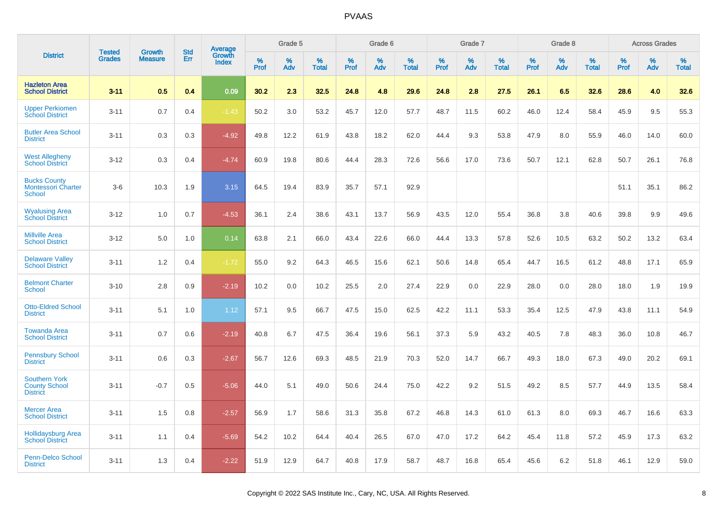| <b>District</b>                                                 | <b>Tested</b> | <b>Growth</b>  | <b>Std</b> | <b>Average</b>         |              | Grade 5  |                   |              | Grade 6  |                   |              | Grade 7  |                   |              | Grade 8  |                   |              | <b>Across Grades</b> |                   |
|-----------------------------------------------------------------|---------------|----------------|------------|------------------------|--------------|----------|-------------------|--------------|----------|-------------------|--------------|----------|-------------------|--------------|----------|-------------------|--------------|----------------------|-------------------|
|                                                                 | <b>Grades</b> | <b>Measure</b> | Err        | Growth<br><b>Index</b> | $\%$<br>Prof | %<br>Adv | %<br><b>Total</b> | $\%$<br>Prof | %<br>Adv | %<br><b>Total</b> | $\%$<br>Prof | %<br>Adv | %<br><b>Total</b> | $\%$<br>Prof | %<br>Adv | %<br><b>Total</b> | $\%$<br>Prof | %<br>Adv             | %<br><b>Total</b> |
| <b>Hazleton Area</b><br><b>School District</b>                  | $3 - 11$      | 0.5            | 0.4        | 0.09                   | 30.2         | 2.3      | 32.5              | 24.8         | 4.8      | 29.6              | 24.8         | 2.8      | 27.5              | 26.1         | 6.5      | 32.6              | 28.6         | 4.0                  | 32.6              |
| <b>Upper Perkiomen</b><br><b>School District</b>                | $3 - 11$      | 0.7            | 0.4        | $-1.43$                | 50.2         | 3.0      | 53.2              | 45.7         | 12.0     | 57.7              | 48.7         | 11.5     | 60.2              | 46.0         | 12.4     | 58.4              | 45.9         | 9.5                  | 55.3              |
| <b>Butler Area School</b><br><b>District</b>                    | $3 - 11$      | 0.3            | 0.3        | $-4.92$                | 49.8         | 12.2     | 61.9              | 43.8         | 18.2     | 62.0              | 44.4         | 9.3      | 53.8              | 47.9         | 8.0      | 55.9              | 46.0         | 14.0                 | 60.0              |
| <b>West Allegheny</b><br><b>School District</b>                 | $3 - 12$      | 0.3            | 0.4        | $-4.74$                | 60.9         | 19.8     | 80.6              | 44.4         | 28.3     | 72.6              | 56.6         | 17.0     | 73.6              | 50.7         | 12.1     | 62.8              | 50.7         | 26.1                 | 76.8              |
| <b>Bucks County</b><br><b>Montessori Charter</b><br>School      | $3-6$         | 10.3           | 1.9        | 3.15                   | 64.5         | 19.4     | 83.9              | 35.7         | 57.1     | 92.9              |              |          |                   |              |          |                   | 51.1         | 35.1                 | 86.2              |
| <b>Wyalusing Area</b><br><b>School District</b>                 | $3 - 12$      | 1.0            | 0.7        | $-4.53$                | 36.1         | 2.4      | 38.6              | 43.1         | 13.7     | 56.9              | 43.5         | 12.0     | 55.4              | 36.8         | 3.8      | 40.6              | 39.8         | 9.9                  | 49.6              |
| <b>Millville Area</b><br><b>School District</b>                 | $3 - 12$      | 5.0            | 1.0        | 0.14                   | 63.8         | 2.1      | 66.0              | 43.4         | 22.6     | 66.0              | 44.4         | 13.3     | 57.8              | 52.6         | 10.5     | 63.2              | 50.2         | 13.2                 | 63.4              |
| <b>Delaware Valley</b><br><b>School District</b>                | $3 - 11$      | 1.2            | 0.4        | $-1.72$                | 55.0         | 9.2      | 64.3              | 46.5         | 15.6     | 62.1              | 50.6         | 14.8     | 65.4              | 44.7         | 16.5     | 61.2              | 48.8         | 17.1                 | 65.9              |
| <b>Belmont Charter</b><br><b>School</b>                         | $3 - 10$      | 2.8            | 0.9        | $-2.19$                | 10.2         | 0.0      | 10.2              | 25.5         | 2.0      | 27.4              | 22.9         | 0.0      | 22.9              | 28.0         | 0.0      | 28.0              | 18.0         | 1.9                  | 19.9              |
| <b>Otto-Eldred School</b><br><b>District</b>                    | $3 - 11$      | 5.1            | 1.0        | 1.12                   | 57.1         | 9.5      | 66.7              | 47.5         | 15.0     | 62.5              | 42.2         | 11.1     | 53.3              | 35.4         | 12.5     | 47.9              | 43.8         | 11.1                 | 54.9              |
| <b>Towanda Area</b><br><b>School District</b>                   | $3 - 11$      | 0.7            | 0.6        | $-2.19$                | 40.8         | 6.7      | 47.5              | 36.4         | 19.6     | 56.1              | 37.3         | 5.9      | 43.2              | 40.5         | 7.8      | 48.3              | 36.0         | 10.8                 | 46.7              |
| <b>Pennsbury School</b><br><b>District</b>                      | $3 - 11$      | 0.6            | 0.3        | $-2.67$                | 56.7         | 12.6     | 69.3              | 48.5         | 21.9     | 70.3              | 52.0         | 14.7     | 66.7              | 49.3         | 18.0     | 67.3              | 49.0         | 20.2                 | 69.1              |
| <b>Southern York</b><br><b>County School</b><br><b>District</b> | $3 - 11$      | $-0.7$         | 0.5        | $-5.06$                | 44.0         | 5.1      | 49.0              | 50.6         | 24.4     | 75.0              | 42.2         | 9.2      | 51.5              | 49.2         | 8.5      | 57.7              | 44.9         | 13.5                 | 58.4              |
| <b>Mercer Area</b><br><b>School District</b>                    | $3 - 11$      | 1.5            | 0.8        | $-2.57$                | 56.9         | 1.7      | 58.6              | 31.3         | 35.8     | 67.2              | 46.8         | 14.3     | 61.0              | 61.3         | 8.0      | 69.3              | 46.7         | 16.6                 | 63.3              |
| <b>Hollidaysburg Area</b><br><b>School District</b>             | $3 - 11$      | 1.1            | 0.4        | $-5.69$                | 54.2         | 10.2     | 64.4              | 40.4         | 26.5     | 67.0              | 47.0         | 17.2     | 64.2              | 45.4         | 11.8     | 57.2              | 45.9         | 17.3                 | 63.2              |
| <b>Penn-Delco School</b><br><b>District</b>                     | $3 - 11$      | 1.3            | 0.4        | $-2.22$                | 51.9         | 12.9     | 64.7              | 40.8         | 17.9     | 58.7              | 48.7         | 16.8     | 65.4              | 45.6         | 6.2      | 51.8              | 46.1         | 12.9                 | 59.0              |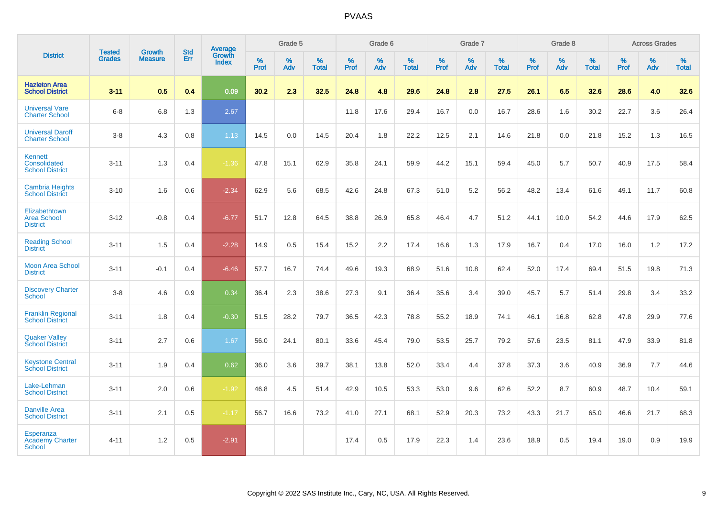|                                                             | <b>Tested</b> | <b>Growth</b>  | <b>Std</b> | <b>Average</b>         |           | Grade 5  |                   |           | Grade 6  |                   |           | Grade 7  |                   |           | Grade 8  |                   |           | <b>Across Grades</b> |                   |
|-------------------------------------------------------------|---------------|----------------|------------|------------------------|-----------|----------|-------------------|-----------|----------|-------------------|-----------|----------|-------------------|-----------|----------|-------------------|-----------|----------------------|-------------------|
| <b>District</b>                                             | <b>Grades</b> | <b>Measure</b> | Err        | Growth<br><b>Index</b> | %<br>Prof | %<br>Adv | %<br><b>Total</b> | %<br>Prof | %<br>Adv | %<br><b>Total</b> | %<br>Prof | %<br>Adv | %<br><b>Total</b> | %<br>Prof | %<br>Adv | %<br><b>Total</b> | %<br>Prof | %<br>Adv             | %<br><b>Total</b> |
| <b>Hazleton Area</b><br><b>School District</b>              | $3 - 11$      | 0.5            | 0.4        | 0.09                   | 30.2      | 2.3      | 32.5              | 24.8      | 4.8      | 29.6              | 24.8      | 2.8      | 27.5              | 26.1      | 6.5      | 32.6              | 28.6      | 4.0                  | 32.6              |
| <b>Universal Vare</b><br><b>Charter School</b>              | $6 - 8$       | 6.8            | 1.3        | 2.67                   |           |          |                   | 11.8      | 17.6     | 29.4              | 16.7      | 0.0      | 16.7              | 28.6      | 1.6      | 30.2              | 22.7      | 3.6                  | 26.4              |
| <b>Universal Daroff</b><br><b>Charter School</b>            | $3 - 8$       | 4.3            | 0.8        | 1.13                   | 14.5      | 0.0      | 14.5              | 20.4      | 1.8      | 22.2              | 12.5      | 2.1      | 14.6              | 21.8      | 0.0      | 21.8              | 15.2      | 1.3                  | 16.5              |
| <b>Kennett</b><br>Consolidated<br><b>School District</b>    | $3 - 11$      | 1.3            | 0.4        | $-1.36$                | 47.8      | 15.1     | 62.9              | 35.8      | 24.1     | 59.9              | 44.2      | 15.1     | 59.4              | 45.0      | 5.7      | 50.7              | 40.9      | 17.5                 | 58.4              |
| <b>Cambria Heights</b><br><b>School District</b>            | $3 - 10$      | 1.6            | 0.6        | $-2.34$                | 62.9      | 5.6      | 68.5              | 42.6      | 24.8     | 67.3              | 51.0      | 5.2      | 56.2              | 48.2      | 13.4     | 61.6              | 49.1      | 11.7                 | 60.8              |
| Elizabethtown<br><b>Area School</b><br><b>District</b>      | $3 - 12$      | $-0.8$         | 0.4        | $-6.77$                | 51.7      | 12.8     | 64.5              | 38.8      | 26.9     | 65.8              | 46.4      | 4.7      | 51.2              | 44.1      | 10.0     | 54.2              | 44.6      | 17.9                 | 62.5              |
| <b>Reading School</b><br><b>District</b>                    | $3 - 11$      | 1.5            | 0.4        | $-2.28$                | 14.9      | 0.5      | 15.4              | 15.2      | 2.2      | 17.4              | 16.6      | 1.3      | 17.9              | 16.7      | 0.4      | 17.0              | 16.0      | 1.2                  | 17.2              |
| <b>Moon Area School</b><br><b>District</b>                  | $3 - 11$      | $-0.1$         | 0.4        | $-6.46$                | 57.7      | 16.7     | 74.4              | 49.6      | 19.3     | 68.9              | 51.6      | 10.8     | 62.4              | 52.0      | 17.4     | 69.4              | 51.5      | 19.8                 | 71.3              |
| <b>Discovery Charter</b><br><b>School</b>                   | $3 - 8$       | 4.6            | 0.9        | 0.34                   | 36.4      | 2.3      | 38.6              | 27.3      | 9.1      | 36.4              | 35.6      | 3.4      | 39.0              | 45.7      | 5.7      | 51.4              | 29.8      | 3.4                  | 33.2              |
| <b>Franklin Regional</b><br><b>School District</b>          | $3 - 11$      | 1.8            | 0.4        | $-0.30$                | 51.5      | 28.2     | 79.7              | 36.5      | 42.3     | 78.8              | 55.2      | 18.9     | 74.1              | 46.1      | 16.8     | 62.8              | 47.8      | 29.9                 | 77.6              |
| <b>Quaker Valley</b><br><b>School District</b>              | $3 - 11$      | 2.7            | 0.6        | 1.67                   | 56.0      | 24.1     | 80.1              | 33.6      | 45.4     | 79.0              | 53.5      | 25.7     | 79.2              | 57.6      | 23.5     | 81.1              | 47.9      | 33.9                 | 81.8              |
| <b>Keystone Central</b><br><b>School District</b>           | $3 - 11$      | 1.9            | 0.4        | 0.62                   | 36.0      | 3.6      | 39.7              | 38.1      | 13.8     | 52.0              | 33.4      | 4.4      | 37.8              | 37.3      | 3.6      | 40.9              | 36.9      | 7.7                  | 44.6              |
| Lake-Lehman<br><b>School District</b>                       | $3 - 11$      | 2.0            | 0.6        | $-1.92$                | 46.8      | 4.5      | 51.4              | 42.9      | 10.5     | 53.3              | 53.0      | 9.6      | 62.6              | 52.2      | 8.7      | 60.9              | 48.7      | 10.4                 | 59.1              |
| <b>Danville Area</b><br><b>School District</b>              | $3 - 11$      | 2.1            | 0.5        | $-1.17$                | 56.7      | 16.6     | 73.2              | 41.0      | 27.1     | 68.1              | 52.9      | 20.3     | 73.2              | 43.3      | 21.7     | 65.0              | 46.6      | 21.7                 | 68.3              |
| <b>Esperanza</b><br><b>Academy Charter</b><br><b>School</b> | $4 - 11$      | 1.2            | 0.5        | $-2.91$                |           |          |                   | 17.4      | 0.5      | 17.9              | 22.3      | 1.4      | 23.6              | 18.9      | 0.5      | 19.4              | 19.0      | 0.9                  | 19.9              |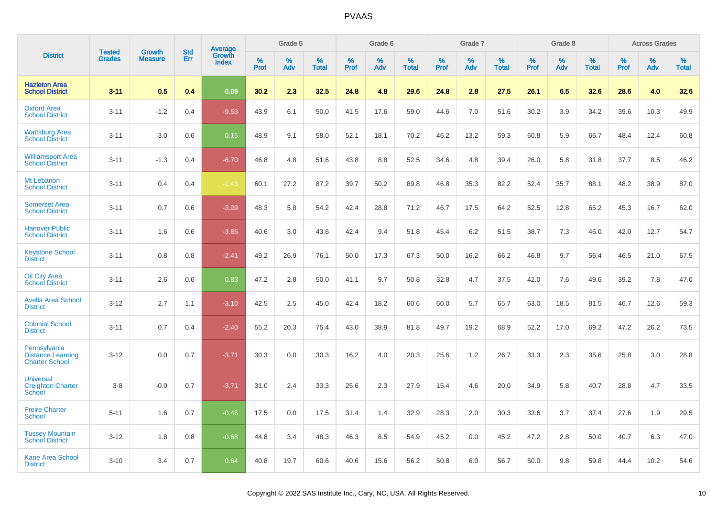|                                                                   |                                |                                 | <b>Std</b> |                                          |                     | Grade 5  |                      |              | Grade 6  |                      |              | Grade 7  |                      |              | Grade 8  |                      |              | <b>Across Grades</b> |                      |
|-------------------------------------------------------------------|--------------------------------|---------------------------------|------------|------------------------------------------|---------------------|----------|----------------------|--------------|----------|----------------------|--------------|----------|----------------------|--------------|----------|----------------------|--------------|----------------------|----------------------|
| <b>District</b>                                                   | <b>Tested</b><br><b>Grades</b> | <b>Growth</b><br><b>Measure</b> | <b>Err</b> | <b>Average</b><br>Growth<br><b>Index</b> | $\%$<br><b>Prof</b> | %<br>Adv | $\%$<br><b>Total</b> | $\%$<br>Prof | %<br>Adv | $\%$<br><b>Total</b> | $\%$<br>Prof | %<br>Adv | $\%$<br><b>Total</b> | $\%$<br>Prof | %<br>Adv | $\%$<br><b>Total</b> | $\%$<br>Prof | $\%$<br>Adv          | $\%$<br><b>Total</b> |
| <b>Hazleton Area</b><br><b>School District</b>                    | $3 - 11$                       | 0.5                             | 0.4        | 0.09                                     | 30.2                | 2.3      | 32.5                 | 24.8         | 4.8      | 29.6                 | 24.8         | 2.8      | 27.5                 | 26.1         | 6.5      | 32.6                 | 28.6         | 4.0                  | 32.6                 |
| <b>Oxford Area</b><br><b>School District</b>                      | $3 - 11$                       | $-1.2$                          | 0.4        | $-9.53$                                  | 43.9                | 6.1      | 50.0                 | 41.5         | 17.6     | 59.0                 | 44.6         | 7.0      | 51.6                 | 30.2         | 3.9      | 34.2                 | 39.6         | 10.3                 | 49.9                 |
| <b>Wattsburg Area</b><br><b>School District</b>                   | $3 - 11$                       | 3.0                             | 0.6        | 0.15                                     | 48.9                | 9.1      | 58.0                 | 52.1         | 18.1     | 70.2                 | 46.2         | 13.2     | 59.3                 | 60.8         | 5.9      | 66.7                 | 48.4         | 12.4                 | 60.8                 |
| <b>Williamsport Area</b><br><b>School District</b>                | $3 - 11$                       | $-1.3$                          | 0.4        | $-6.70$                                  | 46.8                | 4.8      | 51.6                 | 43.8         | 8.8      | 52.5                 | 34.6         | 4.8      | 39.4                 | 26.0         | 5.8      | 31.8                 | 37.7         | 8.5                  | 46.2                 |
| Mt Lebanon<br><b>School District</b>                              | $3 - 11$                       | 0.4                             | 0.4        | $-1.43$                                  | 60.1                | 27.2     | 87.2                 | 39.7         | 50.2     | 89.8                 | 46.8         | 35.3     | 82.2                 | 52.4         | 35.7     | 88.1                 | 48.2         | 38.9                 | 87.0                 |
| <b>Somerset Area</b><br><b>School District</b>                    | $3 - 11$                       | 0.7                             | 0.6        | $-3.09$                                  | 48.3                | 5.8      | 54.2                 | 42.4         | 28.8     | 71.2                 | 46.7         | 17.5     | 64.2                 | 52.5         | 12.8     | 65.2                 | 45.3         | 16.7                 | 62.0                 |
| <b>Hanover Public</b><br><b>School District</b>                   | $3 - 11$                       | 1.6                             | 0.6        | $-3.85$                                  | 40.6                | 3.0      | 43.6                 | 42.4         | 9.4      | 51.8                 | 45.4         | 6.2      | 51.5                 | 38.7         | 7.3      | 46.0                 | 42.0         | 12.7                 | 54.7                 |
| <b>Keystone School</b><br><b>District</b>                         | $3 - 11$                       | 0.8                             | 0.8        | $-2.41$                                  | 49.2                | 26.9     | 76.1                 | 50.0         | 17.3     | 67.3                 | 50.0         | 16.2     | 66.2                 | 46.8         | 9.7      | 56.4                 | 46.5         | 21.0                 | 67.5                 |
| Oil City Area<br><b>School District</b>                           | $3 - 11$                       | 2.6                             | 0.6        | 0.83                                     | 47.2                | 2.8      | 50.0                 | 41.1         | 9.7      | 50.8                 | 32.8         | 4.7      | 37.5                 | 42.0         | 7.6      | 49.6                 | 39.2         | 7.8                  | 47.0                 |
| <b>Avella Area School</b><br><b>District</b>                      | $3 - 12$                       | 2.7                             | 1.1        | $-3.10$                                  | 42.5                | 2.5      | 45.0                 | 42.4         | 18.2     | 60.6                 | 60.0         | 5.7      | 65.7                 | 63.0         | 18.5     | 81.5                 | 46.7         | 12.6                 | 59.3                 |
| <b>Colonial School</b><br><b>District</b>                         | $3 - 11$                       | 0.7                             | 0.4        | $-2.40$                                  | 55.2                | 20.3     | 75.4                 | 43.0         | 38.9     | 81.8                 | 49.7         | 19.2     | 68.9                 | 52.2         | 17.0     | 69.2                 | 47.2         | 26.2                 | 73.5                 |
| Pennsylvania<br><b>Distance Learning</b><br><b>Charter School</b> | $3 - 12$                       | 0.0                             | 0.7        | $-3.71$                                  | 30.3                | 0.0      | 30.3                 | 16.2         | 4.0      | 20.3                 | 25.6         | 1.2      | 26.7                 | 33.3         | 2.3      | 35.6                 | 25.8         | 3.0                  | 28.8                 |
| <b>Universal</b><br><b>Creighton Charter</b><br>School            | $3 - 8$                        | $-0.0$                          | 0.7        | $-3.71$                                  | 31.0                | 2.4      | 33.3                 | 25.6         | 2.3      | 27.9                 | 15.4         | 4.6      | 20.0                 | 34.9         | 5.8      | 40.7                 | 28.8         | 4.7                  | 33.5                 |
| <b>Freire Charter</b><br><b>School</b>                            | $5 - 11$                       | 1.6                             | 0.7        | $-0.46$                                  | 17.5                | 0.0      | 17.5                 | 31.4         | 1.4      | 32.9                 | 28.3         | 2.0      | 30.3                 | 33.6         | 3.7      | 37.4                 | 27.6         | 1.9                  | 29.5                 |
| <b>Tussey Mountain</b><br><b>School District</b>                  | $3 - 12$                       | 1.8                             | 0.8        | $-0.68$                                  | 44.8                | 3.4      | 48.3                 | 46.3         | 8.5      | 54.9                 | 45.2         | 0.0      | 45.2                 | 47.2         | 2.8      | 50.0                 | 40.7         | 6.3                  | 47.0                 |
| <b>Kane Area School</b><br><b>District</b>                        | $3 - 10$                       | 3.4                             | 0.7        | 0.64                                     | 40.8                | 19.7     | 60.6                 | 40.6         | 15.6     | 56.2                 | 50.8         | 6.0      | 56.7                 | 50.0         | 9.8      | 59.8                 | 44.4         | 10.2                 | 54.6                 |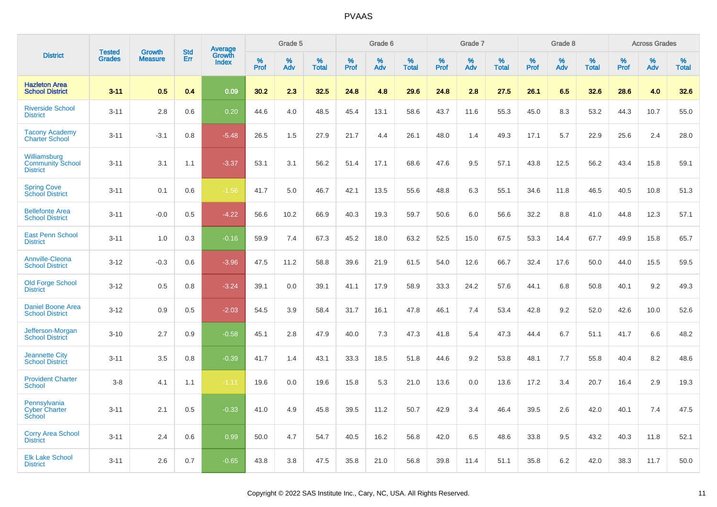| <b>District</b>                                            | <b>Tested</b> | <b>Growth</b>  | <b>Std</b> | Average                |              | Grade 5  |                   |              | Grade 6  |                   |              | Grade 7  |                   |              | Grade 8  |                   |              | <b>Across Grades</b> |                   |
|------------------------------------------------------------|---------------|----------------|------------|------------------------|--------------|----------|-------------------|--------------|----------|-------------------|--------------|----------|-------------------|--------------|----------|-------------------|--------------|----------------------|-------------------|
|                                                            | <b>Grades</b> | <b>Measure</b> | Err        | Growth<br><b>Index</b> | $\%$<br>Prof | %<br>Adv | %<br><b>Total</b> | $\%$<br>Prof | %<br>Adv | %<br><b>Total</b> | $\%$<br>Prof | %<br>Adv | %<br><b>Total</b> | $\%$<br>Prof | %<br>Adv | %<br><b>Total</b> | $\%$<br>Prof | %<br>Adv             | %<br><b>Total</b> |
| <b>Hazleton Area</b><br><b>School District</b>             | $3 - 11$      | 0.5            | 0.4        | 0.09                   | 30.2         | 2.3      | 32.5              | 24.8         | 4.8      | 29.6              | 24.8         | 2.8      | 27.5              | 26.1         | 6.5      | 32.6              | 28.6         | 4.0                  | 32.6              |
| <b>Riverside School</b><br><b>District</b>                 | $3 - 11$      | 2.8            | 0.6        | 0.20                   | 44.6         | 4.0      | 48.5              | 45.4         | 13.1     | 58.6              | 43.7         | 11.6     | 55.3              | 45.0         | 8.3      | 53.2              | 44.3         | 10.7                 | 55.0              |
| <b>Tacony Academy</b><br><b>Charter School</b>             | $3 - 11$      | $-3.1$         | 0.8        | $-5.48$                | 26.5         | 1.5      | 27.9              | 21.7         | 4.4      | 26.1              | 48.0         | 1.4      | 49.3              | 17.1         | 5.7      | 22.9              | 25.6         | 2.4                  | 28.0              |
| Williamsburg<br><b>Community School</b><br><b>District</b> | $3 - 11$      | 3.1            | 1.1        | $-3.37$                | 53.1         | 3.1      | 56.2              | 51.4         | 17.1     | 68.6              | 47.6         | 9.5      | 57.1              | 43.8         | 12.5     | 56.2              | 43.4         | 15.8                 | 59.1              |
| <b>Spring Cove</b><br>School District                      | $3 - 11$      | 0.1            | 0.6        | $-1.56$                | 41.7         | 5.0      | 46.7              | 42.1         | 13.5     | 55.6              | 48.8         | 6.3      | 55.1              | 34.6         | 11.8     | 46.5              | 40.5         | 10.8                 | 51.3              |
| <b>Bellefonte Area</b><br><b>School District</b>           | $3 - 11$      | $-0.0$         | 0.5        | $-4.22$                | 56.6         | 10.2     | 66.9              | 40.3         | 19.3     | 59.7              | 50.6         | 6.0      | 56.6              | 32.2         | 8.8      | 41.0              | 44.8         | 12.3                 | 57.1              |
| <b>East Penn School</b><br><b>District</b>                 | $3 - 11$      | 1.0            | 0.3        | $-0.16$                | 59.9         | 7.4      | 67.3              | 45.2         | 18.0     | 63.2              | 52.5         | 15.0     | 67.5              | 53.3         | 14.4     | 67.7              | 49.9         | 15.8                 | 65.7              |
| <b>Annville-Cleona</b><br><b>School District</b>           | $3 - 12$      | $-0.3$         | 0.6        | $-3.96$                | 47.5         | 11.2     | 58.8              | 39.6         | 21.9     | 61.5              | 54.0         | 12.6     | 66.7              | 32.4         | 17.6     | 50.0              | 44.0         | 15.5                 | 59.5              |
| <b>Old Forge School</b><br><b>District</b>                 | $3 - 12$      | 0.5            | 0.8        | $-3.24$                | 39.1         | 0.0      | 39.1              | 41.1         | 17.9     | 58.9              | 33.3         | 24.2     | 57.6              | 44.1         | 6.8      | 50.8              | 40.1         | 9.2                  | 49.3              |
| <b>Daniel Boone Area</b><br><b>School District</b>         | $3 - 12$      | 0.9            | 0.5        | $-2.03$                | 54.5         | 3.9      | 58.4              | 31.7         | 16.1     | 47.8              | 46.1         | 7.4      | 53.4              | 42.8         | 9.2      | 52.0              | 42.6         | 10.0                 | 52.6              |
| Jefferson-Morgan<br><b>School District</b>                 | $3 - 10$      | 2.7            | 0.9        | $-0.58$                | 45.1         | 2.8      | 47.9              | 40.0         | 7.3      | 47.3              | 41.8         | 5.4      | 47.3              | 44.4         | 6.7      | 51.1              | 41.7         | 6.6                  | 48.2              |
| <b>Jeannette City</b><br><b>School District</b>            | $3 - 11$      | 3.5            | 0.8        | $-0.39$                | 41.7         | 1.4      | 43.1              | 33.3         | 18.5     | 51.8              | 44.6         | 9.2      | 53.8              | 48.1         | 7.7      | 55.8              | 40.4         | 8.2                  | 48.6              |
| <b>Provident Charter</b><br><b>School</b>                  | $3 - 8$       | 4.1            | 1.1        | $-1.11$                | 19.6         | 0.0      | 19.6              | 15.8         | 5.3      | 21.0              | 13.6         | 0.0      | 13.6              | 17.2         | 3.4      | 20.7              | 16.4         | 2.9                  | 19.3              |
| Pennsylvania<br><b>Cyber Charter</b><br>School             | $3 - 11$      | 2.1            | 0.5        | $-0.33$                | 41.0         | 4.9      | 45.8              | 39.5         | 11.2     | 50.7              | 42.9         | 3.4      | 46.4              | 39.5         | 2.6      | 42.0              | 40.1         | 7.4                  | 47.5              |
| <b>Corry Area School</b><br><b>District</b>                | $3 - 11$      | 2.4            | 0.6        | 0.99                   | 50.0         | 4.7      | 54.7              | 40.5         | 16.2     | 56.8              | 42.0         | 6.5      | 48.6              | 33.8         | 9.5      | 43.2              | 40.3         | 11.8                 | 52.1              |
| <b>Elk Lake School</b><br><b>District</b>                  | $3 - 11$      | 2.6            | 0.7        | $-0.65$                | 43.8         | 3.8      | 47.5              | 35.8         | 21.0     | 56.8              | 39.8         | 11.4     | 51.1              | 35.8         | 6.2      | 42.0              | 38.3         | 11.7                 | 50.0              |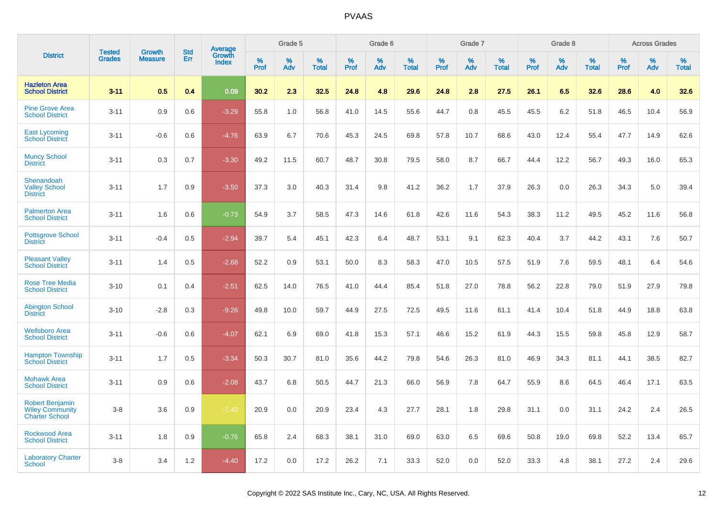|                                                                           | <b>Tested</b> | <b>Growth</b>  | <b>Std</b> | Average         |              | Grade 5  |                   |              | Grade 6  |                   |              | Grade 7  |                   |              | Grade 8  |                   |              | <b>Across Grades</b> |                   |
|---------------------------------------------------------------------------|---------------|----------------|------------|-----------------|--------------|----------|-------------------|--------------|----------|-------------------|--------------|----------|-------------------|--------------|----------|-------------------|--------------|----------------------|-------------------|
| <b>District</b>                                                           | <b>Grades</b> | <b>Measure</b> | Err        | Growth<br>Index | $\%$<br>Prof | %<br>Adv | %<br><b>Total</b> | $\%$<br>Prof | %<br>Adv | %<br><b>Total</b> | $\%$<br>Prof | %<br>Adv | %<br><b>Total</b> | $\%$<br>Prof | %<br>Adv | %<br><b>Total</b> | $\%$<br>Prof | $\%$<br>Adv          | %<br><b>Total</b> |
| <b>Hazleton Area</b><br><b>School District</b>                            | $3 - 11$      | 0.5            | 0.4        | 0.09            | 30.2         | 2.3      | 32.5              | 24.8         | 4.8      | 29.6              | 24.8         | 2.8      | 27.5              | 26.1         | 6.5      | 32.6              | 28.6         | 4.0                  | 32.6              |
| <b>Pine Grove Area</b><br><b>School District</b>                          | $3 - 11$      | 0.9            | 0.6        | $-3.29$         | 55.8         | 1.0      | 56.8              | 41.0         | 14.5     | 55.6              | 44.7         | 0.8      | 45.5              | 45.5         | 6.2      | 51.8              | 46.5         | 10.4                 | 56.9              |
| <b>East Lycoming</b><br><b>School District</b>                            | $3 - 11$      | $-0.6$         | 0.6        | $-4.76$         | 63.9         | 6.7      | 70.6              | 45.3         | 24.5     | 69.8              | 57.8         | 10.7     | 68.6              | 43.0         | 12.4     | 55.4              | 47.7         | 14.9                 | 62.6              |
| <b>Muncy School</b><br><b>District</b>                                    | $3 - 11$      | 0.3            | 0.7        | $-3.30$         | 49.2         | 11.5     | 60.7              | 48.7         | 30.8     | 79.5              | 58.0         | 8.7      | 66.7              | 44.4         | 12.2     | 56.7              | 49.3         | 16.0                 | 65.3              |
| Shenandoah<br><b>Valley School</b><br><b>District</b>                     | $3 - 11$      | 1.7            | 0.9        | $-3.50$         | 37.3         | 3.0      | 40.3              | 31.4         | 9.8      | 41.2              | 36.2         | 1.7      | 37.9              | 26.3         | 0.0      | 26.3              | 34.3         | 5.0                  | 39.4              |
| <b>Palmerton Area</b><br><b>School District</b>                           | $3 - 11$      | 1.6            | 0.6        | $-0.73$         | 54.9         | 3.7      | 58.5              | 47.3         | 14.6     | 61.8              | 42.6         | 11.6     | 54.3              | 38.3         | 11.2     | 49.5              | 45.2         | 11.6                 | 56.8              |
| <b>Pottsgrove School</b><br><b>District</b>                               | $3 - 11$      | $-0.4$         | 0.5        | $-2.94$         | 39.7         | 5.4      | 45.1              | 42.3         | 6.4      | 48.7              | 53.1         | 9.1      | 62.3              | 40.4         | 3.7      | 44.2              | 43.1         | 7.6                  | 50.7              |
| <b>Pleasant Valley</b><br><b>School District</b>                          | $3 - 11$      | 1.4            | 0.5        | $-2.68$         | 52.2         | 0.9      | 53.1              | 50.0         | 8.3      | 58.3              | 47.0         | 10.5     | 57.5              | 51.9         | 7.6      | 59.5              | 48.1         | 6.4                  | 54.6              |
| <b>Rose Tree Media</b><br><b>School District</b>                          | $3 - 10$      | 0.1            | 0.4        | $-2.51$         | 62.5         | 14.0     | 76.5              | 41.0         | 44.4     | 85.4              | 51.8         | 27.0     | 78.8              | 56.2         | 22.8     | 79.0              | 51.9         | 27.9                 | 79.8              |
| <b>Abington School</b><br><b>District</b>                                 | $3 - 10$      | $-2.8$         | 0.3        | $-9.26$         | 49.8         | 10.0     | 59.7              | 44.9         | 27.5     | 72.5              | 49.5         | 11.6     | 61.1              | 41.4         | 10.4     | 51.8              | 44.9         | 18.8                 | 63.8              |
| <b>Wellsboro Area</b><br><b>School District</b>                           | $3 - 11$      | $-0.6$         | 0.6        | $-4.07$         | 62.1         | 6.9      | 69.0              | 41.8         | 15.3     | 57.1              | 46.6         | 15.2     | 61.9              | 44.3         | 15.5     | 59.8              | 45.8         | 12.9                 | 58.7              |
| <b>Hampton Township</b><br><b>School District</b>                         | $3 - 11$      | 1.7            | 0.5        | $-3.34$         | 50.3         | 30.7     | 81.0              | 35.6         | 44.2     | 79.8              | 54.6         | 26.3     | 81.0              | 46.9         | 34.3     | 81.1              | 44.1         | 38.5                 | 82.7              |
| <b>Mohawk Area</b><br><b>School District</b>                              | $3 - 11$      | 0.9            | 0.6        | $-2.08$         | 43.7         | 6.8      | 50.5              | 44.7         | 21.3     | 66.0              | 56.9         | 7.8      | 64.7              | 55.9         | 8.6      | 64.5              | 46.4         | 17.1                 | 63.5              |
| <b>Robert Benjamin</b><br><b>Wiley Community</b><br><b>Charter School</b> | $3 - 8$       | 3.6            | 0.9        | $-1.43$         | 20.9         | 0.0      | 20.9              | 23.4         | 4.3      | 27.7              | 28.1         | 1.8      | 29.8              | 31.1         | 0.0      | 31.1              | 24.2         | 2.4                  | 26.5              |
| <b>Rockwood Area</b><br><b>School District</b>                            | $3 - 11$      | 1.8            | 0.9        | $-0.76$         | 65.8         | 2.4      | 68.3              | 38.1         | 31.0     | 69.0              | 63.0         | 6.5      | 69.6              | 50.8         | 19.0     | 69.8              | 52.2         | 13.4                 | 65.7              |
| <b>Laboratory Charter</b><br><b>School</b>                                | $3 - 8$       | 3.4            | 1.2        | $-4.40$         | 17.2         | 0.0      | 17.2              | 26.2         | 7.1      | 33.3              | 52.0         | 0.0      | 52.0              | 33.3         | 4.8      | 38.1              | 27.2         | 2.4                  | 29.6              |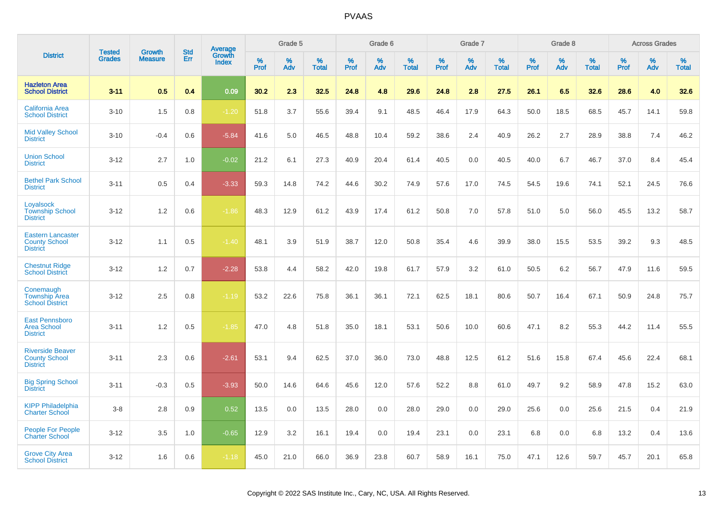|                                                                     | <b>Tested</b> | <b>Growth</b>  | <b>Std</b> | Average                |           | Grade 5  |                   |           | Grade 6  |                   |           | Grade 7  |                   |           | Grade 8  |                   |                  | <b>Across Grades</b> |                   |
|---------------------------------------------------------------------|---------------|----------------|------------|------------------------|-----------|----------|-------------------|-----------|----------|-------------------|-----------|----------|-------------------|-----------|----------|-------------------|------------------|----------------------|-------------------|
| <b>District</b>                                                     | <b>Grades</b> | <b>Measure</b> | Err        | Growth<br><b>Index</b> | %<br>Prof | %<br>Adv | %<br><b>Total</b> | %<br>Prof | %<br>Adv | %<br><b>Total</b> | %<br>Prof | %<br>Adv | %<br><b>Total</b> | %<br>Prof | %<br>Adv | %<br><b>Total</b> | %<br><b>Prof</b> | %<br>Adv             | %<br><b>Total</b> |
| <b>Hazleton Area</b><br><b>School District</b>                      | $3 - 11$      | 0.5            | 0.4        | 0.09                   | 30.2      | 2.3      | 32.5              | 24.8      | 4.8      | 29.6              | 24.8      | 2.8      | 27.5              | 26.1      | 6.5      | 32.6              | 28.6             | 4.0                  | 32.6              |
| <b>California Area</b><br><b>School District</b>                    | $3 - 10$      | 1.5            | 0.8        | $-1.20$                | 51.8      | 3.7      | 55.6              | 39.4      | 9.1      | 48.5              | 46.4      | 17.9     | 64.3              | 50.0      | 18.5     | 68.5              | 45.7             | 14.1                 | 59.8              |
| <b>Mid Valley School</b><br><b>District</b>                         | $3 - 10$      | $-0.4$         | 0.6        | $-5.84$                | 41.6      | 5.0      | 46.5              | 48.8      | 10.4     | 59.2              | 38.6      | 2.4      | 40.9              | 26.2      | 2.7      | 28.9              | 38.8             | 7.4                  | 46.2              |
| <b>Union School</b><br><b>District</b>                              | $3 - 12$      | 2.7            | 1.0        | $-0.02$                | 21.2      | 6.1      | 27.3              | 40.9      | 20.4     | 61.4              | 40.5      | 0.0      | 40.5              | 40.0      | 6.7      | 46.7              | 37.0             | 8.4                  | 45.4              |
| <b>Bethel Park School</b><br><b>District</b>                        | $3 - 11$      | 0.5            | 0.4        | $-3.33$                | 59.3      | 14.8     | 74.2              | 44.6      | 30.2     | 74.9              | 57.6      | 17.0     | 74.5              | 54.5      | 19.6     | 74.1              | 52.1             | 24.5                 | 76.6              |
| Loyalsock<br><b>Township School</b><br><b>District</b>              | $3 - 12$      | 1.2            | 0.6        | $-1.86$                | 48.3      | 12.9     | 61.2              | 43.9      | 17.4     | 61.2              | 50.8      | 7.0      | 57.8              | 51.0      | 5.0      | 56.0              | 45.5             | 13.2                 | 58.7              |
| <b>Eastern Lancaster</b><br><b>County School</b><br><b>District</b> | $3 - 12$      | 1.1            | 0.5        | $-1.40$                | 48.1      | 3.9      | 51.9              | 38.7      | 12.0     | 50.8              | 35.4      | 4.6      | 39.9              | 38.0      | 15.5     | 53.5              | 39.2             | 9.3                  | 48.5              |
| <b>Chestnut Ridge</b><br><b>School District</b>                     | $3 - 12$      | 1.2            | 0.7        | $-2.28$                | 53.8      | 4.4      | 58.2              | 42.0      | 19.8     | 61.7              | 57.9      | 3.2      | 61.0              | 50.5      | 6.2      | 56.7              | 47.9             | 11.6                 | 59.5              |
| Conemaugh<br><b>Township Area</b><br><b>School District</b>         | $3 - 12$      | 2.5            | 0.8        | $-1.19$                | 53.2      | 22.6     | 75.8              | 36.1      | 36.1     | 72.1              | 62.5      | 18.1     | 80.6              | 50.7      | 16.4     | 67.1              | 50.9             | 24.8                 | 75.7              |
| <b>East Pennsboro</b><br><b>Area School</b><br><b>District</b>      | $3 - 11$      | 1.2            | 0.5        | $-1.85$                | 47.0      | 4.8      | 51.8              | 35.0      | 18.1     | 53.1              | 50.6      | 10.0     | 60.6              | 47.1      | 8.2      | 55.3              | 44.2             | 11.4                 | 55.5              |
| <b>Riverside Beaver</b><br><b>County School</b><br><b>District</b>  | $3 - 11$      | 2.3            | 0.6        | $-2.61$                | 53.1      | 9.4      | 62.5              | 37.0      | 36.0     | 73.0              | 48.8      | 12.5     | 61.2              | 51.6      | 15.8     | 67.4              | 45.6             | 22.4                 | 68.1              |
| <b>Big Spring School</b><br><b>District</b>                         | $3 - 11$      | $-0.3$         | 0.5        | $-3.93$                | 50.0      | 14.6     | 64.6              | 45.6      | 12.0     | 57.6              | 52.2      | 8.8      | 61.0              | 49.7      | 9.2      | 58.9              | 47.8             | 15.2                 | 63.0              |
| <b>KIPP Philadelphia</b><br><b>Charter School</b>                   | $3-8$         | 2.8            | 0.9        | 0.52                   | 13.5      | 0.0      | 13.5              | 28.0      | 0.0      | 28.0              | 29.0      | 0.0      | 29.0              | 25.6      | 0.0      | 25.6              | 21.5             | 0.4                  | 21.9              |
| <b>People For People</b><br><b>Charter School</b>                   | $3 - 12$      | 3.5            | 1.0        | $-0.65$                | 12.9      | 3.2      | 16.1              | 19.4      | 0.0      | 19.4              | 23.1      | 0.0      | 23.1              | 6.8       | 0.0      | 6.8               | 13.2             | 0.4                  | 13.6              |
| <b>Grove City Area</b><br><b>School District</b>                    | $3 - 12$      | 1.6            | 0.6        | $-1.18$                | 45.0      | 21.0     | 66.0              | 36.9      | 23.8     | 60.7              | 58.9      | 16.1     | 75.0              | 47.1      | 12.6     | 59.7              | 45.7             | 20.1                 | 65.8              |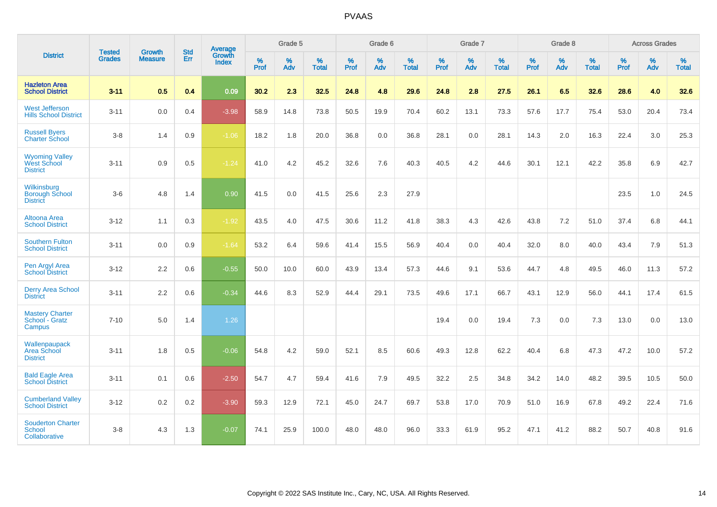|                                                                | <b>Tested</b> | <b>Growth</b>  | <b>Std</b> | Average                |              | Grade 5  |                   |                     | Grade 6  |                   |              | Grade 7  |                   |                     | Grade 8  |                   |                     | <b>Across Grades</b> |                   |
|----------------------------------------------------------------|---------------|----------------|------------|------------------------|--------------|----------|-------------------|---------------------|----------|-------------------|--------------|----------|-------------------|---------------------|----------|-------------------|---------------------|----------------------|-------------------|
| <b>District</b>                                                | <b>Grades</b> | <b>Measure</b> | Err        | Growth<br><b>Index</b> | $\%$<br>Prof | %<br>Adv | %<br><b>Total</b> | $\%$<br><b>Prof</b> | %<br>Adv | %<br><b>Total</b> | $\%$<br>Prof | %<br>Adv | %<br><b>Total</b> | $\%$<br><b>Prof</b> | %<br>Adv | %<br><b>Total</b> | $\%$<br><b>Prof</b> | $\%$<br>Adv          | %<br><b>Total</b> |
| <b>Hazleton Area</b><br><b>School District</b>                 | $3 - 11$      | 0.5            | 0.4        | 0.09                   | 30.2         | 2.3      | 32.5              | 24.8                | 4.8      | 29.6              | 24.8         | 2.8      | 27.5              | 26.1                | 6.5      | 32.6              | 28.6                | 4.0                  | 32.6              |
| <b>West Jefferson</b><br><b>Hills School District</b>          | $3 - 11$      | 0.0            | 0.4        | $-3.98$                | 58.9         | 14.8     | 73.8              | 50.5                | 19.9     | 70.4              | 60.2         | 13.1     | 73.3              | 57.6                | 17.7     | 75.4              | 53.0                | 20.4                 | 73.4              |
| <b>Russell Byers</b><br><b>Charter School</b>                  | $3 - 8$       | 1.4            | 0.9        | $-1.06$                | 18.2         | 1.8      | 20.0              | 36.8                | 0.0      | 36.8              | 28.1         | 0.0      | 28.1              | 14.3                | 2.0      | 16.3              | 22.4                | 3.0                  | 25.3              |
| <b>Wyoming Valley</b><br><b>West School</b><br><b>District</b> | $3 - 11$      | 0.9            | 0.5        | $-1.24$                | 41.0         | 4.2      | 45.2              | 32.6                | 7.6      | 40.3              | 40.5         | 4.2      | 44.6              | 30.1                | 12.1     | 42.2              | 35.8                | 6.9                  | 42.7              |
| Wilkinsburg<br><b>Borough School</b><br><b>District</b>        | $3-6$         | 4.8            | 1.4        | 0.90                   | 41.5         | 0.0      | 41.5              | 25.6                | 2.3      | 27.9              |              |          |                   |                     |          |                   | 23.5                | 1.0                  | 24.5              |
| Altoona Area<br><b>School District</b>                         | $3 - 12$      | 1.1            | 0.3        | $-1.92$                | 43.5         | 4.0      | 47.5              | 30.6                | 11.2     | 41.8              | 38.3         | 4.3      | 42.6              | 43.8                | 7.2      | 51.0              | 37.4                | 6.8                  | 44.1              |
| <b>Southern Fulton</b><br><b>School District</b>               | $3 - 11$      | 0.0            | 0.9        | $-1.64$                | 53.2         | 6.4      | 59.6              | 41.4                | 15.5     | 56.9              | 40.4         | 0.0      | 40.4              | 32.0                | 8.0      | 40.0              | 43.4                | 7.9                  | 51.3              |
| Pen Argyl Area<br><b>School District</b>                       | $3 - 12$      | 2.2            | 0.6        | $-0.55$                | 50.0         | 10.0     | 60.0              | 43.9                | 13.4     | 57.3              | 44.6         | 9.1      | 53.6              | 44.7                | 4.8      | 49.5              | 46.0                | 11.3                 | 57.2              |
| <b>Derry Area School</b><br><b>District</b>                    | $3 - 11$      | 2.2            | 0.6        | $-0.34$                | 44.6         | 8.3      | 52.9              | 44.4                | 29.1     | 73.5              | 49.6         | 17.1     | 66.7              | 43.1                | 12.9     | 56.0              | 44.1                | 17.4                 | 61.5              |
| <b>Mastery Charter</b><br>School - Gratz<br>Campus             | $7 - 10$      | 5.0            | 1.4        | 1.26                   |              |          |                   |                     |          |                   | 19.4         | 0.0      | 19.4              | 7.3                 | 0.0      | 7.3               | 13.0                | 0.0                  | 13.0              |
| Wallenpaupack<br>Area School<br><b>District</b>                | $3 - 11$      | 1.8            | 0.5        | $-0.06$                | 54.8         | 4.2      | 59.0              | 52.1                | 8.5      | 60.6              | 49.3         | 12.8     | 62.2              | 40.4                | 6.8      | 47.3              | 47.2                | 10.0                 | 57.2              |
| <b>Bald Eagle Area</b><br><b>School District</b>               | $3 - 11$      | 0.1            | 0.6        | $-2.50$                | 54.7         | 4.7      | 59.4              | 41.6                | 7.9      | 49.5              | 32.2         | 2.5      | 34.8              | 34.2                | 14.0     | 48.2              | 39.5                | 10.5                 | 50.0              |
| <b>Cumberland Valley</b><br><b>School District</b>             | $3 - 12$      | $0.2\,$        | 0.2        | $-3.90$                | 59.3         | 12.9     | 72.1              | 45.0                | 24.7     | 69.7              | 53.8         | 17.0     | 70.9              | 51.0                | 16.9     | 67.8              | 49.2                | 22.4                 | 71.6              |
| <b>Souderton Charter</b><br>School<br>Collaborative            | $3 - 8$       | 4.3            | 1.3        | $-0.07$                | 74.1         | 25.9     | 100.0             | 48.0                | 48.0     | 96.0              | 33.3         | 61.9     | 95.2              | 47.1                | 41.2     | 88.2              | 50.7                | 40.8                 | 91.6              |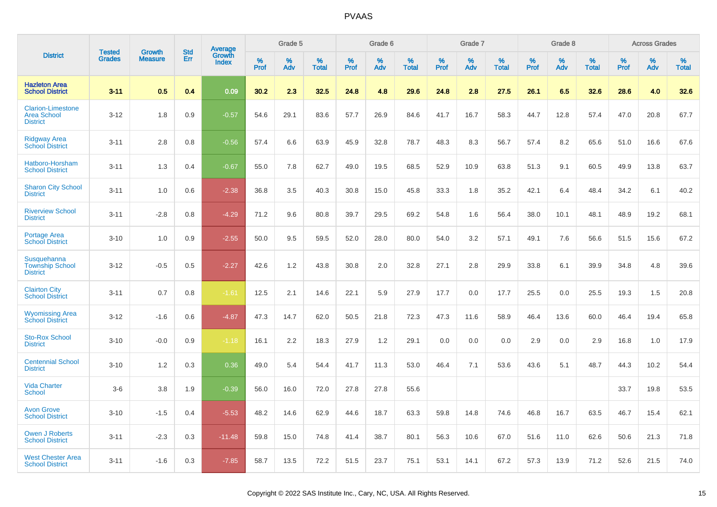|                                                                   | <b>Tested</b> | <b>Growth</b>  | <b>Std</b> | Average                |              | Grade 5  |                   |              | Grade 6  |                   |              | Grade 7  |                   |              | Grade 8  |                   |              | <b>Across Grades</b> |                   |
|-------------------------------------------------------------------|---------------|----------------|------------|------------------------|--------------|----------|-------------------|--------------|----------|-------------------|--------------|----------|-------------------|--------------|----------|-------------------|--------------|----------------------|-------------------|
| <b>District</b>                                                   | <b>Grades</b> | <b>Measure</b> | Err        | Growth<br><b>Index</b> | $\%$<br>Prof | %<br>Adv | %<br><b>Total</b> | $\%$<br>Prof | %<br>Adv | %<br><b>Total</b> | $\%$<br>Prof | %<br>Adv | %<br><b>Total</b> | $\%$<br>Prof | %<br>Adv | %<br><b>Total</b> | $\%$<br>Prof | %<br>Adv             | %<br><b>Total</b> |
| <b>Hazleton Area</b><br><b>School District</b>                    | $3 - 11$      | 0.5            | 0.4        | 0.09                   | 30.2         | 2.3      | 32.5              | 24.8         | 4.8      | 29.6              | 24.8         | 2.8      | 27.5              | 26.1         | 6.5      | 32.6              | 28.6         | 4.0                  | 32.6              |
| <b>Clarion-Limestone</b><br><b>Area School</b><br><b>District</b> | $3 - 12$      | 1.8            | 0.9        | $-0.57$                | 54.6         | 29.1     | 83.6              | 57.7         | 26.9     | 84.6              | 41.7         | 16.7     | 58.3              | 44.7         | 12.8     | 57.4              | 47.0         | 20.8                 | 67.7              |
| <b>Ridgway Area</b><br><b>School District</b>                     | $3 - 11$      | 2.8            | 0.8        | $-0.56$                | 57.4         | 6.6      | 63.9              | 45.9         | 32.8     | 78.7              | 48.3         | 8.3      | 56.7              | 57.4         | 8.2      | 65.6              | 51.0         | 16.6                 | 67.6              |
| Hatboro-Horsham<br><b>School District</b>                         | $3 - 11$      | 1.3            | 0.4        | $-0.67$                | 55.0         | 7.8      | 62.7              | 49.0         | 19.5     | 68.5              | 52.9         | 10.9     | 63.8              | 51.3         | 9.1      | 60.5              | 49.9         | 13.8                 | 63.7              |
| <b>Sharon City School</b><br><b>District</b>                      | $3 - 11$      | 1.0            | 0.6        | $-2.38$                | 36.8         | 3.5      | 40.3              | 30.8         | 15.0     | 45.8              | 33.3         | 1.8      | 35.2              | 42.1         | 6.4      | 48.4              | 34.2         | 6.1                  | 40.2              |
| <b>Riverview School</b><br><b>District</b>                        | $3 - 11$      | $-2.8$         | 0.8        | $-4.29$                | 71.2         | 9.6      | 80.8              | 39.7         | 29.5     | 69.2              | 54.8         | 1.6      | 56.4              | 38.0         | 10.1     | 48.1              | 48.9         | 19.2                 | 68.1              |
| <b>Portage Area</b><br><b>School District</b>                     | $3 - 10$      | 1.0            | 0.9        | $-2.55$                | 50.0         | 9.5      | 59.5              | 52.0         | 28.0     | 80.0              | 54.0         | 3.2      | 57.1              | 49.1         | 7.6      | 56.6              | 51.5         | 15.6                 | 67.2              |
| Susquehanna<br><b>Township School</b><br><b>District</b>          | $3 - 12$      | $-0.5$         | 0.5        | $-2.27$                | 42.6         | 1.2      | 43.8              | 30.8         | 2.0      | 32.8              | 27.1         | 2.8      | 29.9              | 33.8         | 6.1      | 39.9              | 34.8         | 4.8                  | 39.6              |
| <b>Clairton City</b><br><b>School District</b>                    | $3 - 11$      | 0.7            | 0.8        | $-1.61$                | 12.5         | 2.1      | 14.6              | 22.1         | 5.9      | 27.9              | 17.7         | 0.0      | 17.7              | 25.5         | 0.0      | 25.5              | 19.3         | 1.5                  | 20.8              |
| <b>Wyomissing Area</b><br><b>School District</b>                  | $3 - 12$      | $-1.6$         | 0.6        | $-4.87$                | 47.3         | 14.7     | 62.0              | 50.5         | 21.8     | 72.3              | 47.3         | 11.6     | 58.9              | 46.4         | 13.6     | 60.0              | 46.4         | 19.4                 | 65.8              |
| <b>Sto-Rox School</b><br><b>District</b>                          | $3 - 10$      | $-0.0$         | 0.9        | $-1.18$                | 16.1         | 2.2      | 18.3              | 27.9         | 1.2      | 29.1              | 0.0          | 0.0      | 0.0               | 2.9          | 0.0      | 2.9               | 16.8         | 1.0                  | 17.9              |
| <b>Centennial School</b><br><b>District</b>                       | $3 - 10$      | 1.2            | 0.3        | 0.36                   | 49.0         | 5.4      | 54.4              | 41.7         | 11.3     | 53.0              | 46.4         | 7.1      | 53.6              | 43.6         | 5.1      | 48.7              | 44.3         | 10.2                 | 54.4              |
| <b>Vida Charter</b><br><b>School</b>                              | $3-6$         | 3.8            | 1.9        | $-0.39$                | 56.0         | 16.0     | 72.0              | 27.8         | 27.8     | 55.6              |              |          |                   |              |          |                   | 33.7         | 19.8                 | 53.5              |
| <b>Avon Grove</b><br><b>School District</b>                       | $3 - 10$      | $-1.5$         | 0.4        | $-5.53$                | 48.2         | 14.6     | 62.9              | 44.6         | 18.7     | 63.3              | 59.8         | 14.8     | 74.6              | 46.8         | 16.7     | 63.5              | 46.7         | 15.4                 | 62.1              |
| <b>Owen J Roberts</b><br><b>School District</b>                   | $3 - 11$      | $-2.3$         | 0.3        | $-11.48$               | 59.8         | 15.0     | 74.8              | 41.4         | 38.7     | 80.1              | 56.3         | 10.6     | 67.0              | 51.6         | 11.0     | 62.6              | 50.6         | 21.3                 | 71.8              |
| <b>West Chester Area</b><br><b>School District</b>                | $3 - 11$      | $-1.6$         | 0.3        | $-7.85$                | 58.7         | 13.5     | 72.2              | 51.5         | 23.7     | 75.1              | 53.1         | 14.1     | 67.2              | 57.3         | 13.9     | 71.2              | 52.6         | 21.5                 | 74.0              |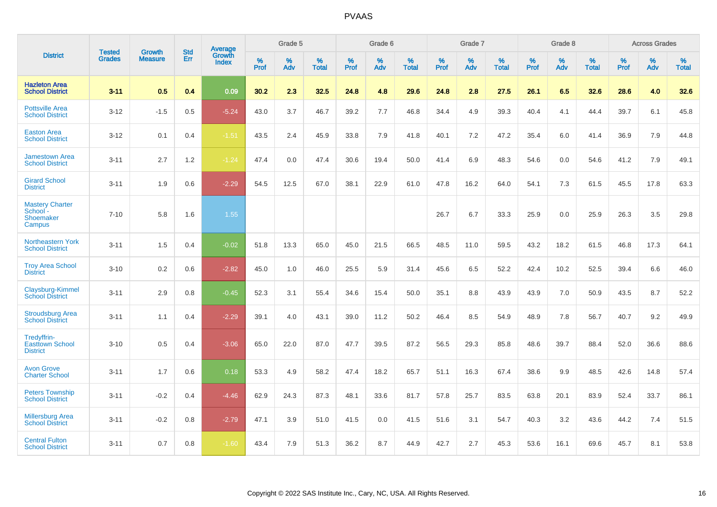|                                                           | <b>Tested</b> | <b>Growth</b>  | <b>Std</b> | <b>Average</b>         |           | Grade 5  |                   |           | Grade 6  |                   |           | Grade 7  |                   |           | Grade 8  |                   |           | <b>Across Grades</b> |                   |
|-----------------------------------------------------------|---------------|----------------|------------|------------------------|-----------|----------|-------------------|-----------|----------|-------------------|-----------|----------|-------------------|-----------|----------|-------------------|-----------|----------------------|-------------------|
| <b>District</b>                                           | <b>Grades</b> | <b>Measure</b> | Err        | Growth<br><b>Index</b> | %<br>Prof | %<br>Adv | %<br><b>Total</b> | %<br>Prof | %<br>Adv | %<br><b>Total</b> | %<br>Prof | %<br>Adv | %<br><b>Total</b> | %<br>Prof | %<br>Adv | %<br><b>Total</b> | %<br>Prof | %<br>Adv             | %<br><b>Total</b> |
| <b>Hazleton Area</b><br><b>School District</b>            | $3 - 11$      | 0.5            | 0.4        | 0.09                   | 30.2      | 2.3      | 32.5              | 24.8      | 4.8      | 29.6              | 24.8      | 2.8      | 27.5              | 26.1      | 6.5      | 32.6              | 28.6      | 4.0                  | 32.6              |
| <b>Pottsville Area</b><br><b>School District</b>          | $3 - 12$      | $-1.5$         | 0.5        | $-5.24$                | 43.0      | 3.7      | 46.7              | 39.2      | 7.7      | 46.8              | 34.4      | 4.9      | 39.3              | 40.4      | 4.1      | 44.4              | 39.7      | 6.1                  | 45.8              |
| <b>Easton Area</b><br><b>School District</b>              | $3 - 12$      | 0.1            | 0.4        | $-1.51$                | 43.5      | 2.4      | 45.9              | 33.8      | 7.9      | 41.8              | 40.1      | 7.2      | 47.2              | 35.4      | 6.0      | 41.4              | 36.9      | 7.9                  | 44.8              |
| <b>Jamestown Area</b><br><b>School District</b>           | $3 - 11$      | 2.7            | 1.2        | $-1.24$                | 47.4      | 0.0      | 47.4              | 30.6      | 19.4     | 50.0              | 41.4      | 6.9      | 48.3              | 54.6      | 0.0      | 54.6              | 41.2      | 7.9                  | 49.1              |
| <b>Girard School</b><br><b>District</b>                   | $3 - 11$      | 1.9            | 0.6        | $-2.29$                | 54.5      | 12.5     | 67.0              | 38.1      | 22.9     | 61.0              | 47.8      | 16.2     | 64.0              | 54.1      | 7.3      | 61.5              | 45.5      | 17.8                 | 63.3              |
| <b>Mastery Charter</b><br>School -<br>Shoemaker<br>Campus | $7 - 10$      | 5.8            | 1.6        | 1.55                   |           |          |                   |           |          |                   | 26.7      | 6.7      | 33.3              | 25.9      | 0.0      | 25.9              | 26.3      | 3.5                  | 29.8              |
| Northeastern York<br><b>School District</b>               | $3 - 11$      | 1.5            | 0.4        | $-0.02$                | 51.8      | 13.3     | 65.0              | 45.0      | 21.5     | 66.5              | 48.5      | 11.0     | 59.5              | 43.2      | 18.2     | 61.5              | 46.8      | 17.3                 | 64.1              |
| <b>Troy Area School</b><br><b>District</b>                | $3 - 10$      | 0.2            | 0.6        | $-2.82$                | 45.0      | 1.0      | 46.0              | 25.5      | 5.9      | 31.4              | 45.6      | 6.5      | 52.2              | 42.4      | 10.2     | 52.5              | 39.4      | 6.6                  | 46.0              |
| Claysburg-Kimmel<br><b>School District</b>                | $3 - 11$      | 2.9            | 0.8        | $-0.45$                | 52.3      | 3.1      | 55.4              | 34.6      | 15.4     | 50.0              | 35.1      | 8.8      | 43.9              | 43.9      | 7.0      | 50.9              | 43.5      | 8.7                  | 52.2              |
| <b>Stroudsburg Area</b><br><b>School District</b>         | $3 - 11$      | 1.1            | 0.4        | $-2.29$                | 39.1      | 4.0      | 43.1              | 39.0      | 11.2     | 50.2              | 46.4      | 8.5      | 54.9              | 48.9      | 7.8      | 56.7              | 40.7      | 9.2                  | 49.9              |
| Tredyffrin-<br><b>Easttown School</b><br><b>District</b>  | $3 - 10$      | 0.5            | 0.4        | $-3.06$                | 65.0      | 22.0     | 87.0              | 47.7      | 39.5     | 87.2              | 56.5      | 29.3     | 85.8              | 48.6      | 39.7     | 88.4              | 52.0      | 36.6                 | 88.6              |
| <b>Avon Grove</b><br><b>Charter School</b>                | $3 - 11$      | 1.7            | 0.6        | 0.18                   | 53.3      | 4.9      | 58.2              | 47.4      | 18.2     | 65.7              | 51.1      | 16.3     | 67.4              | 38.6      | 9.9      | 48.5              | 42.6      | 14.8                 | 57.4              |
| <b>Peters Township</b><br><b>School District</b>          | $3 - 11$      | $-0.2$         | 0.4        | $-4.46$                | 62.9      | 24.3     | 87.3              | 48.1      | 33.6     | 81.7              | 57.8      | 25.7     | 83.5              | 63.8      | 20.1     | 83.9              | 52.4      | 33.7                 | 86.1              |
| <b>Millersburg Area</b><br><b>School District</b>         | $3 - 11$      | $-0.2$         | 0.8        | $-2.79$                | 47.1      | 3.9      | 51.0              | 41.5      | 0.0      | 41.5              | 51.6      | 3.1      | 54.7              | 40.3      | 3.2      | 43.6              | 44.2      | 7.4                  | 51.5              |
| <b>Central Fulton</b><br><b>School District</b>           | $3 - 11$      | 0.7            | 0.8        | $-1.60$                | 43.4      | 7.9      | 51.3              | 36.2      | 8.7      | 44.9              | 42.7      | 2.7      | 45.3              | 53.6      | 16.1     | 69.6              | 45.7      | 8.1                  | 53.8              |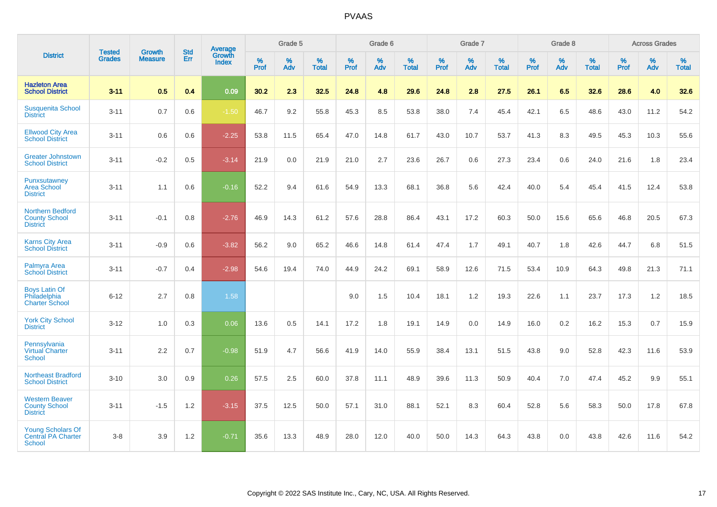|                                                                        |                                |                                 | <b>Std</b> | <b>Average</b>         |           | Grade 5  |                   |           | Grade 6  |                   |           | Grade 7  |                   |           | Grade 8  |                   |           | <b>Across Grades</b> |                   |
|------------------------------------------------------------------------|--------------------------------|---------------------------------|------------|------------------------|-----------|----------|-------------------|-----------|----------|-------------------|-----------|----------|-------------------|-----------|----------|-------------------|-----------|----------------------|-------------------|
| <b>District</b>                                                        | <b>Tested</b><br><b>Grades</b> | <b>Growth</b><br><b>Measure</b> | Err        | Growth<br><b>Index</b> | %<br>Prof | %<br>Adv | %<br><b>Total</b> | %<br>Prof | %<br>Adv | %<br><b>Total</b> | %<br>Prof | %<br>Adv | %<br><b>Total</b> | %<br>Prof | %<br>Adv | %<br><b>Total</b> | %<br>Prof | %<br>Adv             | %<br><b>Total</b> |
| <b>Hazleton Area</b><br><b>School District</b>                         | $3 - 11$                       | 0.5                             | 0.4        | 0.09                   | 30.2      | 2.3      | 32.5              | 24.8      | 4.8      | 29.6              | 24.8      | 2.8      | 27.5              | 26.1      | 6.5      | 32.6              | 28.6      | 4.0                  | 32.6              |
| <b>Susquenita School</b><br><b>District</b>                            | $3 - 11$                       | 0.7                             | 0.6        | $-1.50$                | 46.7      | 9.2      | 55.8              | 45.3      | 8.5      | 53.8              | 38.0      | 7.4      | 45.4              | 42.1      | 6.5      | 48.6              | 43.0      | 11.2                 | 54.2              |
| <b>Ellwood City Area</b><br><b>School District</b>                     | $3 - 11$                       | 0.6                             | 0.6        | $-2.25$                | 53.8      | 11.5     | 65.4              | 47.0      | 14.8     | 61.7              | 43.0      | 10.7     | 53.7              | 41.3      | 8.3      | 49.5              | 45.3      | 10.3                 | 55.6              |
| <b>Greater Johnstown</b><br><b>School District</b>                     | $3 - 11$                       | $-0.2$                          | 0.5        | $-3.14$                | 21.9      | 0.0      | 21.9              | 21.0      | 2.7      | 23.6              | 26.7      | 0.6      | 27.3              | 23.4      | 0.6      | 24.0              | 21.6      | 1.8                  | 23.4              |
| Punxsutawney<br><b>Area School</b><br><b>District</b>                  | $3 - 11$                       | 1.1                             | 0.6        | $-0.16$                | 52.2      | 9.4      | 61.6              | 54.9      | 13.3     | 68.1              | 36.8      | 5.6      | 42.4              | 40.0      | 5.4      | 45.4              | 41.5      | 12.4                 | 53.8              |
| <b>Northern Bedford</b><br><b>County School</b><br><b>District</b>     | $3 - 11$                       | $-0.1$                          | 0.8        | $-2.76$                | 46.9      | 14.3     | 61.2              | 57.6      | 28.8     | 86.4              | 43.1      | 17.2     | 60.3              | 50.0      | 15.6     | 65.6              | 46.8      | 20.5                 | 67.3              |
| <b>Karns City Area</b><br><b>School District</b>                       | $3 - 11$                       | $-0.9$                          | 0.6        | $-3.82$                | 56.2      | 9.0      | 65.2              | 46.6      | 14.8     | 61.4              | 47.4      | 1.7      | 49.1              | 40.7      | 1.8      | 42.6              | 44.7      | 6.8                  | 51.5              |
| Palmyra Area<br><b>School District</b>                                 | $3 - 11$                       | $-0.7$                          | 0.4        | $-2.98$                | 54.6      | 19.4     | 74.0              | 44.9      | 24.2     | 69.1              | 58.9      | 12.6     | 71.5              | 53.4      | 10.9     | 64.3              | 49.8      | 21.3                 | 71.1              |
| <b>Boys Latin Of</b><br>Philadelphia<br><b>Charter School</b>          | $6 - 12$                       | 2.7                             | 0.8        | 1.58                   |           |          |                   | 9.0       | 1.5      | 10.4              | 18.1      | 1.2      | 19.3              | 22.6      | 1.1      | 23.7              | 17.3      | 1.2                  | 18.5              |
| <b>York City School</b><br><b>District</b>                             | $3 - 12$                       | 1.0                             | 0.3        | 0.06                   | 13.6      | 0.5      | 14.1              | 17.2      | 1.8      | 19.1              | 14.9      | 0.0      | 14.9              | 16.0      | 0.2      | 16.2              | 15.3      | 0.7                  | 15.9              |
| Pennsylvania<br>Virtual Charter<br><b>School</b>                       | $3 - 11$                       | 2.2                             | 0.7        | $-0.98$                | 51.9      | 4.7      | 56.6              | 41.9      | 14.0     | 55.9              | 38.4      | 13.1     | 51.5              | 43.8      | 9.0      | 52.8              | 42.3      | 11.6                 | 53.9              |
| <b>Northeast Bradford</b><br><b>School District</b>                    | $3 - 10$                       | 3.0                             | 0.9        | 0.26                   | 57.5      | 2.5      | 60.0              | 37.8      | 11.1     | 48.9              | 39.6      | 11.3     | 50.9              | 40.4      | 7.0      | 47.4              | 45.2      | 9.9                  | 55.1              |
| <b>Western Beaver</b><br><b>County School</b><br><b>District</b>       | $3 - 11$                       | $-1.5$                          | 1.2        | $-3.15$                | 37.5      | 12.5     | 50.0              | 57.1      | 31.0     | 88.1              | 52.1      | 8.3      | 60.4              | 52.8      | 5.6      | 58.3              | 50.0      | 17.8                 | 67.8              |
| <b>Young Scholars Of</b><br><b>Central PA Charter</b><br><b>School</b> | $3 - 8$                        | 3.9                             | 1.2        | $-0.71$                | 35.6      | 13.3     | 48.9              | 28.0      | 12.0     | 40.0              | 50.0      | 14.3     | 64.3              | 43.8      | 0.0      | 43.8              | 42.6      | 11.6                 | 54.2              |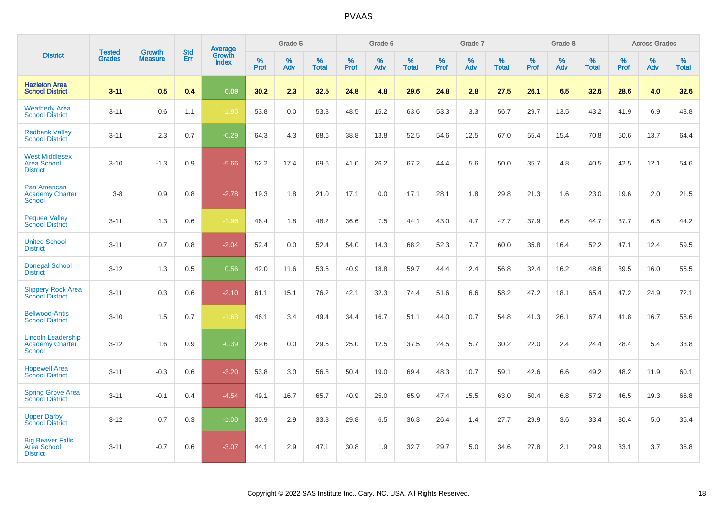|                                                                      |                                |                          | <b>Std</b> | Average         |           | Grade 5  |                   |           | Grade 6  |                   |           | Grade 7  |                   |           | Grade 8  |                   |           | <b>Across Grades</b> |                   |
|----------------------------------------------------------------------|--------------------------------|--------------------------|------------|-----------------|-----------|----------|-------------------|-----------|----------|-------------------|-----------|----------|-------------------|-----------|----------|-------------------|-----------|----------------------|-------------------|
| <b>District</b>                                                      | <b>Tested</b><br><b>Grades</b> | Growth<br><b>Measure</b> | Err        | Growth<br>Index | %<br>Prof | %<br>Adv | %<br><b>Total</b> | %<br>Prof | %<br>Adv | %<br><b>Total</b> | %<br>Prof | %<br>Adv | %<br><b>Total</b> | %<br>Prof | %<br>Adv | %<br><b>Total</b> | %<br>Prof | %<br>Adv             | %<br><b>Total</b> |
| <b>Hazleton Area</b><br><b>School District</b>                       | $3 - 11$                       | 0.5                      | 0.4        | 0.09            | 30.2      | 2.3      | 32.5              | 24.8      | 4.8      | 29.6              | 24.8      | 2.8      | 27.5              | 26.1      | 6.5      | 32.6              | 28.6      | 4.0                  | 32.6              |
| <b>Weatherly Area</b><br><b>School District</b>                      | $3 - 11$                       | 0.6                      | 1.1        | $-1.95$         | 53.8      | 0.0      | 53.8              | 48.5      | 15.2     | 63.6              | 53.3      | 3.3      | 56.7              | 29.7      | 13.5     | 43.2              | 41.9      | 6.9                  | 48.8              |
| <b>Redbank Valley</b><br><b>School District</b>                      | $3 - 11$                       | 2.3                      | 0.7        | $-0.29$         | 64.3      | 4.3      | 68.6              | 38.8      | 13.8     | 52.5              | 54.6      | 12.5     | 67.0              | 55.4      | 15.4     | 70.8              | 50.6      | 13.7                 | 64.4              |
| <b>West Middlesex</b><br><b>Area School</b><br><b>District</b>       | $3 - 10$                       | $-1.3$                   | 0.9        | $-5.66$         | 52.2      | 17.4     | 69.6              | 41.0      | 26.2     | 67.2              | 44.4      | 5.6      | 50.0              | 35.7      | 4.8      | 40.5              | 42.5      | 12.1                 | 54.6              |
| <b>Pan American</b><br><b>Academy Charter</b><br><b>School</b>       | $3 - 8$                        | 0.9                      | 0.8        | $-2.78$         | 19.3      | 1.8      | 21.0              | 17.1      | 0.0      | 17.1              | 28.1      | 1.8      | 29.8              | 21.3      | 1.6      | 23.0              | 19.6      | 2.0                  | 21.5              |
| <b>Pequea Valley</b><br><b>School District</b>                       | $3 - 11$                       | 1.3                      | 0.6        | $-1.96$         | 46.4      | 1.8      | 48.2              | 36.6      | 7.5      | 44.1              | 43.0      | 4.7      | 47.7              | 37.9      | 6.8      | 44.7              | 37.7      | 6.5                  | 44.2              |
| <b>United School</b><br><b>District</b>                              | $3 - 11$                       | 0.7                      | 0.8        | $-2.04$         | 52.4      | 0.0      | 52.4              | 54.0      | 14.3     | 68.2              | 52.3      | 7.7      | 60.0              | 35.8      | 16.4     | 52.2              | 47.1      | 12.4                 | 59.5              |
| <b>Donegal School</b><br><b>District</b>                             | $3 - 12$                       | 1.3                      | 0.5        | 0.56            | 42.0      | 11.6     | 53.6              | 40.9      | 18.8     | 59.7              | 44.4      | 12.4     | 56.8              | 32.4      | 16.2     | 48.6              | 39.5      | 16.0                 | 55.5              |
| <b>Slippery Rock Area</b><br><b>School District</b>                  | $3 - 11$                       | 0.3                      | 0.6        | $-2.10$         | 61.1      | 15.1     | 76.2              | 42.1      | 32.3     | 74.4              | 51.6      | 6.6      | 58.2              | 47.2      | 18.1     | 65.4              | 47.2      | 24.9                 | 72.1              |
| <b>Bellwood-Antis</b><br><b>School District</b>                      | $3 - 10$                       | 1.5                      | 0.7        | $-1.63$         | 46.1      | 3.4      | 49.4              | 34.4      | 16.7     | 51.1              | 44.0      | 10.7     | 54.8              | 41.3      | 26.1     | 67.4              | 41.8      | 16.7                 | 58.6              |
| <b>Lincoln Leadership</b><br><b>Academy Charter</b><br><b>School</b> | $3 - 12$                       | 1.6                      | 0.9        | $-0.39$         | 29.6      | 0.0      | 29.6              | 25.0      | 12.5     | 37.5              | 24.5      | 5.7      | 30.2              | 22.0      | 2.4      | 24.4              | 28.4      | 5.4                  | 33.8              |
| <b>Hopewell Area</b><br><b>School District</b>                       | $3 - 11$                       | $-0.3$                   | 0.6        | $-3.20$         | 53.8      | 3.0      | 56.8              | 50.4      | 19.0     | 69.4              | 48.3      | 10.7     | 59.1              | 42.6      | 6.6      | 49.2              | 48.2      | 11.9                 | 60.1              |
| <b>Spring Grove Area</b><br><b>School District</b>                   | $3 - 11$                       | $-0.1$                   | 0.4        | $-4.54$         | 49.1      | 16.7     | 65.7              | 40.9      | 25.0     | 65.9              | 47.4      | 15.5     | 63.0              | 50.4      | 6.8      | 57.2              | 46.5      | 19.3                 | 65.8              |
| <b>Upper Darby</b><br><b>School District</b>                         | $3 - 12$                       | 0.7                      | 0.3        | $-1.00$         | 30.9      | 2.9      | 33.8              | 29.8      | 6.5      | 36.3              | 26.4      | 1.4      | 27.7              | 29.9      | 3.6      | 33.4              | 30.4      | 5.0                  | 35.4              |
| <b>Big Beaver Falls</b><br>Area School<br><b>District</b>            | $3 - 11$                       | $-0.7$                   | 0.6        | $-3.07$         | 44.1      | 2.9      | 47.1              | 30.8      | 1.9      | 32.7              | 29.7      | 5.0      | 34.6              | 27.8      | 2.1      | 29.9              | 33.1      | 3.7                  | 36.8              |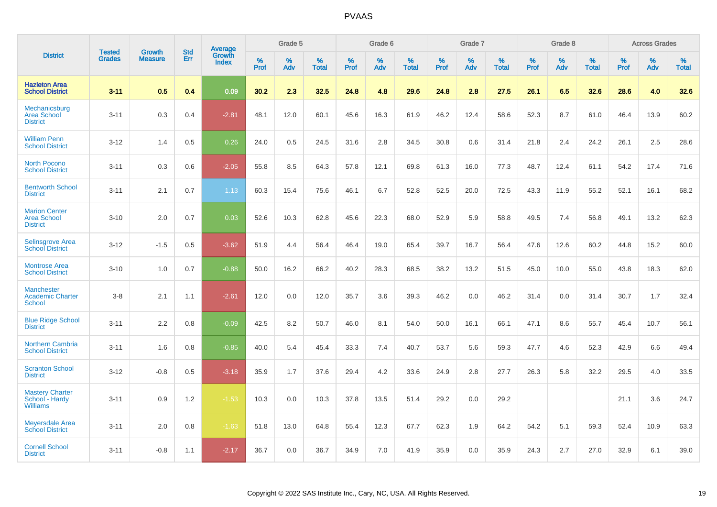|                                                               |                                | <b>Growth</b>  | <b>Std</b> |                                   |              | Grade 5  |                   |           | Grade 6  |                   |           | Grade 7  |                   |           | Grade 8  |                   |              | <b>Across Grades</b> |                   |
|---------------------------------------------------------------|--------------------------------|----------------|------------|-----------------------------------|--------------|----------|-------------------|-----------|----------|-------------------|-----------|----------|-------------------|-----------|----------|-------------------|--------------|----------------------|-------------------|
| <b>District</b>                                               | <b>Tested</b><br><b>Grades</b> | <b>Measure</b> | <b>Err</b> | <b>Average</b><br>Growth<br>Index | $\%$<br>Prof | %<br>Adv | %<br><b>Total</b> | %<br>Prof | %<br>Adv | %<br><b>Total</b> | %<br>Prof | %<br>Adv | %<br><b>Total</b> | %<br>Prof | %<br>Adv | %<br><b>Total</b> | $\%$<br>Prof | %<br>Adv             | %<br><b>Total</b> |
| <b>Hazleton Area</b><br><b>School District</b>                | $3 - 11$                       | 0.5            | 0.4        | 0.09                              | 30.2         | 2.3      | 32.5              | 24.8      | 4.8      | 29.6              | 24.8      | 2.8      | 27.5              | 26.1      | 6.5      | 32.6              | 28.6         | 4.0                  | 32.6              |
| Mechanicsburg<br><b>Area School</b><br><b>District</b>        | $3 - 11$                       | 0.3            | 0.4        | $-2.81$                           | 48.1         | 12.0     | 60.1              | 45.6      | 16.3     | 61.9              | 46.2      | 12.4     | 58.6              | 52.3      | 8.7      | 61.0              | 46.4         | 13.9                 | 60.2              |
| <b>William Penn</b><br><b>School District</b>                 | $3 - 12$                       | 1.4            | 0.5        | 0.26                              | 24.0         | 0.5      | 24.5              | 31.6      | 2.8      | 34.5              | 30.8      | 0.6      | 31.4              | 21.8      | 2.4      | 24.2              | 26.1         | 2.5                  | 28.6              |
| <b>North Pocono</b><br><b>School District</b>                 | $3 - 11$                       | 0.3            | 0.6        | $-2.05$                           | 55.8         | 8.5      | 64.3              | 57.8      | 12.1     | 69.8              | 61.3      | 16.0     | 77.3              | 48.7      | 12.4     | 61.1              | 54.2         | 17.4                 | 71.6              |
| <b>Bentworth School</b><br><b>District</b>                    | $3 - 11$                       | 2.1            | 0.7        | 1.13                              | 60.3         | 15.4     | 75.6              | 46.1      | 6.7      | 52.8              | 52.5      | 20.0     | 72.5              | 43.3      | 11.9     | 55.2              | 52.1         | 16.1                 | 68.2              |
| <b>Marion Center</b><br><b>Area School</b><br><b>District</b> | $3 - 10$                       | 2.0            | 0.7        | 0.03                              | 52.6         | 10.3     | 62.8              | 45.6      | 22.3     | 68.0              | 52.9      | 5.9      | 58.8              | 49.5      | 7.4      | 56.8              | 49.1         | 13.2                 | 62.3              |
| <b>Selinsgrove Area</b><br><b>School District</b>             | $3 - 12$                       | $-1.5$         | 0.5        | $-3.62$                           | 51.9         | 4.4      | 56.4              | 46.4      | 19.0     | 65.4              | 39.7      | 16.7     | 56.4              | 47.6      | 12.6     | 60.2              | 44.8         | 15.2                 | 60.0              |
| <b>Montrose Area</b><br><b>School District</b>                | $3 - 10$                       | 1.0            | 0.7        | $-0.88$                           | 50.0         | 16.2     | 66.2              | 40.2      | 28.3     | 68.5              | 38.2      | 13.2     | 51.5              | 45.0      | 10.0     | 55.0              | 43.8         | 18.3                 | 62.0              |
| <b>Manchester</b><br><b>Academic Charter</b><br>School        | $3 - 8$                        | 2.1            | 1.1        | $-2.61$                           | 12.0         | 0.0      | 12.0              | 35.7      | 3.6      | 39.3              | 46.2      | 0.0      | 46.2              | 31.4      | 0.0      | 31.4              | 30.7         | 1.7                  | 32.4              |
| <b>Blue Ridge School</b><br><b>District</b>                   | $3 - 11$                       | 2.2            | 0.8        | $-0.09$                           | 42.5         | 8.2      | 50.7              | 46.0      | 8.1      | 54.0              | 50.0      | 16.1     | 66.1              | 47.1      | 8.6      | 55.7              | 45.4         | 10.7                 | 56.1              |
| <b>Northern Cambria</b><br><b>School District</b>             | $3 - 11$                       | 1.6            | 0.8        | $-0.85$                           | 40.0         | 5.4      | 45.4              | 33.3      | 7.4      | 40.7              | 53.7      | 5.6      | 59.3              | 47.7      | 4.6      | 52.3              | 42.9         | 6.6                  | 49.4              |
| <b>Scranton School</b><br><b>District</b>                     | $3 - 12$                       | $-0.8$         | 0.5        | $-3.18$                           | 35.9         | 1.7      | 37.6              | 29.4      | 4.2      | 33.6              | 24.9      | 2.8      | 27.7              | 26.3      | 5.8      | 32.2              | 29.5         | 4.0                  | 33.5              |
| <b>Mastery Charter</b><br>School - Hardy<br><b>Williams</b>   | $3 - 11$                       | 0.9            | 1.2        | $-1.53$                           | 10.3         | 0.0      | 10.3              | 37.8      | 13.5     | 51.4              | 29.2      | 0.0      | 29.2              |           |          |                   | 21.1         | 3.6                  | 24.7              |
| <b>Meyersdale Area</b><br><b>School District</b>              | $3 - 11$                       | 2.0            | 0.8        | $-1.63$                           | 51.8         | 13.0     | 64.8              | 55.4      | 12.3     | 67.7              | 62.3      | 1.9      | 64.2              | 54.2      | 5.1      | 59.3              | 52.4         | 10.9                 | 63.3              |
| <b>Cornell School</b><br><b>District</b>                      | $3 - 11$                       | $-0.8$         | 1.1        | $-2.17$                           | 36.7         | 0.0      | 36.7              | 34.9      | 7.0      | 41.9              | 35.9      | 0.0      | 35.9              | 24.3      | 2.7      | 27.0              | 32.9         | 6.1                  | 39.0              |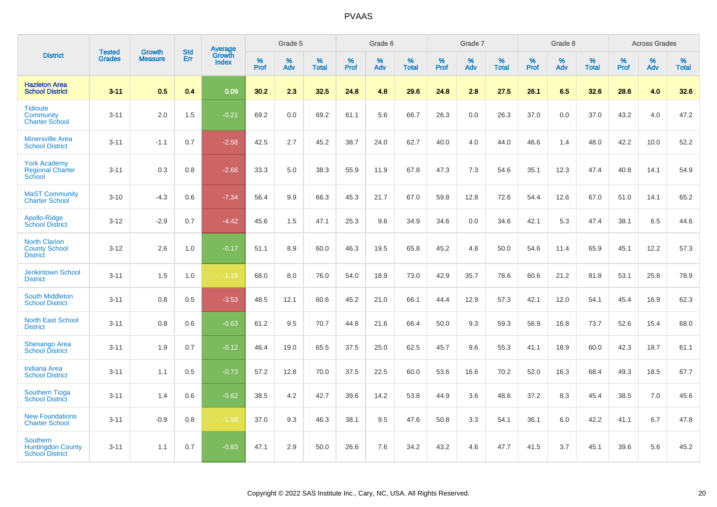|                                                                       |                                |                                 | <b>Std</b> | <b>Average</b>                |           | Grade 5  |                   |           | Grade 6  |                   |           | Grade 7  |                   |           | Grade 8  |                   |           | <b>Across Grades</b> |                   |
|-----------------------------------------------------------------------|--------------------------------|---------------------------------|------------|-------------------------------|-----------|----------|-------------------|-----------|----------|-------------------|-----------|----------|-------------------|-----------|----------|-------------------|-----------|----------------------|-------------------|
| <b>District</b>                                                       | <b>Tested</b><br><b>Grades</b> | <b>Growth</b><br><b>Measure</b> | Err        | <b>Growth</b><br><b>Index</b> | %<br>Prof | %<br>Adv | %<br><b>Total</b> | %<br>Prof | %<br>Adv | %<br><b>Total</b> | %<br>Prof | %<br>Adv | %<br><b>Total</b> | %<br>Prof | %<br>Adv | %<br><b>Total</b> | %<br>Prof | %<br>Adv             | %<br><b>Total</b> |
| <b>Hazleton Area</b><br><b>School District</b>                        | $3 - 11$                       | 0.5                             | 0.4        | 0.09                          | 30.2      | 2.3      | 32.5              | 24.8      | 4.8      | 29.6              | 24.8      | 2.8      | 27.5              | 26.1      | 6.5      | 32.6              | 28.6      | 4.0                  | 32.6              |
| <b>Tidioute</b><br>Community<br><b>Charter School</b>                 | $3 - 11$                       | 2.0                             | 1.5        | $-0.21$                       | 69.2      | 0.0      | 69.2              | 61.1      | 5.6      | 66.7              | 26.3      | 0.0      | 26.3              | 37.0      | 0.0      | 37.0              | 43.2      | 4.0                  | 47.2              |
| <b>Minersville Area</b><br><b>School District</b>                     | $3 - 11$                       | $-1.1$                          | 0.7        | $-2.58$                       | 42.5      | 2.7      | 45.2              | 38.7      | 24.0     | 62.7              | 40.0      | 4.0      | 44.0              | 46.6      | 1.4      | 48.0              | 42.2      | 10.0                 | 52.2              |
| <b>York Academy</b><br><b>Regional Charter</b><br>School              | $3 - 11$                       | 0.3                             | 0.8        | $-2.68$                       | 33.3      | 5.0      | 38.3              | 55.9      | 11.9     | 67.8              | 47.3      | 7.3      | 54.6              | 35.1      | 12.3     | 47.4              | 40.8      | 14.1                 | 54.9              |
| <b>MaST Community</b><br><b>Charter School</b>                        | $3 - 10$                       | $-4.3$                          | $0.6\,$    | $-7.34$                       | 56.4      | 9.9      | 66.3              | 45.3      | 21.7     | 67.0              | 59.8      | 12.8     | 72.6              | 54.4      | 12.6     | 67.0              | 51.0      | 14.1                 | 65.2              |
| Apollo-Ridge<br><b>School District</b>                                | $3 - 12$                       | $-2.9$                          | 0.7        | $-4.42$                       | 45.6      | 1.5      | 47.1              | 25.3      | 9.6      | 34.9              | 34.6      | 0.0      | 34.6              | 42.1      | 5.3      | 47.4              | 38.1      | 6.5                  | 44.6              |
| <b>North Clarion</b><br><b>County School</b><br><b>District</b>       | $3 - 12$                       | 2.6                             | $1.0$      | $-0.17$                       | 51.1      | 8.9      | 60.0              | 46.3      | 19.5     | 65.8              | 45.2      | 4.8      | 50.0              | 54.6      | 11.4     | 65.9              | 45.1      | 12.2                 | 57.3              |
| <b>Jenkintown School</b><br><b>District</b>                           | $3 - 11$                       | 1.5                             | 1.0        | $-1.16$                       | 68.0      | 8.0      | 76.0              | 54.0      | 18.9     | 73.0              | 42.9      | 35.7     | 78.6              | 60.6      | 21.2     | 81.8              | 53.1      | 25.8                 | 78.9              |
| <b>South Middleton</b><br><b>School District</b>                      | $3 - 11$                       | 0.8                             | 0.5        | $-3.53$                       | 48.5      | 12.1     | 60.6              | 45.2      | 21.0     | 66.1              | 44.4      | 12.9     | 57.3              | 42.1      | 12.0     | 54.1              | 45.4      | 16.9                 | 62.3              |
| <b>North East School</b><br><b>District</b>                           | $3 - 11$                       | 0.8                             | 0.6        | $-0.63$                       | 61.2      | 9.5      | 70.7              | 44.8      | 21.6     | 66.4              | 50.0      | 9.3      | 59.3              | 56.9      | 16.8     | 73.7              | 52.6      | 15.4                 | 68.0              |
| <b>Shenango Area</b><br><b>School District</b>                        | $3 - 11$                       | 1.9                             | 0.7        | $-0.12$                       | 46.4      | 19.0     | 65.5              | 37.5      | 25.0     | 62.5              | 45.7      | 9.6      | 55.3              | 41.1      | 18.9     | 60.0              | 42.3      | 18.7                 | 61.1              |
| <b>Indiana Area</b><br><b>School District</b>                         | $3 - 11$                       | 1.1                             | 0.5        | $-0.73$                       | 57.2      | 12.8     | 70.0              | 37.5      | 22.5     | 60.0              | 53.6      | 16.6     | 70.2              | 52.0      | 16.3     | 68.4              | 49.3      | 18.5                 | 67.7              |
| <b>Southern Tioga</b><br><b>School District</b>                       | $3 - 11$                       | 1.4                             | 0.6        | $-0.62$                       | 38.5      | 4.2      | 42.7              | 39.6      | 14.2     | 53.8              | 44.9      | 3.6      | 48.6              | 37.2      | 8.3      | 45.4              | 38.5      | 7.0                  | 45.6              |
| <b>New Foundations</b><br><b>Charter School</b>                       | $3 - 11$                       | $-0.9$                          | 0.8        | $-1.98$                       | 37.0      | 9.3      | 46.3              | 38.1      | 9.5      | 47.6              | 50.8      | 3.3      | 54.1              | 36.1      | 6.0      | 42.2              | 41.1      | 6.7                  | 47.8              |
| <b>Southern</b><br><b>Huntingdon County</b><br><b>School District</b> | $3 - 11$                       | 1.1                             | 0.7        | $-0.83$                       | 47.1      | 2.9      | 50.0              | 26.6      | 7.6      | 34.2              | 43.2      | 4.6      | 47.7              | 41.5      | 3.7      | 45.1              | 39.6      | 5.6                  | 45.2              |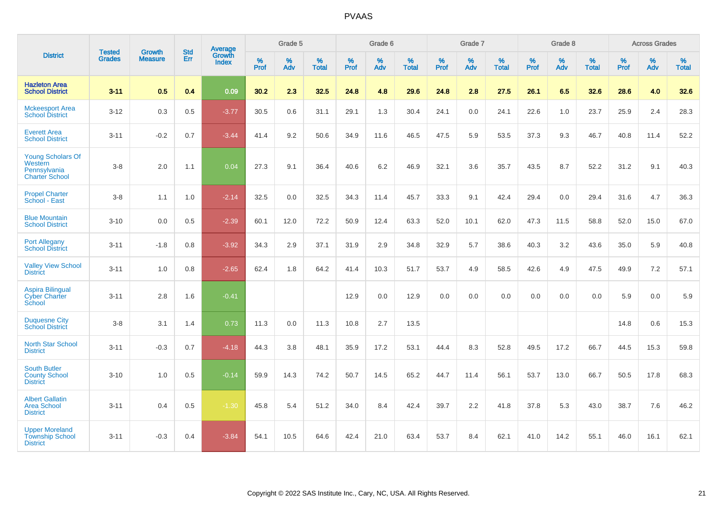|                                                                       |                                |                                 | <b>Std</b> | <b>Average</b>         |           | Grade 5  |                   |           | Grade 6  |                   |           | Grade 7  |                   |           | Grade 8  |                   |           | <b>Across Grades</b> |                   |
|-----------------------------------------------------------------------|--------------------------------|---------------------------------|------------|------------------------|-----------|----------|-------------------|-----------|----------|-------------------|-----------|----------|-------------------|-----------|----------|-------------------|-----------|----------------------|-------------------|
| <b>District</b>                                                       | <b>Tested</b><br><b>Grades</b> | <b>Growth</b><br><b>Measure</b> | Err        | Growth<br><b>Index</b> | %<br>Prof | %<br>Adv | %<br><b>Total</b> | %<br>Prof | %<br>Adv | %<br><b>Total</b> | %<br>Prof | %<br>Adv | %<br><b>Total</b> | %<br>Prof | %<br>Adv | %<br><b>Total</b> | %<br>Prof | %<br>Adv             | %<br><b>Total</b> |
| <b>Hazleton Area</b><br><b>School District</b>                        | $3 - 11$                       | 0.5                             | 0.4        | 0.09                   | 30.2      | 2.3      | 32.5              | 24.8      | 4.8      | 29.6              | 24.8      | 2.8      | 27.5              | 26.1      | 6.5      | 32.6              | 28.6      | 4.0                  | 32.6              |
| <b>Mckeesport Area</b><br><b>School District</b>                      | $3 - 12$                       | 0.3                             | 0.5        | $-3.77$                | 30.5      | 0.6      | 31.1              | 29.1      | 1.3      | 30.4              | 24.1      | 0.0      | 24.1              | 22.6      | 1.0      | 23.7              | 25.9      | 2.4                  | 28.3              |
| <b>Everett Area</b><br><b>School District</b>                         | $3 - 11$                       | $-0.2$                          | 0.7        | $-3.44$                | 41.4      | 9.2      | 50.6              | 34.9      | 11.6     | 46.5              | 47.5      | 5.9      | 53.5              | 37.3      | 9.3      | 46.7              | 40.8      | 11.4                 | 52.2              |
| Young Scholars Of<br>Western<br>Pennsylvania<br><b>Charter School</b> | $3 - 8$                        | 2.0                             | 1.1        | 0.04                   | 27.3      | 9.1      | 36.4              | 40.6      | 6.2      | 46.9              | 32.1      | 3.6      | 35.7              | 43.5      | 8.7      | 52.2              | 31.2      | 9.1                  | 40.3              |
| <b>Propel Charter</b><br>School - East                                | $3 - 8$                        | 1.1                             | 1.0        | $-2.14$                | 32.5      | 0.0      | 32.5              | 34.3      | 11.4     | 45.7              | 33.3      | 9.1      | 42.4              | 29.4      | 0.0      | 29.4              | 31.6      | 4.7                  | 36.3              |
| <b>Blue Mountain</b><br><b>School District</b>                        | $3 - 10$                       | 0.0                             | 0.5        | $-2.39$                | 60.1      | 12.0     | 72.2              | 50.9      | 12.4     | 63.3              | 52.0      | 10.1     | 62.0              | 47.3      | 11.5     | 58.8              | 52.0      | 15.0                 | 67.0              |
| <b>Port Allegany</b><br><b>School District</b>                        | $3 - 11$                       | $-1.8$                          | 0.8        | $-3.92$                | 34.3      | 2.9      | 37.1              | 31.9      | 2.9      | 34.8              | 32.9      | 5.7      | 38.6              | 40.3      | 3.2      | 43.6              | 35.0      | 5.9                  | 40.8              |
| <b>Valley View School</b><br><b>District</b>                          | $3 - 11$                       | 1.0                             | 0.8        | $-2.65$                | 62.4      | 1.8      | 64.2              | 41.4      | 10.3     | 51.7              | 53.7      | 4.9      | 58.5              | 42.6      | 4.9      | 47.5              | 49.9      | 7.2                  | 57.1              |
| <b>Aspira Bilingual</b><br><b>Cyber Charter</b><br>School             | $3 - 11$                       | 2.8                             | 1.6        | $-0.41$                |           |          |                   | 12.9      | 0.0      | 12.9              | 0.0       | 0.0      | 0.0               | 0.0       | 0.0      | 0.0               | 5.9       | 0.0                  | 5.9               |
| <b>Duquesne City</b><br><b>School District</b>                        | $3 - 8$                        | 3.1                             | 1.4        | 0.73                   | 11.3      | $0.0\,$  | 11.3              | 10.8      | 2.7      | 13.5              |           |          |                   |           |          |                   | 14.8      | 0.6                  | 15.3              |
| North Star School<br><b>District</b>                                  | $3 - 11$                       | $-0.3$                          | 0.7        | $-4.18$                | 44.3      | 3.8      | 48.1              | 35.9      | 17.2     | 53.1              | 44.4      | 8.3      | 52.8              | 49.5      | 17.2     | 66.7              | 44.5      | 15.3                 | 59.8              |
| <b>South Butler</b><br><b>County School</b><br><b>District</b>        | $3 - 10$                       | 1.0                             | 0.5        | $-0.14$                | 59.9      | 14.3     | 74.2              | 50.7      | 14.5     | 65.2              | 44.7      | 11.4     | 56.1              | 53.7      | 13.0     | 66.7              | 50.5      | 17.8                 | 68.3              |
| <b>Albert Gallatin</b><br><b>Area School</b><br><b>District</b>       | $3 - 11$                       | 0.4                             | 0.5        | $-1.30$                | 45.8      | 5.4      | 51.2              | 34.0      | 8.4      | 42.4              | 39.7      | 2.2      | 41.8              | 37.8      | 5.3      | 43.0              | 38.7      | 7.6                  | 46.2              |
| <b>Upper Moreland</b><br><b>Township School</b><br><b>District</b>    | $3 - 11$                       | $-0.3$                          | 0.4        | $-3.84$                | 54.1      | 10.5     | 64.6              | 42.4      | 21.0     | 63.4              | 53.7      | 8.4      | 62.1              | 41.0      | 14.2     | 55.1              | 46.0      | 16.1                 | 62.1              |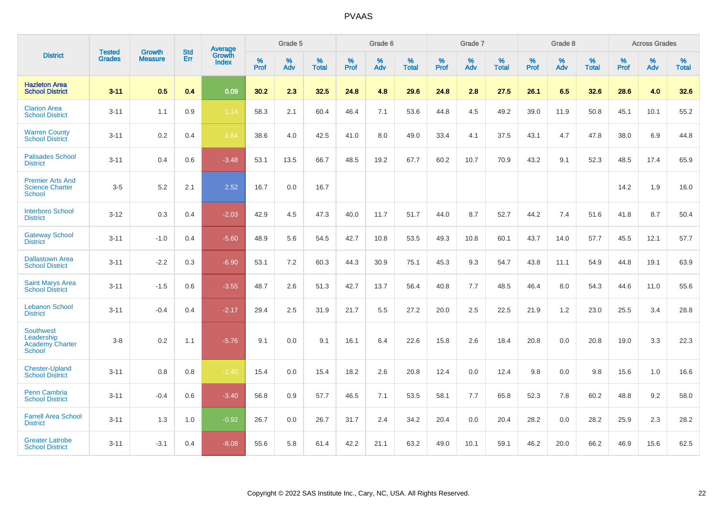|                                                                           |                                |                                 | <b>Std</b> | Average                       |           | Grade 5  |                   |           | Grade 6  |                   |           | Grade 7  |                   |           | Grade 8  |                   |           | <b>Across Grades</b> |                   |
|---------------------------------------------------------------------------|--------------------------------|---------------------------------|------------|-------------------------------|-----------|----------|-------------------|-----------|----------|-------------------|-----------|----------|-------------------|-----------|----------|-------------------|-----------|----------------------|-------------------|
| <b>District</b>                                                           | <b>Tested</b><br><b>Grades</b> | <b>Growth</b><br><b>Measure</b> | Err        | <b>Growth</b><br><b>Index</b> | %<br>Prof | %<br>Adv | %<br><b>Total</b> | %<br>Prof | %<br>Adv | %<br><b>Total</b> | %<br>Prof | %<br>Adv | %<br><b>Total</b> | %<br>Prof | %<br>Adv | %<br><b>Total</b> | %<br>Prof | %<br>Adv             | %<br><b>Total</b> |
| <b>Hazleton Area</b><br><b>School District</b>                            | $3 - 11$                       | 0.5                             | 0.4        | 0.09                          | 30.2      | 2.3      | 32.5              | 24.8      | 4.8      | 29.6              | 24.8      | 2.8      | 27.5              | 26.1      | 6.5      | 32.6              | 28.6      | 4.0                  | 32.6              |
| <b>Clarion Area</b><br><b>School District</b>                             | $3 - 11$                       | 1.1                             | 0.9        | $-1.14$                       | 58.3      | 2.1      | 60.4              | 46.4      | 7.1      | 53.6              | 44.8      | 4.5      | 49.2              | 39.0      | 11.9     | 50.8              | 45.1      | 10.1                 | 55.2              |
| <b>Warren County</b><br><b>School District</b>                            | $3 - 11$                       | 0.2                             | 0.4        | $-1.64$                       | 38.6      | 4.0      | 42.5              | 41.0      | 8.0      | 49.0              | 33.4      | 4.1      | 37.5              | 43.1      | 4.7      | 47.8              | 38.0      | 6.9                  | 44.8              |
| <b>Palisades School</b><br><b>District</b>                                | $3 - 11$                       | 0.4                             | 0.6        | $-3.48$                       | 53.1      | 13.5     | 66.7              | 48.5      | 19.2     | 67.7              | 60.2      | 10.7     | 70.9              | 43.2      | 9.1      | 52.3              | 48.5      | 17.4                 | 65.9              |
| <b>Premier Arts And</b><br><b>Science Charter</b><br><b>School</b>        | $3-5$                          | 5.2                             | 2.1        | 2.52                          | 16.7      | 0.0      | 16.7              |           |          |                   |           |          |                   |           |          |                   | 14.2      | 1.9                  | 16.0              |
| <b>Interboro School</b><br><b>District</b>                                | $3 - 12$                       | 0.3                             | 0.4        | $-2.03$                       | 42.9      | 4.5      | 47.3              | 40.0      | 11.7     | 51.7              | 44.0      | 8.7      | 52.7              | 44.2      | 7.4      | 51.6              | 41.8      | 8.7                  | 50.4              |
| <b>Gateway School</b><br><b>District</b>                                  | $3 - 11$                       | $-1.0$                          | 0.4        | $-5.60$                       | 48.9      | 5.6      | 54.5              | 42.7      | 10.8     | 53.5              | 49.3      | 10.8     | 60.1              | 43.7      | 14.0     | 57.7              | 45.5      | 12.1                 | 57.7              |
| <b>Dallastown Area</b><br><b>School District</b>                          | $3 - 11$                       | $-2.2$                          | 0.3        | $-6.90$                       | 53.1      | 7.2      | 60.3              | 44.3      | 30.9     | 75.1              | 45.3      | 9.3      | 54.7              | 43.8      | 11.1     | 54.9              | 44.8      | 19.1                 | 63.9              |
| <b>Saint Marys Area</b><br><b>School District</b>                         | $3 - 11$                       | $-1.5$                          | 0.6        | $-3.55$                       | 48.7      | 2.6      | 51.3              | 42.7      | 13.7     | 56.4              | 40.8      | 7.7      | 48.5              | 46.4      | 8.0      | 54.3              | 44.6      | 11.0                 | 55.6              |
| <b>Lebanon School</b><br><b>District</b>                                  | $3 - 11$                       | $-0.4$                          | 0.4        | $-2.17$                       | 29.4      | 2.5      | 31.9              | 21.7      | 5.5      | 27.2              | 20.0      | 2.5      | 22.5              | 21.9      | 1.2      | 23.0              | 25.5      | 3.4                  | 28.8              |
| <b>Southwest</b><br>Leadership<br><b>Academy Charter</b><br><b>School</b> | $3 - 8$                        | 0.2                             | 1.1        | $-5.76$                       | 9.1       | 0.0      | 9.1               | 16.1      | 6.4      | 22.6              | 15.8      | 2.6      | 18.4              | 20.8      | 0.0      | 20.8              | 19.0      | 3.3                  | 22.3              |
| <b>Chester-Upland</b><br><b>School District</b>                           | $3 - 11$                       | 0.8                             | 0.8        | $-1.40$                       | 15.4      | 0.0      | 15.4              | 18.2      | 2.6      | 20.8              | 12.4      | 0.0      | 12.4              | 9.8       | 0.0      | 9.8               | 15.6      | 1.0                  | 16.6              |
| Penn Cambria<br><b>School District</b>                                    | $3 - 11$                       | $-0.4$                          | 0.6        | $-3.40$                       | 56.8      | 0.9      | 57.7              | 46.5      | 7.1      | 53.5              | 58.1      | 7.7      | 65.8              | 52.3      | 7.8      | 60.2              | 48.8      | 9.2                  | 58.0              |
| <b>Farrell Area School</b><br><b>District</b>                             | $3 - 11$                       | 1.3                             | 1.0        | $-0.92$                       | 26.7      | 0.0      | 26.7              | 31.7      | 2.4      | 34.2              | 20.4      | 0.0      | 20.4              | 28.2      | 0.0      | 28.2              | 25.9      | 2.3                  | 28.2              |
| <b>Greater Latrobe</b><br><b>School District</b>                          | $3 - 11$                       | $-3.1$                          | 0.4        | $-8.08$                       | 55.6      | 5.8      | 61.4              | 42.2      | 21.1     | 63.2              | 49.0      | 10.1     | 59.1              | 46.2      | 20.0     | 66.2              | 46.9      | 15.6                 | 62.5              |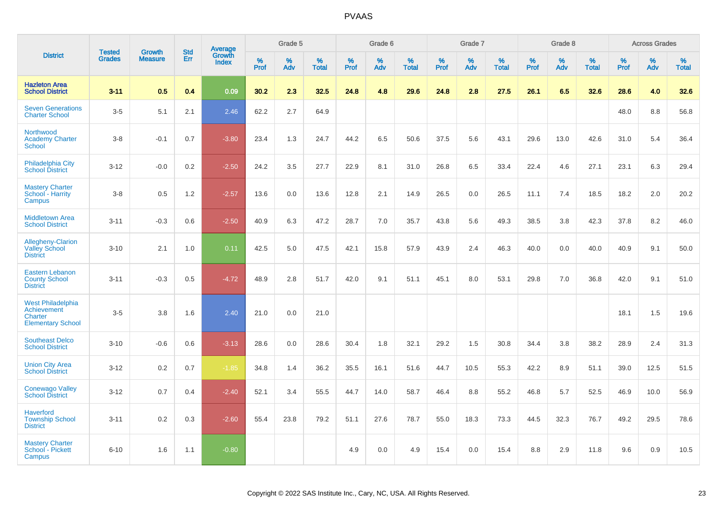|                                                                                | <b>Tested</b> | <b>Growth</b>  | <b>Std</b> | <b>Average</b><br>Growth |              | Grade 5  |                   |              | Grade 6  |                   |              | Grade 7  |                   |              | Grade 8  |                   |              | <b>Across Grades</b> |                   |
|--------------------------------------------------------------------------------|---------------|----------------|------------|--------------------------|--------------|----------|-------------------|--------------|----------|-------------------|--------------|----------|-------------------|--------------|----------|-------------------|--------------|----------------------|-------------------|
| <b>District</b>                                                                | <b>Grades</b> | <b>Measure</b> | Err        | <b>Index</b>             | $\%$<br>Prof | %<br>Adv | %<br><b>Total</b> | $\%$<br>Prof | %<br>Adv | %<br><b>Total</b> | $\%$<br>Prof | %<br>Adv | %<br><b>Total</b> | $\%$<br>Prof | %<br>Adv | %<br><b>Total</b> | $\%$<br>Prof | %<br>Adv             | %<br><b>Total</b> |
| <b>Hazleton Area</b><br><b>School District</b>                                 | $3 - 11$      | 0.5            | 0.4        | 0.09                     | 30.2         | 2.3      | 32.5              | 24.8         | 4.8      | 29.6              | 24.8         | 2.8      | 27.5              | 26.1         | 6.5      | 32.6              | 28.6         | 4.0                  | 32.6              |
| <b>Seven Generations</b><br><b>Charter School</b>                              | $3-5$         | 5.1            | 2.1        | 2.46                     | 62.2         | 2.7      | 64.9              |              |          |                   |              |          |                   |              |          |                   | 48.0         | 8.8                  | 56.8              |
| Northwood<br><b>Academy Charter</b><br>School                                  | $3 - 8$       | $-0.1$         | 0.7        | $-3.80$                  | 23.4         | 1.3      | 24.7              | 44.2         | 6.5      | 50.6              | 37.5         | 5.6      | 43.1              | 29.6         | 13.0     | 42.6              | 31.0         | 5.4                  | 36.4              |
| Philadelphia City<br><b>School District</b>                                    | $3 - 12$      | $-0.0$         | 0.2        | $-2.50$                  | 24.2         | 3.5      | 27.7              | 22.9         | 8.1      | 31.0              | 26.8         | 6.5      | 33.4              | 22.4         | 4.6      | 27.1              | 23.1         | 6.3                  | 29.4              |
| <b>Mastery Charter</b><br>School - Harrity<br>Campus                           | $3 - 8$       | 0.5            | 1.2        | $-2.57$                  | 13.6         | 0.0      | 13.6              | 12.8         | 2.1      | 14.9              | 26.5         | 0.0      | 26.5              | 11.1         | 7.4      | 18.5              | 18.2         | 2.0                  | 20.2              |
| <b>Middletown Area</b><br><b>School District</b>                               | $3 - 11$      | $-0.3$         | 0.6        | $-2.50$                  | 40.9         | 6.3      | 47.2              | 28.7         | 7.0      | 35.7              | 43.8         | 5.6      | 49.3              | 38.5         | 3.8      | 42.3              | 37.8         | 8.2                  | 46.0              |
| Allegheny-Clarion<br><b>Valley School</b><br><b>District</b>                   | $3 - 10$      | 2.1            | 1.0        | 0.11                     | 42.5         | 5.0      | 47.5              | 42.1         | 15.8     | 57.9              | 43.9         | 2.4      | 46.3              | 40.0         | 0.0      | 40.0              | 40.9         | 9.1                  | 50.0              |
| <b>Eastern Lebanon</b><br><b>County School</b><br><b>District</b>              | $3 - 11$      | $-0.3$         | 0.5        | $-4.72$                  | 48.9         | 2.8      | 51.7              | 42.0         | 9.1      | 51.1              | 45.1         | 8.0      | 53.1              | 29.8         | 7.0      | 36.8              | 42.0         | 9.1                  | 51.0              |
| <b>West Philadelphia</b><br>Achievement<br>Charter<br><b>Elementary School</b> | $3-5$         | 3.8            | 1.6        | 2.40                     | 21.0         | 0.0      | 21.0              |              |          |                   |              |          |                   |              |          |                   | 18.1         | 1.5                  | 19.6              |
| <b>Southeast Delco</b><br><b>School District</b>                               | $3 - 10$      | $-0.6$         | 0.6        | $-3.13$                  | 28.6         | 0.0      | 28.6              | 30.4         | 1.8      | 32.1              | 29.2         | 1.5      | 30.8              | 34.4         | 3.8      | 38.2              | 28.9         | 2.4                  | 31.3              |
| <b>Union City Area</b><br><b>School District</b>                               | $3 - 12$      | 0.2            | 0.7        | $-1.85$                  | 34.8         | 1.4      | 36.2              | 35.5         | 16.1     | 51.6              | 44.7         | 10.5     | 55.3              | 42.2         | 8.9      | 51.1              | 39.0         | 12.5                 | 51.5              |
| <b>Conewago Valley</b><br><b>School District</b>                               | $3 - 12$      | 0.7            | 0.4        | $-2.40$                  | 52.1         | 3.4      | 55.5              | 44.7         | 14.0     | 58.7              | 46.4         | 8.8      | 55.2              | 46.8         | 5.7      | 52.5              | 46.9         | 10.0                 | 56.9              |
| <b>Haverford</b><br><b>Township School</b><br><b>District</b>                  | $3 - 11$      | 0.2            | 0.3        | $-2.60$                  | 55.4         | 23.8     | 79.2              | 51.1         | 27.6     | 78.7              | 55.0         | 18.3     | 73.3              | 44.5         | 32.3     | 76.7              | 49.2         | 29.5                 | 78.6              |
| <b>Mastery Charter</b><br>School - Pickett<br>Campus                           | $6 - 10$      | 1.6            | 1.1        | $-0.80$                  |              |          |                   | 4.9          | 0.0      | 4.9               | 15.4         | 0.0      | 15.4              | 8.8          | 2.9      | 11.8              | 9.6          | $0.9\,$              | 10.5              |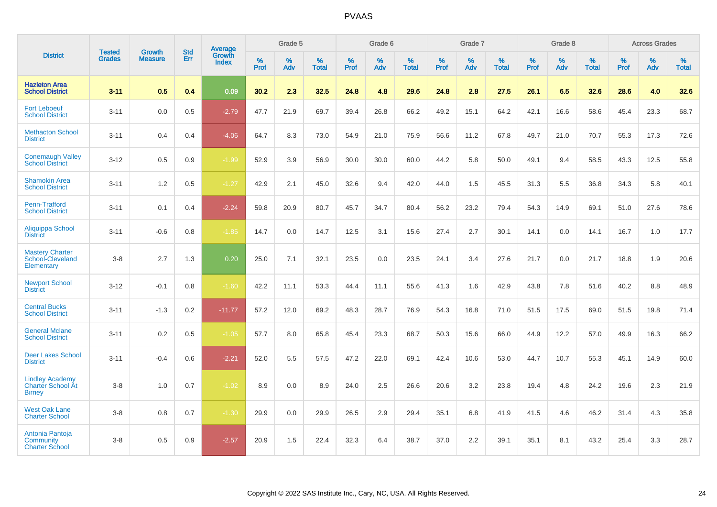|                                                                     | <b>Tested</b> | <b>Growth</b>  | <b>Std</b> | <b>Average</b>         |           | Grade 5  |                   |           | Grade 6  |                   |           | Grade 7  |                   |           | Grade 8  |                   |           | <b>Across Grades</b> |                   |
|---------------------------------------------------------------------|---------------|----------------|------------|------------------------|-----------|----------|-------------------|-----------|----------|-------------------|-----------|----------|-------------------|-----------|----------|-------------------|-----------|----------------------|-------------------|
| <b>District</b>                                                     | <b>Grades</b> | <b>Measure</b> | Err        | Growth<br><b>Index</b> | %<br>Prof | %<br>Adv | %<br><b>Total</b> | %<br>Prof | %<br>Adv | %<br><b>Total</b> | %<br>Prof | %<br>Adv | %<br><b>Total</b> | %<br>Prof | %<br>Adv | %<br><b>Total</b> | %<br>Prof | %<br>Adv             | %<br><b>Total</b> |
| <b>Hazleton Area</b><br><b>School District</b>                      | $3 - 11$      | 0.5            | 0.4        | 0.09                   | 30.2      | 2.3      | 32.5              | 24.8      | 4.8      | 29.6              | 24.8      | 2.8      | 27.5              | 26.1      | 6.5      | 32.6              | 28.6      | 4.0                  | 32.6              |
| <b>Fort Leboeuf</b><br><b>School District</b>                       | $3 - 11$      | 0.0            | 0.5        | $-2.79$                | 47.7      | 21.9     | 69.7              | 39.4      | 26.8     | 66.2              | 49.2      | 15.1     | 64.2              | 42.1      | 16.6     | 58.6              | 45.4      | 23.3                 | 68.7              |
| <b>Methacton School</b><br><b>District</b>                          | $3 - 11$      | 0.4            | 0.4        | $-4.06$                | 64.7      | 8.3      | 73.0              | 54.9      | 21.0     | 75.9              | 56.6      | 11.2     | 67.8              | 49.7      | 21.0     | 70.7              | 55.3      | 17.3                 | 72.6              |
| <b>Conemaugh Valley</b><br><b>School District</b>                   | $3 - 12$      | 0.5            | 0.9        | $-1.99$                | 52.9      | 3.9      | 56.9              | 30.0      | 30.0     | 60.0              | 44.2      | 5.8      | 50.0              | 49.1      | 9.4      | 58.5              | 43.3      | 12.5                 | 55.8              |
| <b>Shamokin Area</b><br><b>School District</b>                      | $3 - 11$      | 1.2            | 0.5        | $-1.27$                | 42.9      | 2.1      | 45.0              | 32.6      | 9.4      | 42.0              | 44.0      | 1.5      | 45.5              | 31.3      | 5.5      | 36.8              | 34.3      | 5.8                  | 40.1              |
| Penn-Trafford<br><b>School District</b>                             | $3 - 11$      | 0.1            | 0.4        | $-2.24$                | 59.8      | 20.9     | 80.7              | 45.7      | 34.7     | 80.4              | 56.2      | 23.2     | 79.4              | 54.3      | 14.9     | 69.1              | 51.0      | 27.6                 | 78.6              |
| Aliquippa School<br><b>District</b>                                 | $3 - 11$      | $-0.6$         | 0.8        | $-1.85$                | 14.7      | 0.0      | 14.7              | 12.5      | 3.1      | 15.6              | 27.4      | 2.7      | 30.1              | 14.1      | 0.0      | 14.1              | 16.7      | 1.0                  | 17.7              |
| <b>Mastery Charter</b><br>School-Cleveland<br>Elementary            | $3 - 8$       | 2.7            | 1.3        | 0.20                   | 25.0      | 7.1      | 32.1              | 23.5      | 0.0      | 23.5              | 24.1      | 3.4      | 27.6              | 21.7      | 0.0      | 21.7              | 18.8      | 1.9                  | 20.6              |
| <b>Newport School</b><br><b>District</b>                            | $3 - 12$      | $-0.1$         | 0.8        | $-1.60$                | 42.2      | 11.1     | 53.3              | 44.4      | 11.1     | 55.6              | 41.3      | 1.6      | 42.9              | 43.8      | 7.8      | 51.6              | 40.2      | 8.8                  | 48.9              |
| <b>Central Bucks</b><br><b>School District</b>                      | $3 - 11$      | $-1.3$         | 0.2        | $-11.77$               | 57.2      | 12.0     | 69.2              | 48.3      | 28.7     | 76.9              | 54.3      | 16.8     | 71.0              | 51.5      | 17.5     | 69.0              | 51.5      | 19.8                 | 71.4              |
| <b>General Mclane</b><br><b>School District</b>                     | $3 - 11$      | 0.2            | 0.5        | $-1.05$                | 57.7      | 8.0      | 65.8              | 45.4      | 23.3     | 68.7              | 50.3      | 15.6     | 66.0              | 44.9      | 12.2     | 57.0              | 49.9      | 16.3                 | 66.2              |
| <b>Deer Lakes School</b><br><b>District</b>                         | $3 - 11$      | $-0.4$         | 0.6        | $-2.21$                | 52.0      | 5.5      | 57.5              | 47.2      | 22.0     | 69.1              | 42.4      | 10.6     | 53.0              | 44.7      | 10.7     | 55.3              | 45.1      | 14.9                 | 60.0              |
| <b>Lindley Academy</b><br><b>Charter School At</b><br><b>Birney</b> | $3 - 8$       | 1.0            | 0.7        | $-1.02$                | 8.9       | 0.0      | 8.9               | 24.0      | 2.5      | 26.6              | 20.6      | 3.2      | 23.8              | 19.4      | 4.8      | 24.2              | 19.6      | 2.3                  | 21.9              |
| <b>West Oak Lane</b><br><b>Charter School</b>                       | $3 - 8$       | 0.8            | 0.7        | $-1.30$                | 29.9      | 0.0      | 29.9              | 26.5      | 2.9      | 29.4              | 35.1      | 6.8      | 41.9              | 41.5      | 4.6      | 46.2              | 31.4      | 4.3                  | 35.8              |
| Antonia Pantoja<br>Community<br><b>Charter School</b>               | $3 - 8$       | 0.5            | 0.9        | $-2.57$                | 20.9      | 1.5      | 22.4              | 32.3      | 6.4      | 38.7              | 37.0      | 2.2      | 39.1              | 35.1      | 8.1      | 43.2              | 25.4      | 3.3                  | 28.7              |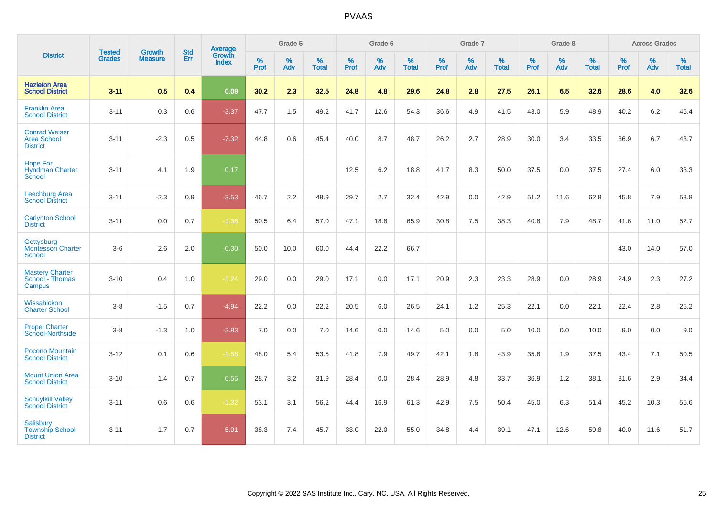|                                                               | <b>Tested</b> | <b>Growth</b>  | <b>Std</b> | Average                |              | Grade 5  |                   |                     | Grade 6  |                   |              | Grade 7  |                   |                     | Grade 8  |                   |                     | <b>Across Grades</b> |                   |
|---------------------------------------------------------------|---------------|----------------|------------|------------------------|--------------|----------|-------------------|---------------------|----------|-------------------|--------------|----------|-------------------|---------------------|----------|-------------------|---------------------|----------------------|-------------------|
| <b>District</b>                                               | <b>Grades</b> | <b>Measure</b> | Err        | Growth<br><b>Index</b> | $\%$<br>Prof | %<br>Adv | %<br><b>Total</b> | $\%$<br><b>Prof</b> | %<br>Adv | %<br><b>Total</b> | $\%$<br>Prof | %<br>Adv | %<br><b>Total</b> | $\%$<br><b>Prof</b> | %<br>Adv | %<br><b>Total</b> | $\%$<br><b>Prof</b> | $\%$<br>Adv          | %<br><b>Total</b> |
| <b>Hazleton Area</b><br><b>School District</b>                | $3 - 11$      | 0.5            | 0.4        | 0.09                   | 30.2         | 2.3      | 32.5              | 24.8                | 4.8      | 29.6              | 24.8         | 2.8      | 27.5              | 26.1                | 6.5      | 32.6              | 28.6                | 4.0                  | 32.6              |
| <b>Franklin Area</b><br><b>School District</b>                | $3 - 11$      | 0.3            | 0.6        | $-3.37$                | 47.7         | 1.5      | 49.2              | 41.7                | 12.6     | 54.3              | 36.6         | 4.9      | 41.5              | 43.0                | 5.9      | 48.9              | 40.2                | 6.2                  | 46.4              |
| <b>Conrad Weiser</b><br><b>Area School</b><br><b>District</b> | $3 - 11$      | $-2.3$         | 0.5        | $-7.32$                | 44.8         | 0.6      | 45.4              | 40.0                | 8.7      | 48.7              | 26.2         | 2.7      | 28.9              | 30.0                | 3.4      | 33.5              | 36.9                | 6.7                  | 43.7              |
| <b>Hope For</b><br><b>Hyndman Charter</b><br>School           | $3 - 11$      | 4.1            | 1.9        | 0.17                   |              |          |                   | 12.5                | 6.2      | 18.8              | 41.7         | 8.3      | 50.0              | 37.5                | 0.0      | 37.5              | 27.4                | 6.0                  | 33.3              |
| <b>Leechburg Area</b><br><b>School District</b>               | $3 - 11$      | $-2.3$         | 0.9        | $-3.53$                | 46.7         | 2.2      | 48.9              | 29.7                | 2.7      | 32.4              | 42.9         | 0.0      | 42.9              | 51.2                | 11.6     | 62.8              | 45.8                | 7.9                  | 53.8              |
| <b>Carlynton School</b><br><b>District</b>                    | $3 - 11$      | 0.0            | 0.7        | $-1.38$                | 50.5         | 6.4      | 57.0              | 47.1                | 18.8     | 65.9              | 30.8         | 7.5      | 38.3              | 40.8                | 7.9      | 48.7              | 41.6                | 11.0                 | 52.7              |
| Gettysburg<br><b>Montessori Charter</b><br><b>School</b>      | $3-6$         | 2.6            | 2.0        | $-0.30$                | 50.0         | 10.0     | 60.0              | 44.4                | 22.2     | 66.7              |              |          |                   |                     |          |                   | 43.0                | 14.0                 | 57.0              |
| <b>Mastery Charter</b><br>School - Thomas<br>Campus           | $3 - 10$      | 0.4            | 1.0        | $-1.24$                | 29.0         | 0.0      | 29.0              | 17.1                | 0.0      | 17.1              | 20.9         | 2.3      | 23.3              | 28.9                | 0.0      | 28.9              | 24.9                | 2.3                  | 27.2              |
| Wissahickon<br><b>Charter School</b>                          | $3 - 8$       | $-1.5$         | 0.7        | $-4.94$                | 22.2         | 0.0      | 22.2              | 20.5                | 6.0      | 26.5              | 24.1         | 1.2      | 25.3              | 22.1                | 0.0      | 22.1              | 22.4                | 2.8                  | 25.2              |
| <b>Propel Charter</b><br>School-Northside                     | $3-8$         | $-1.3$         | 1.0        | $-2.83$                | 7.0          | 0.0      | 7.0               | 14.6                | 0.0      | 14.6              | 5.0          | 0.0      | 5.0               | 10.0                | 0.0      | 10.0              | 9.0                 | 0.0                  | 9.0               |
| Pocono Mountain<br><b>School District</b>                     | $3 - 12$      | 0.1            | 0.6        | $-1.58$                | 48.0         | 5.4      | 53.5              | 41.8                | 7.9      | 49.7              | 42.1         | 1.8      | 43.9              | 35.6                | 1.9      | 37.5              | 43.4                | 7.1                  | 50.5              |
| <b>Mount Union Area</b><br><b>School District</b>             | $3 - 10$      | 1.4            | 0.7        | 0.55                   | 28.7         | 3.2      | 31.9              | 28.4                | 0.0      | 28.4              | 28.9         | 4.8      | 33.7              | 36.9                | 1.2      | 38.1              | 31.6                | 2.9                  | 34.4              |
| <b>Schuylkill Valley</b><br><b>School District</b>            | $3 - 11$      | 0.6            | 0.6        | $-1.32$                | 53.1         | 3.1      | 56.2              | 44.4                | 16.9     | 61.3              | 42.9         | 7.5      | 50.4              | 45.0                | 6.3      | 51.4              | 45.2                | 10.3                 | 55.6              |
| <b>Salisbury</b><br><b>Township School</b><br><b>District</b> | $3 - 11$      | $-1.7$         | 0.7        | $-5.01$                | 38.3         | 7.4      | 45.7              | 33.0                | 22.0     | 55.0              | 34.8         | 4.4      | 39.1              | 47.1                | 12.6     | 59.8              | 40.0                | 11.6                 | 51.7              |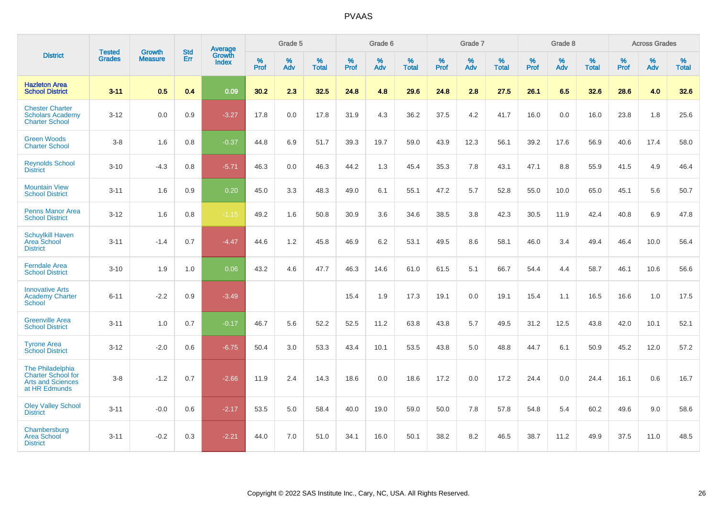|                                                                                            |                                |                                 | <b>Std</b> | Average                       |              | Grade 5  |                   |           | Grade 6  |                   |           | Grade 7  |                   |           | Grade 8  |                   |           | <b>Across Grades</b> |                   |
|--------------------------------------------------------------------------------------------|--------------------------------|---------------------------------|------------|-------------------------------|--------------|----------|-------------------|-----------|----------|-------------------|-----------|----------|-------------------|-----------|----------|-------------------|-----------|----------------------|-------------------|
| <b>District</b>                                                                            | <b>Tested</b><br><b>Grades</b> | <b>Growth</b><br><b>Measure</b> | Err        | <b>Growth</b><br><b>Index</b> | $\%$<br>Prof | %<br>Adv | %<br><b>Total</b> | %<br>Prof | %<br>Adv | %<br><b>Total</b> | %<br>Prof | %<br>Adv | %<br><b>Total</b> | %<br>Prof | %<br>Adv | %<br><b>Total</b> | %<br>Prof | %<br>Adv             | %<br><b>Total</b> |
| <b>Hazleton Area</b><br><b>School District</b>                                             | $3 - 11$                       | 0.5                             | 0.4        | 0.09                          | 30.2         | 2.3      | 32.5              | 24.8      | 4.8      | 29.6              | 24.8      | 2.8      | 27.5              | 26.1      | 6.5      | 32.6              | 28.6      | 4.0                  | 32.6              |
| <b>Chester Charter</b><br><b>Scholars Academy</b><br><b>Charter School</b>                 | $3 - 12$                       | 0.0                             | 0.9        | $-3.27$                       | 17.8         | 0.0      | 17.8              | 31.9      | 4.3      | 36.2              | 37.5      | 4.2      | 41.7              | 16.0      | 0.0      | 16.0              | 23.8      | 1.8                  | 25.6              |
| <b>Green Woods</b><br><b>Charter School</b>                                                | $3-8$                          | 1.6                             | 0.8        | $-0.37$                       | 44.8         | 6.9      | 51.7              | 39.3      | 19.7     | 59.0              | 43.9      | 12.3     | 56.1              | 39.2      | 17.6     | 56.9              | 40.6      | 17.4                 | 58.0              |
| <b>Reynolds School</b><br><b>District</b>                                                  | $3 - 10$                       | $-4.3$                          | 0.8        | $-5.71$                       | 46.3         | 0.0      | 46.3              | 44.2      | 1.3      | 45.4              | 35.3      | 7.8      | 43.1              | 47.1      | 8.8      | 55.9              | 41.5      | 4.9                  | 46.4              |
| <b>Mountain View</b><br><b>School District</b>                                             | $3 - 11$                       | 1.6                             | 0.9        | 0.20                          | 45.0         | 3.3      | 48.3              | 49.0      | 6.1      | 55.1              | 47.2      | 5.7      | 52.8              | 55.0      | 10.0     | 65.0              | 45.1      | 5.6                  | 50.7              |
| <b>Penns Manor Area</b><br><b>School District</b>                                          | $3 - 12$                       | 1.6                             | 0.8        | $-1.15$                       | 49.2         | 1.6      | 50.8              | 30.9      | 3.6      | 34.6              | 38.5      | 3.8      | 42.3              | 30.5      | 11.9     | 42.4              | 40.8      | 6.9                  | 47.8              |
| <b>Schuylkill Haven</b><br>Area School<br><b>District</b>                                  | $3 - 11$                       | $-1.4$                          | 0.7        | $-4.47$                       | 44.6         | 1.2      | 45.8              | 46.9      | 6.2      | 53.1              | 49.5      | 8.6      | 58.1              | 46.0      | 3.4      | 49.4              | 46.4      | 10.0                 | 56.4              |
| <b>Ferndale Area</b><br><b>School District</b>                                             | $3 - 10$                       | 1.9                             | 1.0        | 0.06                          | 43.2         | 4.6      | 47.7              | 46.3      | 14.6     | 61.0              | 61.5      | 5.1      | 66.7              | 54.4      | 4.4      | 58.7              | 46.1      | 10.6                 | 56.6              |
| <b>Innovative Arts</b><br><b>Academy Charter</b><br>School                                 | $6 - 11$                       | $-2.2$                          | 0.9        | $-3.49$                       |              |          |                   | 15.4      | 1.9      | 17.3              | 19.1      | 0.0      | 19.1              | 15.4      | 1.1      | 16.5              | 16.6      | 1.0                  | 17.5              |
| <b>Greenville Area</b><br><b>School District</b>                                           | $3 - 11$                       | 1.0                             | 0.7        | $-0.17$                       | 46.7         | 5.6      | 52.2              | 52.5      | 11.2     | 63.8              | 43.8      | 5.7      | 49.5              | 31.2      | 12.5     | 43.8              | 42.0      | 10.1                 | 52.1              |
| <b>Tyrone Area</b><br><b>School District</b>                                               | $3 - 12$                       | $-2.0$                          | 0.6        | $-6.75$                       | 50.4         | 3.0      | 53.3              | 43.4      | 10.1     | 53.5              | 43.8      | 5.0      | 48.8              | 44.7      | 6.1      | 50.9              | 45.2      | 12.0                 | 57.2              |
| The Philadelphia<br><b>Charter School for</b><br><b>Arts and Sciences</b><br>at HR Edmunds | $3-8$                          | $-1.2$                          | 0.7        | $-2.66$                       | 11.9         | 2.4      | 14.3              | 18.6      | 0.0      | 18.6              | 17.2      | 0.0      | 17.2              | 24.4      | 0.0      | 24.4              | 16.1      | 0.6                  | 16.7              |
| <b>Oley Valley School</b><br><b>District</b>                                               | $3 - 11$                       | $-0.0$                          | 0.6        | $-2.17$                       | 53.5         | 5.0      | 58.4              | 40.0      | 19.0     | 59.0              | 50.0      | 7.8      | 57.8              | 54.8      | 5.4      | 60.2              | 49.6      | 9.0                  | 58.6              |
| Chambersburg<br><b>Area School</b><br><b>District</b>                                      | $3 - 11$                       | $-0.2$                          | 0.3        | $-2.21$                       | 44.0         | 7.0      | 51.0              | 34.1      | 16.0     | 50.1              | 38.2      | 8.2      | 46.5              | 38.7      | 11.2     | 49.9              | 37.5      | 11.0                 | 48.5              |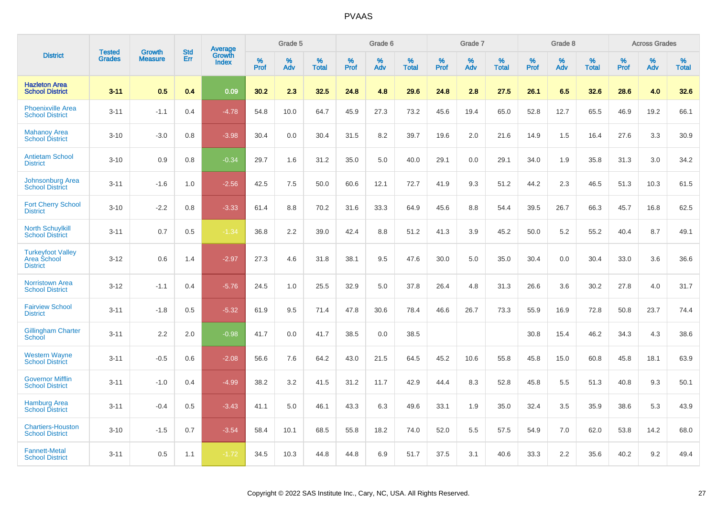|                                                            | <b>Tested</b> | <b>Growth</b>  | <b>Std</b> | Average                |              | Grade 5  |                      |                     | Grade 6     |                      |              | Grade 7     |                   |              | Grade 8     |                   |                     | <b>Across Grades</b> |                   |
|------------------------------------------------------------|---------------|----------------|------------|------------------------|--------------|----------|----------------------|---------------------|-------------|----------------------|--------------|-------------|-------------------|--------------|-------------|-------------------|---------------------|----------------------|-------------------|
| <b>District</b>                                            | <b>Grades</b> | <b>Measure</b> | Err        | Growth<br><b>Index</b> | $\%$<br>Prof | %<br>Adv | $\%$<br><b>Total</b> | $\%$<br><b>Prof</b> | $\%$<br>Adv | $\%$<br><b>Total</b> | $\%$<br>Prof | $\%$<br>Adv | %<br><b>Total</b> | $\%$<br>Prof | $\%$<br>Adv | %<br><b>Total</b> | $\%$<br><b>Prof</b> | $\%$<br>Adv          | %<br><b>Total</b> |
| <b>Hazleton Area</b><br><b>School District</b>             | $3 - 11$      | 0.5            | 0.4        | 0.09                   | 30.2         | 2.3      | 32.5                 | 24.8                | 4.8         | 29.6                 | 24.8         | 2.8         | 27.5              | 26.1         | 6.5         | 32.6              | 28.6                | 4.0                  | 32.6              |
| <b>Phoenixville Area</b><br><b>School District</b>         | $3 - 11$      | $-1.1$         | 0.4        | $-4.78$                | 54.8         | 10.0     | 64.7                 | 45.9                | 27.3        | 73.2                 | 45.6         | 19.4        | 65.0              | 52.8         | 12.7        | 65.5              | 46.9                | 19.2                 | 66.1              |
| <b>Mahanoy Area</b><br><b>School District</b>              | $3 - 10$      | $-3.0$         | 0.8        | $-3.98$                | 30.4         | 0.0      | 30.4                 | 31.5                | 8.2         | 39.7                 | 19.6         | 2.0         | 21.6              | 14.9         | 1.5         | 16.4              | 27.6                | 3.3                  | 30.9              |
| <b>Antietam School</b><br><b>District</b>                  | $3 - 10$      | 0.9            | 0.8        | $-0.34$                | 29.7         | 1.6      | 31.2                 | 35.0                | 5.0         | 40.0                 | 29.1         | 0.0         | 29.1              | 34.0         | 1.9         | 35.8              | 31.3                | 3.0                  | 34.2              |
| <b>Johnsonburg Area</b><br><b>School District</b>          | $3 - 11$      | $-1.6$         | 1.0        | $-2.56$                | 42.5         | 7.5      | 50.0                 | 60.6                | 12.1        | 72.7                 | 41.9         | 9.3         | 51.2              | 44.2         | 2.3         | 46.5              | 51.3                | 10.3                 | 61.5              |
| <b>Fort Cherry School</b><br><b>District</b>               | $3 - 10$      | $-2.2$         | 0.8        | $-3.33$                | 61.4         | 8.8      | 70.2                 | 31.6                | 33.3        | 64.9                 | 45.6         | 8.8         | 54.4              | 39.5         | 26.7        | 66.3              | 45.7                | 16.8                 | 62.5              |
| <b>North Schuylkill</b><br><b>School District</b>          | $3 - 11$      | 0.7            | 0.5        | $-1.34$                | 36.8         | 2.2      | 39.0                 | 42.4                | 8.8         | 51.2                 | 41.3         | 3.9         | 45.2              | 50.0         | 5.2         | 55.2              | 40.4                | 8.7                  | 49.1              |
| <b>Turkeyfoot Valley</b><br>Area School<br><b>District</b> | $3 - 12$      | 0.6            | 1.4        | $-2.97$                | 27.3         | 4.6      | 31.8                 | 38.1                | 9.5         | 47.6                 | 30.0         | 5.0         | 35.0              | 30.4         | 0.0         | 30.4              | 33.0                | 3.6                  | 36.6              |
| <b>Norristown Area</b><br><b>School District</b>           | $3 - 12$      | $-1.1$         | 0.4        | $-5.76$                | 24.5         | 1.0      | 25.5                 | 32.9                | 5.0         | 37.8                 | 26.4         | 4.8         | 31.3              | 26.6         | 3.6         | 30.2              | 27.8                | 4.0                  | 31.7              |
| <b>Fairview School</b><br><b>District</b>                  | $3 - 11$      | $-1.8$         | 0.5        | $-5.32$                | 61.9         | 9.5      | 71.4                 | 47.8                | 30.6        | 78.4                 | 46.6         | 26.7        | 73.3              | 55.9         | 16.9        | 72.8              | 50.8                | 23.7                 | 74.4              |
| <b>Gillingham Charter</b><br>School                        | $3 - 11$      | 2.2            | 2.0        | $-0.98$                | 41.7         | 0.0      | 41.7                 | 38.5                | 0.0         | 38.5                 |              |             |                   | 30.8         | 15.4        | 46.2              | 34.3                | 4.3                  | 38.6              |
| <b>Western Wayne</b><br><b>School District</b>             | $3 - 11$      | $-0.5$         | 0.6        | $-2.08$                | 56.6         | 7.6      | 64.2                 | 43.0                | 21.5        | 64.5                 | 45.2         | 10.6        | 55.8              | 45.8         | 15.0        | 60.8              | 45.8                | 18.1                 | 63.9              |
| <b>Governor Mifflin</b><br><b>School District</b>          | $3 - 11$      | $-1.0$         | 0.4        | $-4.99$                | 38.2         | 3.2      | 41.5                 | 31.2                | 11.7        | 42.9                 | 44.4         | 8.3         | 52.8              | 45.8         | 5.5         | 51.3              | 40.8                | 9.3                  | 50.1              |
| <b>Hamburg Area</b><br><b>School District</b>              | $3 - 11$      | $-0.4$         | 0.5        | $-3.43$                | 41.1         | 5.0      | 46.1                 | 43.3                | 6.3         | 49.6                 | 33.1         | 1.9         | 35.0              | 32.4         | 3.5         | 35.9              | 38.6                | 5.3                  | 43.9              |
| <b>Chartiers-Houston</b><br><b>School District</b>         | $3 - 10$      | $-1.5$         | 0.7        | $-3.54$                | 58.4         | 10.1     | 68.5                 | 55.8                | 18.2        | 74.0                 | 52.0         | 5.5         | 57.5              | 54.9         | 7.0         | 62.0              | 53.8                | 14.2                 | 68.0              |
| <b>Fannett-Metal</b><br><b>School District</b>             | $3 - 11$      | 0.5            | 1.1        | $-1.72$                | 34.5         | 10.3     | 44.8                 | 44.8                | 6.9         | 51.7                 | 37.5         | 3.1         | 40.6              | 33.3         | 2.2         | 35.6              | 40.2                | 9.2                  | 49.4              |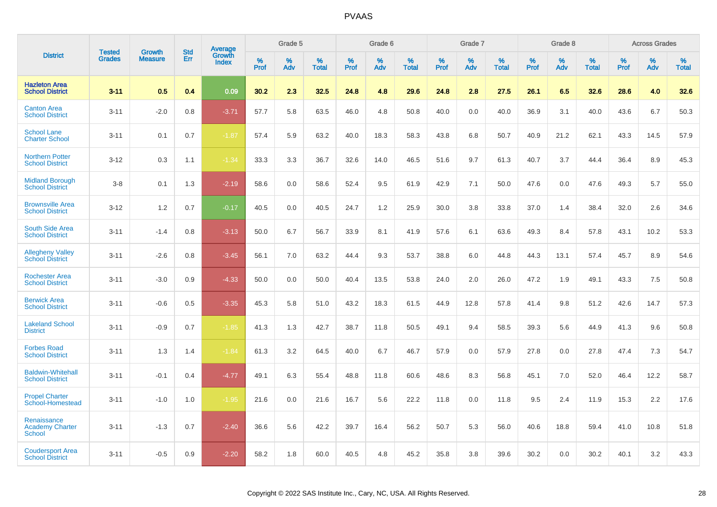|                                                        |                                | <b>Growth</b>  | <b>Std</b> | Average                |              | Grade 5     |                      |                     | Grade 6     |                      |              | Grade 7     |                   |              | Grade 8     |                   |                     | <b>Across Grades</b> |                      |
|--------------------------------------------------------|--------------------------------|----------------|------------|------------------------|--------------|-------------|----------------------|---------------------|-------------|----------------------|--------------|-------------|-------------------|--------------|-------------|-------------------|---------------------|----------------------|----------------------|
| <b>District</b>                                        | <b>Tested</b><br><b>Grades</b> | <b>Measure</b> | Err        | Growth<br><b>Index</b> | $\%$<br>Prof | $\%$<br>Adv | $\%$<br><b>Total</b> | $\%$<br><b>Prof</b> | $\%$<br>Adv | $\%$<br><b>Total</b> | $\%$<br>Prof | $\%$<br>Adv | %<br><b>Total</b> | $\%$<br>Prof | $\%$<br>Adv | %<br><b>Total</b> | $\%$<br><b>Prof</b> | $\%$<br>Adv          | $\%$<br><b>Total</b> |
| <b>Hazleton Area</b><br><b>School District</b>         | $3 - 11$                       | 0.5            | 0.4        | 0.09                   | 30.2         | 2.3         | 32.5                 | 24.8                | 4.8         | 29.6                 | 24.8         | 2.8         | 27.5              | 26.1         | 6.5         | 32.6              | 28.6                | 4.0                  | 32.6                 |
| <b>Canton Area</b><br><b>School District</b>           | $3 - 11$                       | $-2.0$         | 0.8        | $-3.71$                | 57.7         | 5.8         | 63.5                 | 46.0                | 4.8         | 50.8                 | 40.0         | 0.0         | 40.0              | 36.9         | 3.1         | 40.0              | 43.6                | 6.7                  | 50.3                 |
| <b>School Lane</b><br><b>Charter School</b>            | $3 - 11$                       | 0.1            | 0.7        | $-1.87$                | 57.4         | 5.9         | 63.2                 | 40.0                | 18.3        | 58.3                 | 43.8         | 6.8         | 50.7              | 40.9         | 21.2        | 62.1              | 43.3                | 14.5                 | 57.9                 |
| <b>Northern Potter</b><br><b>School District</b>       | $3 - 12$                       | 0.3            | 1.1        | $-1.34$                | 33.3         | 3.3         | 36.7                 | 32.6                | 14.0        | 46.5                 | 51.6         | 9.7         | 61.3              | 40.7         | 3.7         | 44.4              | 36.4                | 8.9                  | 45.3                 |
| <b>Midland Borough</b><br><b>School District</b>       | $3-8$                          | 0.1            | 1.3        | $-2.19$                | 58.6         | 0.0         | 58.6                 | 52.4                | 9.5         | 61.9                 | 42.9         | 7.1         | 50.0              | 47.6         | 0.0         | 47.6              | 49.3                | 5.7                  | 55.0                 |
| <b>Brownsville Area</b><br><b>School District</b>      | $3 - 12$                       | 1.2            | 0.7        | $-0.17$                | 40.5         | 0.0         | 40.5                 | 24.7                | 1.2         | 25.9                 | 30.0         | 3.8         | 33.8              | 37.0         | 1.4         | 38.4              | 32.0                | 2.6                  | 34.6                 |
| <b>South Side Area</b><br><b>School District</b>       | $3 - 11$                       | $-1.4$         | 0.8        | $-3.13$                | 50.0         | 6.7         | 56.7                 | 33.9                | 8.1         | 41.9                 | 57.6         | 6.1         | 63.6              | 49.3         | 8.4         | 57.8              | 43.1                | 10.2                 | 53.3                 |
| <b>Allegheny Valley</b><br><b>School District</b>      | $3 - 11$                       | $-2.6$         | 0.8        | $-3.45$                | 56.1         | 7.0         | 63.2                 | 44.4                | 9.3         | 53.7                 | 38.8         | 6.0         | 44.8              | 44.3         | 13.1        | 57.4              | 45.7                | 8.9                  | 54.6                 |
| <b>Rochester Area</b><br><b>School District</b>        | $3 - 11$                       | $-3.0$         | 0.9        | $-4.33$                | 50.0         | 0.0         | 50.0                 | 40.4                | 13.5        | 53.8                 | 24.0         | 2.0         | 26.0              | 47.2         | 1.9         | 49.1              | 43.3                | 7.5                  | 50.8                 |
| <b>Berwick Area</b><br><b>School District</b>          | $3 - 11$                       | $-0.6$         | 0.5        | $-3.35$                | 45.3         | 5.8         | 51.0                 | 43.2                | 18.3        | 61.5                 | 44.9         | 12.8        | 57.8              | 41.4         | 9.8         | 51.2              | 42.6                | 14.7                 | 57.3                 |
| <b>Lakeland School</b><br><b>District</b>              | $3 - 11$                       | $-0.9$         | 0.7        | $-1.85$                | 41.3         | 1.3         | 42.7                 | 38.7                | 11.8        | 50.5                 | 49.1         | 9.4         | 58.5              | 39.3         | 5.6         | 44.9              | 41.3                | 9.6                  | 50.8                 |
| <b>Forbes Road</b><br><b>School District</b>           | $3 - 11$                       | 1.3            | 1.4        | $-1.84$                | 61.3         | 3.2         | 64.5                 | 40.0                | 6.7         | 46.7                 | 57.9         | 0.0         | 57.9              | 27.8         | 0.0         | 27.8              | 47.4                | 7.3                  | 54.7                 |
| <b>Baldwin-Whitehall</b><br><b>School District</b>     | $3 - 11$                       | $-0.1$         | 0.4        | $-4.77$                | 49.1         | 6.3         | 55.4                 | 48.8                | 11.8        | 60.6                 | 48.6         | 8.3         | 56.8              | 45.1         | 7.0         | 52.0              | 46.4                | 12.2                 | 58.7                 |
| <b>Propel Charter</b><br>School-Homestead              | $3 - 11$                       | $-1.0$         | 1.0        | $-1.95$                | 21.6         | 0.0         | 21.6                 | 16.7                | 5.6         | 22.2                 | 11.8         | 0.0         | 11.8              | 9.5          | 2.4         | 11.9              | 15.3                | 2.2                  | 17.6                 |
| Renaissance<br><b>Academy Charter</b><br><b>School</b> | $3 - 11$                       | $-1.3$         | 0.7        | $-2.40$                | 36.6         | 5.6         | 42.2                 | 39.7                | 16.4        | 56.2                 | 50.7         | 5.3         | 56.0              | 40.6         | 18.8        | 59.4              | 41.0                | 10.8                 | 51.8                 |
| <b>Coudersport Area</b><br><b>School District</b>      | $3 - 11$                       | $-0.5$         | 0.9        | $-2.20$                | 58.2         | 1.8         | 60.0                 | 40.5                | 4.8         | 45.2                 | 35.8         | 3.8         | 39.6              | 30.2         | 0.0         | 30.2              | 40.1                | 3.2                  | 43.3                 |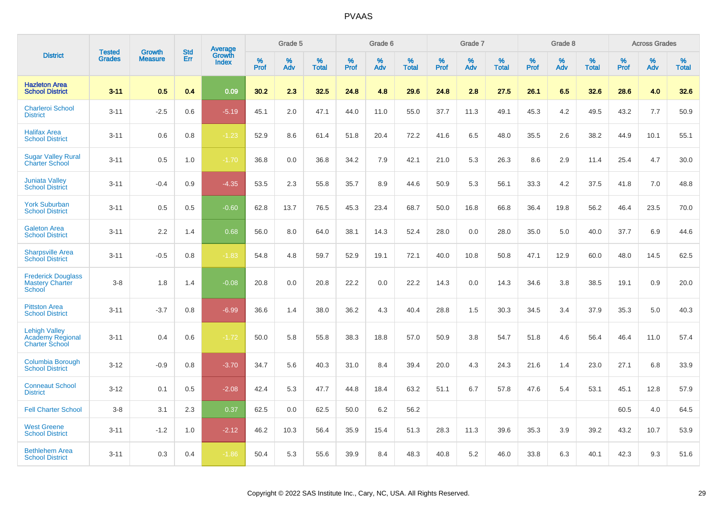|                                                                   |                                |                          | <b>Std</b> | Average         |              | Grade 5  |                      |              | Grade 6     |                      |              | Grade 7  |                      |              | Grade 8     |                      |              | <b>Across Grades</b> |                      |
|-------------------------------------------------------------------|--------------------------------|--------------------------|------------|-----------------|--------------|----------|----------------------|--------------|-------------|----------------------|--------------|----------|----------------------|--------------|-------------|----------------------|--------------|----------------------|----------------------|
| <b>District</b>                                                   | <b>Tested</b><br><b>Grades</b> | Growth<br><b>Measure</b> | Err        | Growth<br>Index | $\%$<br>Prof | %<br>Adv | $\%$<br><b>Total</b> | $\%$<br>Prof | $\%$<br>Adv | $\%$<br><b>Total</b> | $\%$<br>Prof | %<br>Adv | $\%$<br><b>Total</b> | $\%$<br>Prof | $\%$<br>Adv | $\%$<br><b>Total</b> | $\%$<br>Prof | $\%$<br>Adv          | $\%$<br><b>Total</b> |
| <b>Hazleton Area</b><br><b>School District</b>                    | $3 - 11$                       | 0.5                      | 0.4        | 0.09            | 30.2         | 2.3      | 32.5                 | 24.8         | 4.8         | 29.6                 | 24.8         | 2.8      | 27.5                 | 26.1         | 6.5         | 32.6                 | 28.6         | 4.0                  | 32.6                 |
| <b>Charleroi School</b><br><b>District</b>                        | $3 - 11$                       | $-2.5$                   | 0.6        | $-5.19$         | 45.1         | 2.0      | 47.1                 | 44.0         | 11.0        | 55.0                 | 37.7         | 11.3     | 49.1                 | 45.3         | 4.2         | 49.5                 | 43.2         | 7.7                  | 50.9                 |
| <b>Halifax Area</b><br><b>School District</b>                     | $3 - 11$                       | 0.6                      | 0.8        | $-1.23$         | 52.9         | 8.6      | 61.4                 | 51.8         | 20.4        | 72.2                 | 41.6         | 6.5      | 48.0                 | 35.5         | 2.6         | 38.2                 | 44.9         | 10.1                 | 55.1                 |
| <b>Sugar Valley Rural</b><br><b>Charter School</b>                | $3 - 11$                       | 0.5                      | 1.0        | $-1.70$         | 36.8         | 0.0      | 36.8                 | 34.2         | 7.9         | 42.1                 | 21.0         | 5.3      | 26.3                 | 8.6          | 2.9         | 11.4                 | 25.4         | 4.7                  | 30.0                 |
| <b>Juniata Valley</b><br><b>School District</b>                   | $3 - 11$                       | $-0.4$                   | 0.9        | $-4.35$         | 53.5         | 2.3      | 55.8                 | 35.7         | 8.9         | 44.6                 | 50.9         | 5.3      | 56.1                 | 33.3         | 4.2         | 37.5                 | 41.8         | 7.0                  | 48.8                 |
| <b>York Suburban</b><br><b>School District</b>                    | $3 - 11$                       | 0.5                      | 0.5        | $-0.60$         | 62.8         | 13.7     | 76.5                 | 45.3         | 23.4        | 68.7                 | 50.0         | 16.8     | 66.8                 | 36.4         | 19.8        | 56.2                 | 46.4         | 23.5                 | 70.0                 |
| <b>Galeton Area</b><br><b>School District</b>                     | $3 - 11$                       | 2.2                      | 1.4        | 0.68            | 56.0         | 8.0      | 64.0                 | 38.1         | 14.3        | 52.4                 | 28.0         | 0.0      | 28.0                 | 35.0         | 5.0         | 40.0                 | 37.7         | 6.9                  | 44.6                 |
| <b>Sharpsville Area</b><br><b>School District</b>                 | $3 - 11$                       | $-0.5$                   | 0.8        | $-1.83$         | 54.8         | 4.8      | 59.7                 | 52.9         | 19.1        | 72.1                 | 40.0         | 10.8     | 50.8                 | 47.1         | 12.9        | 60.0                 | 48.0         | 14.5                 | 62.5                 |
| <b>Frederick Douglass</b><br><b>Mastery Charter</b><br>School     | $3 - 8$                        | 1.8                      | 1.4        | $-0.08$         | 20.8         | 0.0      | 20.8                 | 22.2         | 0.0         | 22.2                 | 14.3         | 0.0      | 14.3                 | 34.6         | 3.8         | 38.5                 | 19.1         | 0.9                  | 20.0                 |
| <b>Pittston Area</b><br><b>School District</b>                    | $3 - 11$                       | $-3.7$                   | 0.8        | $-6.99$         | 36.6         | 1.4      | 38.0                 | 36.2         | 4.3         | 40.4                 | 28.8         | 1.5      | 30.3                 | 34.5         | 3.4         | 37.9                 | 35.3         | 5.0                  | 40.3                 |
| <b>Lehigh Valley</b><br>Academy Regional<br><b>Charter School</b> | $3 - 11$                       | 0.4                      | 0.6        | $-1.72$         | 50.0         | 5.8      | 55.8                 | 38.3         | 18.8        | 57.0                 | 50.9         | 3.8      | 54.7                 | 51.8         | 4.6         | 56.4                 | 46.4         | 11.0                 | 57.4                 |
| <b>Columbia Borough</b><br><b>School District</b>                 | $3 - 12$                       | $-0.9$                   | 0.8        | $-3.70$         | 34.7         | 5.6      | 40.3                 | 31.0         | 8.4         | 39.4                 | 20.0         | 4.3      | 24.3                 | 21.6         | 1.4         | 23.0                 | 27.1         | 6.8                  | 33.9                 |
| <b>Conneaut School</b><br><b>District</b>                         | $3 - 12$                       | 0.1                      | 0.5        | $-2.08$         | 42.4         | 5.3      | 47.7                 | 44.8         | 18.4        | 63.2                 | 51.1         | 6.7      | 57.8                 | 47.6         | 5.4         | 53.1                 | 45.1         | 12.8                 | 57.9                 |
| <b>Fell Charter School</b>                                        | $3 - 8$                        | 3.1                      | 2.3        | 0.37            | 62.5         | 0.0      | 62.5                 | 50.0         | 6.2         | 56.2                 |              |          |                      |              |             |                      | 60.5         | 4.0                  | 64.5                 |
| <b>West Greene</b><br><b>School District</b>                      | $3 - 11$                       | $-1.2$                   | 1.0        | $-2.12$         | 46.2         | 10.3     | 56.4                 | 35.9         | 15.4        | 51.3                 | 28.3         | 11.3     | 39.6                 | 35.3         | 3.9         | 39.2                 | 43.2         | 10.7                 | 53.9                 |
| <b>Bethlehem Area</b><br><b>School District</b>                   | $3 - 11$                       | 0.3                      | 0.4        | $-1.86$         | 50.4         | 5.3      | 55.6                 | 39.9         | 8.4         | 48.3                 | 40.8         | 5.2      | 46.0                 | 33.8         | 6.3         | 40.1                 | 42.3         | 9.3                  | 51.6                 |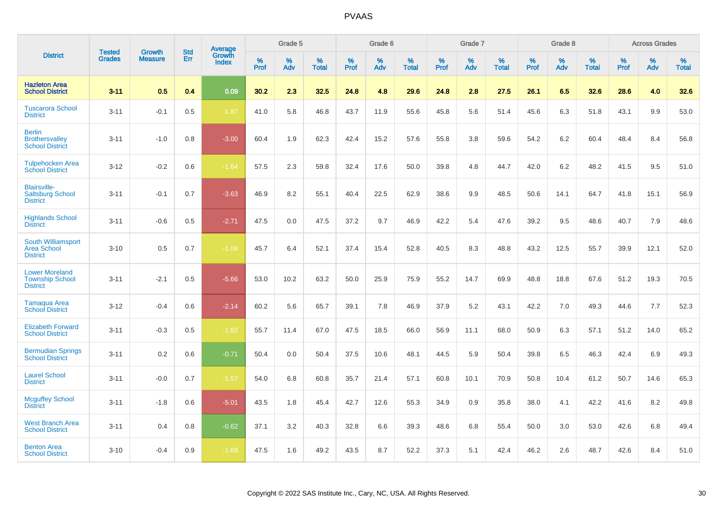|                                                                    |                                | <b>Growth</b>  | <b>Std</b> | Average                |           | Grade 5  |                   |           | Grade 6  |                   |           | Grade 7  |                   |           | Grade 8  |                   |           | <b>Across Grades</b> |                   |
|--------------------------------------------------------------------|--------------------------------|----------------|------------|------------------------|-----------|----------|-------------------|-----------|----------|-------------------|-----------|----------|-------------------|-----------|----------|-------------------|-----------|----------------------|-------------------|
| <b>District</b>                                                    | <b>Tested</b><br><b>Grades</b> | <b>Measure</b> | Err        | Growth<br><b>Index</b> | %<br>Prof | %<br>Adv | %<br><b>Total</b> | %<br>Prof | %<br>Adv | %<br><b>Total</b> | %<br>Prof | %<br>Adv | %<br><b>Total</b> | %<br>Prof | %<br>Adv | %<br><b>Total</b> | %<br>Prof | %<br>Adv             | %<br><b>Total</b> |
| <b>Hazleton Area</b><br><b>School District</b>                     | $3 - 11$                       | 0.5            | 0.4        | 0.09                   | 30.2      | 2.3      | 32.5              | 24.8      | 4.8      | 29.6              | 24.8      | 2.8      | 27.5              | 26.1      | 6.5      | 32.6              | 28.6      | 4.0                  | 32.6              |
| <b>Tuscarora School</b><br><b>District</b>                         | $3 - 11$                       | $-0.1$         | 0.5        | $-1.87$                | 41.0      | 5.8      | 46.8              | 43.7      | 11.9     | 55.6              | 45.8      | 5.6      | 51.4              | 45.6      | 6.3      | 51.8              | 43.1      | 9.9                  | 53.0              |
| <b>Berlin</b><br><b>Brothersvalley</b><br><b>School District</b>   | $3 - 11$                       | $-1.0$         | 0.8        | $-3.00$                | 60.4      | 1.9      | 62.3              | 42.4      | 15.2     | 57.6              | 55.8      | 3.8      | 59.6              | 54.2      | $6.2\,$  | 60.4              | 48.4      | 8.4                  | 56.8              |
| <b>Tulpehocken Area</b><br><b>School District</b>                  | $3 - 12$                       | $-0.2$         | 0.6        | $-1.64$                | 57.5      | 2.3      | 59.8              | 32.4      | 17.6     | 50.0              | 39.8      | 4.8      | 44.7              | 42.0      | 6.2      | 48.2              | 41.5      | 9.5                  | 51.0              |
| <b>Blairsville-</b><br><b>Saltsburg School</b><br><b>District</b>  | $3 - 11$                       | $-0.1$         | 0.7        | $-3.63$                | 46.9      | 8.2      | 55.1              | 40.4      | 22.5     | 62.9              | 38.6      | 9.9      | 48.5              | 50.6      | 14.1     | 64.7              | 41.8      | 15.1                 | 56.9              |
| <b>Highlands School</b><br><b>District</b>                         | $3 - 11$                       | $-0.6$         | 0.5        | $-2.71$                | 47.5      | 0.0      | 47.5              | 37.2      | 9.7      | 46.9              | 42.2      | 5.4      | 47.6              | 39.2      | 9.5      | 48.6              | 40.7      | 7.9                  | 48.6              |
| South Williamsport<br><b>Area School</b><br><b>District</b>        | $3 - 10$                       | 0.5            | 0.7        | $-1.08$                | 45.7      | 6.4      | 52.1              | 37.4      | 15.4     | 52.8              | 40.5      | 8.3      | 48.8              | 43.2      | 12.5     | 55.7              | 39.9      | 12.1                 | 52.0              |
| <b>Lower Moreland</b><br><b>Township School</b><br><b>District</b> | $3 - 11$                       | $-2.1$         | 0.5        | $-5.66$                | 53.0      | 10.2     | 63.2              | 50.0      | 25.9     | 75.9              | 55.2      | 14.7     | 69.9              | 48.8      | 18.8     | 67.6              | 51.2      | 19.3                 | 70.5              |
| <b>Tamaqua Area</b><br><b>School District</b>                      | $3 - 12$                       | $-0.4$         | 0.6        | $-2.14$                | 60.2      | 5.6      | 65.7              | 39.1      | 7.8      | 46.9              | 37.9      | 5.2      | 43.1              | 42.2      | 7.0      | 49.3              | 44.6      | 7.7                  | 52.3              |
| <b>Elizabeth Forward</b><br><b>School District</b>                 | $3 - 11$                       | $-0.3$         | 0.5        | $-1.82$                | 55.7      | 11.4     | 67.0              | 47.5      | 18.5     | 66.0              | 56.9      | 11.1     | 68.0              | 50.9      | 6.3      | 57.1              | 51.2      | 14.0                 | 65.2              |
| <b>Bermudian Springs</b><br><b>School District</b>                 | $3 - 11$                       | 0.2            | 0.6        | $-0.71$                | 50.4      | 0.0      | 50.4              | 37.5      | 10.6     | 48.1              | 44.5      | 5.9      | 50.4              | 39.8      | 6.5      | 46.3              | 42.4      | 6.9                  | 49.3              |
| <b>Laurel School</b><br><b>District</b>                            | $3 - 11$                       | $-0.0$         | 0.7        | $-1.57$                | 54.0      | 6.8      | 60.8              | 35.7      | 21.4     | 57.1              | 60.8      | 10.1     | 70.9              | 50.8      | 10.4     | 61.2              | 50.7      | 14.6                 | 65.3              |
| <b>Mcguffey School</b><br><b>District</b>                          | $3 - 11$                       | $-1.8$         | 0.6        | $-5.01$                | 43.5      | 1.8      | 45.4              | 42.7      | 12.6     | 55.3              | 34.9      | 0.9      | 35.8              | 38.0      | 4.1      | 42.2              | 41.6      | 8.2                  | 49.8              |
| <b>West Branch Area</b><br><b>School District</b>                  | $3 - 11$                       | 0.4            | 0.8        | $-0.62$                | 37.1      | 3.2      | 40.3              | 32.8      | 6.6      | 39.3              | 48.6      | 6.8      | 55.4              | 50.0      | 3.0      | 53.0              | 42.6      | 6.8                  | 49.4              |
| <b>Benton Area</b><br><b>School District</b>                       | $3 - 10$                       | $-0.4$         | 0.9        | $-1.69$                | 47.5      | 1.6      | 49.2              | 43.5      | 8.7      | 52.2              | 37.3      | 5.1      | 42.4              | 46.2      | 2.6      | 48.7              | 42.6      | 8.4                  | 51.0              |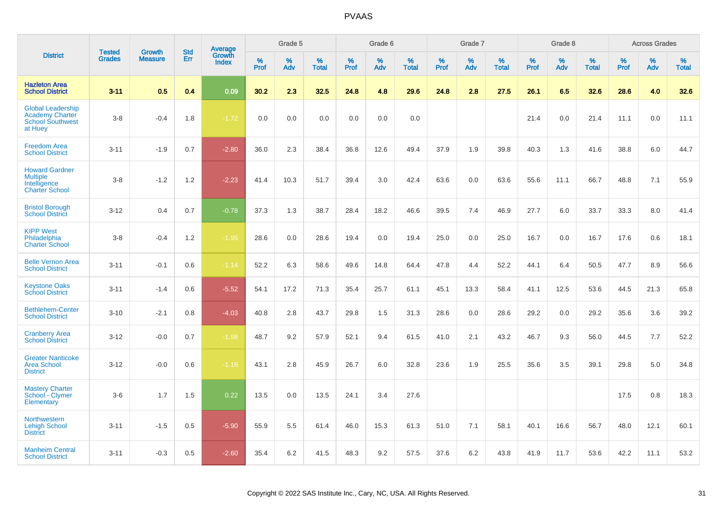|                                                                                          | <b>Tested</b> | <b>Growth</b>  | <b>Std</b> |                                   |              | Grade 5  |                   |              | Grade 6  |                   |              | Grade 7  |                   |              | Grade 8  |                   |           | <b>Across Grades</b> |                   |
|------------------------------------------------------------------------------------------|---------------|----------------|------------|-----------------------------------|--------------|----------|-------------------|--------------|----------|-------------------|--------------|----------|-------------------|--------------|----------|-------------------|-----------|----------------------|-------------------|
| <b>District</b>                                                                          | <b>Grades</b> | <b>Measure</b> | Err        | Average<br>Growth<br><b>Index</b> | $\%$<br>Prof | %<br>Adv | %<br><b>Total</b> | $\%$<br>Prof | %<br>Adv | %<br><b>Total</b> | $\%$<br>Prof | %<br>Adv | %<br><b>Total</b> | $\%$<br>Prof | %<br>Adv | %<br><b>Total</b> | %<br>Prof | %<br>Adv             | %<br><b>Total</b> |
| <b>Hazleton Area</b><br><b>School District</b>                                           | $3 - 11$      | 0.5            | 0.4        | 0.09                              | 30.2         | 2.3      | 32.5              | 24.8         | 4.8      | 29.6              | 24.8         | 2.8      | 27.5              | 26.1         | 6.5      | 32.6              | 28.6      | 4.0                  | 32.6              |
| <b>Global Leadership</b><br><b>Academy Charter</b><br><b>School Southwest</b><br>at Huey | $3-8$         | $-0.4$         | 1.8        | $-1.72$                           | 0.0          | 0.0      | 0.0               | 0.0          | 0.0      | 0.0               |              |          |                   | 21.4         | 0.0      | 21.4              | 11.1      | 0.0                  | 11.1              |
| <b>Freedom Area</b><br><b>School District</b>                                            | $3 - 11$      | $-1.9$         | 0.7        | $-2.80$                           | 36.0         | 2.3      | 38.4              | 36.8         | 12.6     | 49.4              | 37.9         | 1.9      | 39.8              | 40.3         | 1.3      | 41.6              | 38.8      | 6.0                  | 44.7              |
| <b>Howard Gardner</b><br><b>Multiple</b><br>Intelligence<br><b>Charter School</b>        | $3 - 8$       | $-1.2$         | 1.2        | $-2.23$                           | 41.4         | 10.3     | 51.7              | 39.4         | 3.0      | 42.4              | 63.6         | 0.0      | 63.6              | 55.6         | 11.1     | 66.7              | 48.8      | 7.1                  | 55.9              |
| <b>Bristol Borough</b><br><b>School District</b>                                         | $3 - 12$      | 0.4            | 0.7        | $-0.78$                           | 37.3         | 1.3      | 38.7              | 28.4         | 18.2     | 46.6              | 39.5         | 7.4      | 46.9              | 27.7         | 6.0      | 33.7              | 33.3      | 8.0                  | 41.4              |
| <b>KIPP West</b><br>Philadelphia<br><b>Charter School</b>                                | $3-8$         | $-0.4$         | 1.2        | $-1.95$                           | 28.6         | 0.0      | 28.6              | 19.4         | 0.0      | 19.4              | 25.0         | 0.0      | 25.0              | 16.7         | 0.0      | 16.7              | 17.6      | 0.6                  | 18.1              |
| <b>Belle Vernon Area</b><br><b>School District</b>                                       | $3 - 11$      | $-0.1$         | 0.6        | $-1.14$                           | 52.2         | 6.3      | 58.6              | 49.6         | 14.8     | 64.4              | 47.8         | 4.4      | 52.2              | 44.1         | 6.4      | 50.5              | 47.7      | 8.9                  | 56.6              |
| <b>Keystone Oaks</b><br><b>School District</b>                                           | $3 - 11$      | $-1.4$         | 0.6        | $-5.52$                           | 54.1         | 17.2     | 71.3              | 35.4         | 25.7     | 61.1              | 45.1         | 13.3     | 58.4              | 41.1         | 12.5     | 53.6              | 44.5      | 21.3                 | 65.8              |
| <b>Bethlehem-Center</b><br><b>School District</b>                                        | $3 - 10$      | $-2.1$         | 0.8        | $-4.03$                           | 40.8         | 2.8      | 43.7              | 29.8         | 1.5      | 31.3              | 28.6         | 0.0      | 28.6              | 29.2         | 0.0      | 29.2              | 35.6      | 3.6                  | 39.2              |
| <b>Cranberry Area</b><br><b>School District</b>                                          | $3 - 12$      | $-0.0$         | 0.7        | $-1.98$                           | 48.7         | 9.2      | 57.9              | 52.1         | 9.4      | 61.5              | 41.0         | 2.1      | 43.2              | 46.7         | 9.3      | 56.0              | 44.5      | 7.7                  | 52.2              |
| <b>Greater Nanticoke</b><br><b>Area School</b><br><b>District</b>                        | $3 - 12$      | $-0.0$         | 0.6        | $-1.16$                           | 43.1         | 2.8      | 45.9              | 26.7         | 6.0      | 32.8              | 23.6         | 1.9      | 25.5              | 35.6         | 3.5      | 39.1              | 29.8      | 5.0                  | 34.8              |
| <b>Mastery Charter</b><br>School - Clymer<br>Elementary                                  | $3-6$         | 1.7            | 1.5        | 0.22                              | 13.5         | 0.0      | 13.5              | 24.1         | 3.4      | 27.6              |              |          |                   |              |          |                   | 17.5      | 0.8                  | 18.3              |
| <b>Northwestern</b><br><b>Lehigh School</b><br><b>District</b>                           | $3 - 11$      | $-1.5$         | 0.5        | $-5.90$                           | 55.9         | 5.5      | 61.4              | 46.0         | 15.3     | 61.3              | 51.0         | 7.1      | 58.1              | 40.1         | 16.6     | 56.7              | 48.0      | 12.1                 | 60.1              |
| <b>Manheim Central</b><br><b>School District</b>                                         | $3 - 11$      | $-0.3$         | 0.5        | $-2.60$                           | 35.4         | 6.2      | 41.5              | 48.3         | 9.2      | 57.5              | 37.6         | 6.2      | 43.8              | 41.9         | 11.7     | 53.6              | 42.2      | 11.1                 | 53.2              |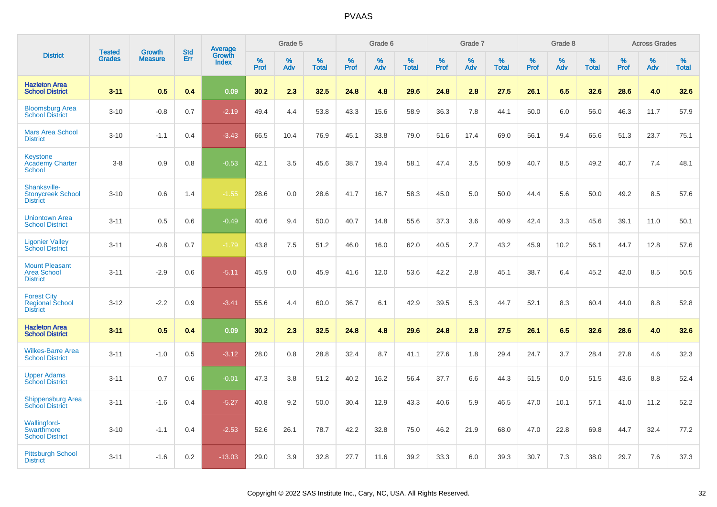|                                                                 | <b>Tested</b> | <b>Growth</b>  | <b>Std</b> |                                          |           | Grade 5  |                   |           | Grade 6  |                   |           | Grade 7  |                   |           | Grade 8  |                   |              | <b>Across Grades</b> |                   |
|-----------------------------------------------------------------|---------------|----------------|------------|------------------------------------------|-----------|----------|-------------------|-----------|----------|-------------------|-----------|----------|-------------------|-----------|----------|-------------------|--------------|----------------------|-------------------|
| <b>District</b>                                                 | <b>Grades</b> | <b>Measure</b> | <b>Err</b> | <b>Average</b><br>Growth<br><b>Index</b> | %<br>Prof | %<br>Adv | %<br><b>Total</b> | %<br>Prof | %<br>Adv | %<br><b>Total</b> | %<br>Prof | %<br>Adv | %<br><b>Total</b> | %<br>Prof | %<br>Adv | %<br><b>Total</b> | $\%$<br>Prof | %<br>Adv             | %<br><b>Total</b> |
| <b>Hazleton Area</b><br><b>School District</b>                  | $3 - 11$      | 0.5            | 0.4        | 0.09                                     | 30.2      | 2.3      | 32.5              | 24.8      | 4.8      | 29.6              | 24.8      | 2.8      | 27.5              | 26.1      | 6.5      | 32.6              | 28.6         | 4.0                  | 32.6              |
| <b>Bloomsburg Area</b><br><b>School District</b>                | $3 - 10$      | $-0.8$         | 0.7        | $-2.19$                                  | 49.4      | 4.4      | 53.8              | 43.3      | 15.6     | 58.9              | 36.3      | 7.8      | 44.1              | 50.0      | 6.0      | 56.0              | 46.3         | 11.7                 | 57.9              |
| <b>Mars Area School</b><br><b>District</b>                      | $3 - 10$      | $-1.1$         | 0.4        | $-3.43$                                  | 66.5      | 10.4     | 76.9              | 45.1      | 33.8     | 79.0              | 51.6      | 17.4     | 69.0              | 56.1      | 9.4      | 65.6              | 51.3         | 23.7                 | 75.1              |
| <b>Keystone</b><br><b>Academy Charter</b><br><b>School</b>      | $3 - 8$       | 0.9            | 0.8        | $-0.53$                                  | 42.1      | 3.5      | 45.6              | 38.7      | 19.4     | 58.1              | 47.4      | 3.5      | 50.9              | 40.7      | 8.5      | 49.2              | 40.7         | 7.4                  | 48.1              |
| Shanksville-<br><b>Stonycreek School</b><br><b>District</b>     | $3 - 10$      | 0.6            | 1.4        | $-1.55$                                  | 28.6      | 0.0      | 28.6              | 41.7      | 16.7     | 58.3              | 45.0      | 5.0      | 50.0              | 44.4      | 5.6      | 50.0              | 49.2         | 8.5                  | 57.6              |
| <b>Uniontown Area</b><br><b>School District</b>                 | $3 - 11$      | 0.5            | 0.6        | $-0.49$                                  | 40.6      | 9.4      | 50.0              | 40.7      | 14.8     | 55.6              | 37.3      | 3.6      | 40.9              | 42.4      | 3.3      | 45.6              | 39.1         | 11.0                 | 50.1              |
| <b>Ligonier Valley</b><br><b>School District</b>                | $3 - 11$      | $-0.8$         | 0.7        | $-1.79$                                  | 43.8      | 7.5      | 51.2              | 46.0      | 16.0     | 62.0              | 40.5      | 2.7      | 43.2              | 45.9      | 10.2     | 56.1              | 44.7         | 12.8                 | 57.6              |
| <b>Mount Pleasant</b><br><b>Area School</b><br><b>District</b>  | $3 - 11$      | $-2.9$         | 0.6        | $-5.11$                                  | 45.9      | 0.0      | 45.9              | 41.6      | 12.0     | 53.6              | 42.2      | 2.8      | 45.1              | 38.7      | 6.4      | 45.2              | 42.0         | 8.5                  | 50.5              |
| <b>Forest City</b><br><b>Regional School</b><br><b>District</b> | $3 - 12$      | $-2.2$         | 0.9        | $-3.41$                                  | 55.6      | 4.4      | 60.0              | 36.7      | 6.1      | 42.9              | 39.5      | 5.3      | 44.7              | 52.1      | 8.3      | 60.4              | 44.0         | 8.8                  | 52.8              |
| <b>Hazleton Area</b><br><b>School District</b>                  | $3 - 11$      | 0.5            | 0.4        | 0.09                                     | 30.2      | 2.3      | 32.5              | 24.8      | 4.8      | 29.6              | 24.8      | 2.8      | 27.5              | 26.1      | 6.5      | 32.6              | 28.6         | 4.0                  | 32.6              |
| <b>Wilkes-Barre Area</b><br><b>School District</b>              | $3 - 11$      | $-1.0$         | 0.5        | $-3.12$                                  | 28.0      | 0.8      | 28.8              | 32.4      | 8.7      | 41.1              | 27.6      | 1.8      | 29.4              | 24.7      | 3.7      | 28.4              | 27.8         | 4.6                  | 32.3              |
| <b>Upper Adams</b><br><b>School District</b>                    | $3 - 11$      | 0.7            | 0.6        | $-0.01$                                  | 47.3      | 3.8      | 51.2              | 40.2      | 16.2     | 56.4              | 37.7      | 6.6      | 44.3              | 51.5      | 0.0      | 51.5              | 43.6         | 8.8                  | 52.4              |
| <b>Shippensburg Area</b><br><b>School District</b>              | $3 - 11$      | $-1.6$         | 0.4        | $-5.27$                                  | 40.8      | 9.2      | 50.0              | 30.4      | 12.9     | 43.3              | 40.6      | 5.9      | 46.5              | 47.0      | 10.1     | 57.1              | 41.0         | 11.2                 | 52.2              |
| Wallingford-<br>Swarthmore<br><b>School District</b>            | $3 - 10$      | $-1.1$         | 0.4        | $-2.53$                                  | 52.6      | 26.1     | 78.7              | 42.2      | 32.8     | 75.0              | 46.2      | 21.9     | 68.0              | 47.0      | 22.8     | 69.8              | 44.7         | 32.4                 | 77.2              |
| <b>Pittsburgh School</b><br><b>District</b>                     | $3 - 11$      | $-1.6$         | 0.2        | $-13.03$                                 | 29.0      | 3.9      | 32.8              | 27.7      | 11.6     | 39.2              | 33.3      | 6.0      | 39.3              | 30.7      | 7.3      | 38.0              | 29.7         | 7.6                  | 37.3              |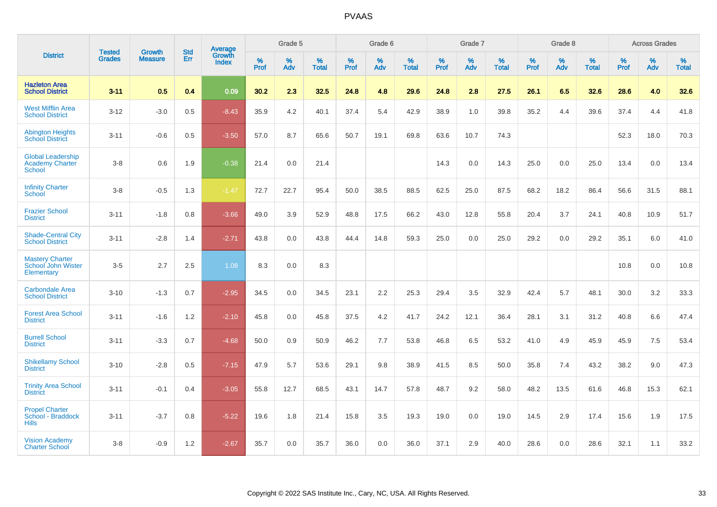|                                                                     | <b>Tested</b> | <b>Growth</b>  | <b>Std</b> | <b>Average</b>         |              | Grade 5  |                   |           | Grade 6  |                   |           | Grade 7  |                   |           | Grade 8  |                   |           | <b>Across Grades</b> |                   |
|---------------------------------------------------------------------|---------------|----------------|------------|------------------------|--------------|----------|-------------------|-----------|----------|-------------------|-----------|----------|-------------------|-----------|----------|-------------------|-----------|----------------------|-------------------|
| <b>District</b>                                                     | <b>Grades</b> | <b>Measure</b> | Err        | Growth<br><b>Index</b> | $\%$<br>Prof | %<br>Adv | %<br><b>Total</b> | %<br>Prof | %<br>Adv | %<br><b>Total</b> | %<br>Prof | %<br>Adv | %<br><b>Total</b> | %<br>Prof | %<br>Adv | %<br><b>Total</b> | %<br>Prof | %<br>Adv             | %<br><b>Total</b> |
| <b>Hazleton Area</b><br><b>School District</b>                      | $3 - 11$      | 0.5            | 0.4        | 0.09                   | 30.2         | 2.3      | 32.5              | 24.8      | 4.8      | 29.6              | 24.8      | 2.8      | 27.5              | 26.1      | 6.5      | 32.6              | 28.6      | 4.0                  | 32.6              |
| <b>West Mifflin Area</b><br><b>School District</b>                  | $3 - 12$      | $-3.0$         | 0.5        | $-8.43$                | 35.9         | 4.2      | 40.1              | 37.4      | 5.4      | 42.9              | 38.9      | 1.0      | 39.8              | 35.2      | 4.4      | 39.6              | 37.4      | 4.4                  | 41.8              |
| <b>Abington Heights</b><br><b>School District</b>                   | $3 - 11$      | $-0.6$         | 0.5        | $-3.50$                | 57.0         | 8.7      | 65.6              | 50.7      | 19.1     | 69.8              | 63.6      | 10.7     | 74.3              |           |          |                   | 52.3      | 18.0                 | 70.3              |
| <b>Global Leadership</b><br><b>Academy Charter</b><br><b>School</b> | $3 - 8$       | 0.6            | 1.9        | $-0.38$                | 21.4         | 0.0      | 21.4              |           |          |                   | 14.3      | 0.0      | 14.3              | 25.0      | 0.0      | 25.0              | 13.4      | 0.0                  | 13.4              |
| <b>Infinity Charter</b><br><b>School</b>                            | $3-8$         | $-0.5$         | 1.3        | $-1.47$                | 72.7         | 22.7     | 95.4              | 50.0      | 38.5     | 88.5              | 62.5      | 25.0     | 87.5              | 68.2      | 18.2     | 86.4              | 56.6      | 31.5                 | 88.1              |
| <b>Frazier School</b><br><b>District</b>                            | $3 - 11$      | $-1.8$         | 0.8        | $-3.66$                | 49.0         | 3.9      | 52.9              | 48.8      | 17.5     | 66.2              | 43.0      | 12.8     | 55.8              | 20.4      | 3.7      | 24.1              | 40.8      | 10.9                 | 51.7              |
| <b>Shade-Central City</b><br><b>School District</b>                 | $3 - 11$      | $-2.8$         | 1.4        | $-2.71$                | 43.8         | 0.0      | 43.8              | 44.4      | 14.8     | 59.3              | 25.0      | 0.0      | 25.0              | 29.2      | 0.0      | 29.2              | 35.1      | 6.0                  | 41.0              |
| <b>Mastery Charter</b><br>School John Wister<br>Elementary          | $3-5$         | 2.7            | 2.5        | 1.08                   | 8.3          | 0.0      | 8.3               |           |          |                   |           |          |                   |           |          |                   | 10.8      | 0.0                  | 10.8              |
| <b>Carbondale Area</b><br><b>School District</b>                    | $3 - 10$      | $-1.3$         | 0.7        | $-2.95$                | 34.5         | 0.0      | 34.5              | 23.1      | 2.2      | 25.3              | 29.4      | 3.5      | 32.9              | 42.4      | 5.7      | 48.1              | 30.0      | 3.2                  | 33.3              |
| <b>Forest Area School</b><br><b>District</b>                        | $3 - 11$      | $-1.6$         | 1.2        | $-2.10$                | 45.8         | 0.0      | 45.8              | 37.5      | 4.2      | 41.7              | 24.2      | 12.1     | 36.4              | 28.1      | 3.1      | 31.2              | 40.8      | 6.6                  | 47.4              |
| <b>Burrell School</b><br><b>District</b>                            | $3 - 11$      | $-3.3$         | 0.7        | $-4.68$                | 50.0         | 0.9      | 50.9              | 46.2      | 7.7      | 53.8              | 46.8      | 6.5      | 53.2              | 41.0      | 4.9      | 45.9              | 45.9      | 7.5                  | 53.4              |
| <b>Shikellamy School</b><br><b>District</b>                         | $3 - 10$      | $-2.8$         | 0.5        | $-7.15$                | 47.9         | 5.7      | 53.6              | 29.1      | 9.8      | 38.9              | 41.5      | 8.5      | 50.0              | 35.8      | 7.4      | 43.2              | 38.2      | 9.0                  | 47.3              |
| <b>Trinity Area School</b><br><b>District</b>                       | $3 - 11$      | $-0.1$         | 0.4        | $-3.05$                | 55.8         | 12.7     | 68.5              | 43.1      | 14.7     | 57.8              | 48.7      | 9.2      | 58.0              | 48.2      | 13.5     | 61.6              | 46.8      | 15.3                 | 62.1              |
| <b>Propel Charter</b><br>School - Braddock<br><b>Hills</b>          | $3 - 11$      | $-3.7$         | 0.8        | $-5.22$                | 19.6         | 1.8      | 21.4              | 15.8      | 3.5      | 19.3              | 19.0      | 0.0      | 19.0              | 14.5      | 2.9      | 17.4              | 15.6      | 1.9                  | 17.5              |
| <b>Vision Academy</b><br><b>Charter School</b>                      | $3 - 8$       | $-0.9$         | 1.2        | $-2.67$                | 35.7         | 0.0      | 35.7              | 36.0      | 0.0      | 36.0              | 37.1      | 2.9      | 40.0              | 28.6      | 0.0      | 28.6              | 32.1      | 1.1                  | 33.2              |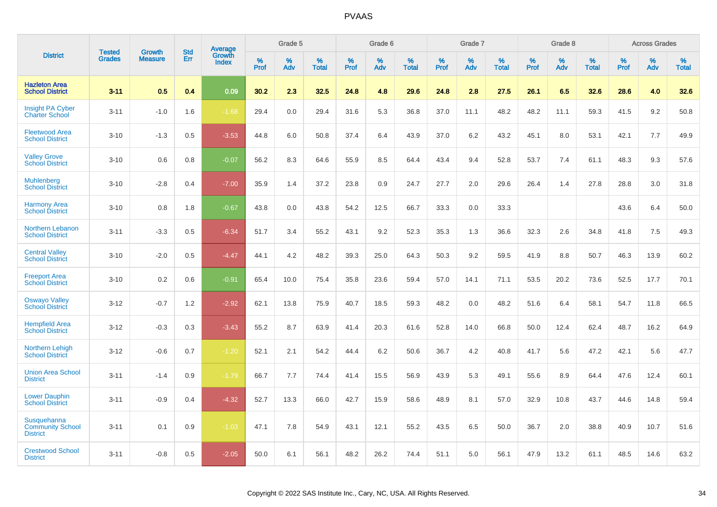|                                                           | <b>Tested</b> | <b>Growth</b>  | <b>Std</b> | Average         |              | Grade 5     |                      |                     | Grade 6     |                      |              | Grade 7     |                   |              | Grade 8     |                   |                     | <b>Across Grades</b> |                      |
|-----------------------------------------------------------|---------------|----------------|------------|-----------------|--------------|-------------|----------------------|---------------------|-------------|----------------------|--------------|-------------|-------------------|--------------|-------------|-------------------|---------------------|----------------------|----------------------|
| <b>District</b>                                           | <b>Grades</b> | <b>Measure</b> | Err        | Growth<br>Index | $\%$<br>Prof | $\%$<br>Adv | $\%$<br><b>Total</b> | $\%$<br><b>Prof</b> | $\%$<br>Adv | $\%$<br><b>Total</b> | $\%$<br>Prof | $\%$<br>Adv | %<br><b>Total</b> | $\%$<br>Prof | $\%$<br>Adv | %<br><b>Total</b> | $\%$<br><b>Prof</b> | $\%$<br>Adv          | $\%$<br><b>Total</b> |
| <b>Hazleton Area</b><br><b>School District</b>            | $3 - 11$      | 0.5            | 0.4        | 0.09            | 30.2         | 2.3         | 32.5                 | 24.8                | 4.8         | 29.6                 | 24.8         | 2.8         | 27.5              | 26.1         | 6.5         | 32.6              | 28.6                | 4.0                  | 32.6                 |
| <b>Insight PA Cyber</b><br><b>Charter School</b>          | $3 - 11$      | $-1.0$         | 1.6        | $-1.68$         | 29.4         | 0.0         | 29.4                 | 31.6                | 5.3         | 36.8                 | 37.0         | 11.1        | 48.2              | 48.2         | 11.1        | 59.3              | 41.5                | 9.2                  | 50.8                 |
| <b>Fleetwood Area</b><br><b>School District</b>           | $3 - 10$      | $-1.3$         | 0.5        | $-3.53$         | 44.8         | 6.0         | 50.8                 | 37.4                | 6.4         | 43.9                 | 37.0         | 6.2         | 43.2              | 45.1         | 8.0         | 53.1              | 42.1                | 7.7                  | 49.9                 |
| <b>Valley Grove</b><br><b>School District</b>             | $3 - 10$      | 0.6            | 0.8        | $-0.07$         | 56.2         | 8.3         | 64.6                 | 55.9                | 8.5         | 64.4                 | 43.4         | 9.4         | 52.8              | 53.7         | 7.4         | 61.1              | 48.3                | 9.3                  | 57.6                 |
| <b>Muhlenberg</b><br><b>School District</b>               | $3 - 10$      | $-2.8$         | 0.4        | $-7.00$         | 35.9         | 1.4         | 37.2                 | 23.8                | 0.9         | 24.7                 | 27.7         | 2.0         | 29.6              | 26.4         | 1.4         | 27.8              | 28.8                | 3.0                  | 31.8                 |
| <b>Harmony Area</b><br><b>School District</b>             | $3 - 10$      | 0.8            | 1.8        | $-0.67$         | 43.8         | 0.0         | 43.8                 | 54.2                | 12.5        | 66.7                 | 33.3         | 0.0         | 33.3              |              |             |                   | 43.6                | 6.4                  | 50.0                 |
| Northern Lebanon<br><b>School District</b>                | $3 - 11$      | $-3.3$         | 0.5        | $-6.34$         | 51.7         | 3.4         | 55.2                 | 43.1                | 9.2         | 52.3                 | 35.3         | 1.3         | 36.6              | 32.3         | 2.6         | 34.8              | 41.8                | 7.5                  | 49.3                 |
| <b>Central Valley</b><br><b>School District</b>           | $3 - 10$      | $-2.0$         | 0.5        | $-4.47$         | 44.1         | 4.2         | 48.2                 | 39.3                | 25.0        | 64.3                 | 50.3         | 9.2         | 59.5              | 41.9         | 8.8         | 50.7              | 46.3                | 13.9                 | 60.2                 |
| <b>Freeport Area</b><br><b>School District</b>            | $3 - 10$      | 0.2            | 0.6        | $-0.91$         | 65.4         | 10.0        | 75.4                 | 35.8                | 23.6        | 59.4                 | 57.0         | 14.1        | 71.1              | 53.5         | 20.2        | 73.6              | 52.5                | 17.7                 | 70.1                 |
| <b>Oswayo Valley</b><br><b>School District</b>            | $3 - 12$      | $-0.7$         | 1.2        | $-2.92$         | 62.1         | 13.8        | 75.9                 | 40.7                | 18.5        | 59.3                 | 48.2         | 0.0         | 48.2              | 51.6         | 6.4         | 58.1              | 54.7                | 11.8                 | 66.5                 |
| <b>Hempfield Area</b><br><b>School District</b>           | $3 - 12$      | $-0.3$         | 0.3        | $-3.43$         | 55.2         | 8.7         | 63.9                 | 41.4                | 20.3        | 61.6                 | 52.8         | 14.0        | 66.8              | 50.0         | 12.4        | 62.4              | 48.7                | 16.2                 | 64.9                 |
| Northern Lehigh<br><b>School District</b>                 | $3 - 12$      | $-0.6$         | 0.7        | $-1.20$         | 52.1         | 2.1         | 54.2                 | 44.4                | 6.2         | 50.6                 | 36.7         | 4.2         | 40.8              | 41.7         | 5.6         | 47.2              | 42.1                | 5.6                  | 47.7                 |
| <b>Union Area School</b><br><b>District</b>               | $3 - 11$      | $-1.4$         | 0.9        | $-1.79$         | 66.7         | 7.7         | 74.4                 | 41.4                | 15.5        | 56.9                 | 43.9         | 5.3         | 49.1              | 55.6         | 8.9         | 64.4              | 47.6                | 12.4                 | 60.1                 |
| <b>Lower Dauphin</b><br><b>School District</b>            | $3 - 11$      | $-0.9$         | 0.4        | $-4.32$         | 52.7         | 13.3        | 66.0                 | 42.7                | 15.9        | 58.6                 | 48.9         | 8.1         | 57.0              | 32.9         | 10.8        | 43.7              | 44.6                | 14.8                 | 59.4                 |
| Susquehanna<br><b>Community School</b><br><b>District</b> | $3 - 11$      | 0.1            | 0.9        | $-1.03$         | 47.1         | 7.8         | 54.9                 | 43.1                | 12.1        | 55.2                 | 43.5         | 6.5         | 50.0              | 36.7         | 2.0         | 38.8              | 40.9                | 10.7                 | 51.6                 |
| <b>Crestwood School</b><br><b>District</b>                | $3 - 11$      | $-0.8$         | 0.5        | $-2.05$         | 50.0         | 6.1         | 56.1                 | 48.2                | 26.2        | 74.4                 | 51.1         | 5.0         | 56.1              | 47.9         | 13.2        | 61.1              | 48.5                | 14.6                 | 63.2                 |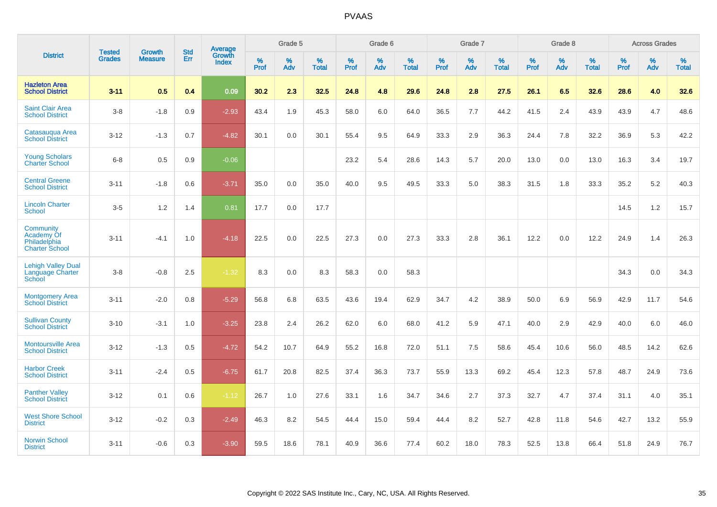|                                                                  | <b>Tested</b> | <b>Growth</b>  | <b>Std</b> | <b>Average</b>         |              | Grade 5  |                   |           | Grade 6  |                   |           | Grade 7  |                   |           | Grade 8  |                   |           | <b>Across Grades</b> |                   |
|------------------------------------------------------------------|---------------|----------------|------------|------------------------|--------------|----------|-------------------|-----------|----------|-------------------|-----------|----------|-------------------|-----------|----------|-------------------|-----------|----------------------|-------------------|
| <b>District</b>                                                  | <b>Grades</b> | <b>Measure</b> | Err        | Growth<br><b>Index</b> | $\%$<br>Prof | %<br>Adv | %<br><b>Total</b> | %<br>Prof | %<br>Adv | %<br><b>Total</b> | %<br>Prof | %<br>Adv | %<br><b>Total</b> | %<br>Prof | %<br>Adv | %<br><b>Total</b> | %<br>Prof | %<br>Adv             | %<br><b>Total</b> |
| <b>Hazleton Area</b><br><b>School District</b>                   | $3 - 11$      | 0.5            | 0.4        | 0.09                   | 30.2         | 2.3      | 32.5              | 24.8      | 4.8      | 29.6              | 24.8      | 2.8      | 27.5              | 26.1      | 6.5      | 32.6              | 28.6      | 4.0                  | 32.6              |
| <b>Saint Clair Area</b><br><b>School District</b>                | $3-8$         | $-1.8$         | 0.9        | $-2.93$                | 43.4         | 1.9      | 45.3              | 58.0      | 6.0      | 64.0              | 36.5      | 7.7      | 44.2              | 41.5      | 2.4      | 43.9              | 43.9      | 4.7                  | 48.6              |
| Catasauqua Area<br><b>School District</b>                        | $3 - 12$      | $-1.3$         | 0.7        | $-4.82$                | 30.1         | 0.0      | 30.1              | 55.4      | 9.5      | 64.9              | 33.3      | 2.9      | 36.3              | 24.4      | 7.8      | 32.2              | 36.9      | 5.3                  | 42.2              |
| <b>Young Scholars</b><br><b>Charter School</b>                   | $6 - 8$       | 0.5            | 0.9        | $-0.06$                |              |          |                   | 23.2      | 5.4      | 28.6              | 14.3      | 5.7      | 20.0              | 13.0      | 0.0      | 13.0              | 16.3      | 3.4                  | 19.7              |
| <b>Central Greene</b><br><b>School District</b>                  | $3 - 11$      | $-1.8$         | 0.6        | $-3.71$                | 35.0         | 0.0      | 35.0              | 40.0      | 9.5      | 49.5              | 33.3      | 5.0      | 38.3              | 31.5      | 1.8      | 33.3              | 35.2      | $5.2\,$              | 40.3              |
| <b>Lincoln Charter</b><br><b>School</b>                          | $3-5$         | 1.2            | 1.4        | 0.81                   | 17.7         | 0.0      | 17.7              |           |          |                   |           |          |                   |           |          |                   | 14.5      | $1.2$                | 15.7              |
| Community<br>Academy Of<br>Philadelphia<br><b>Charter School</b> | $3 - 11$      | $-4.1$         | 1.0        | $-4.18$                | 22.5         | 0.0      | 22.5              | 27.3      | 0.0      | 27.3              | 33.3      | 2.8      | 36.1              | 12.2      | 0.0      | 12.2              | 24.9      | 1.4                  | 26.3              |
| <b>Lehigh Valley Dual</b><br>Language Charter<br>School          | $3 - 8$       | $-0.8$         | 2.5        | $-1.32$                | 8.3          | 0.0      | 8.3               | 58.3      | 0.0      | 58.3              |           |          |                   |           |          |                   | 34.3      | 0.0                  | 34.3              |
| <b>Montgomery Area</b><br><b>School District</b>                 | $3 - 11$      | $-2.0$         | 0.8        | $-5.29$                | 56.8         | 6.8      | 63.5              | 43.6      | 19.4     | 62.9              | 34.7      | 4.2      | 38.9              | 50.0      | 6.9      | 56.9              | 42.9      | 11.7                 | 54.6              |
| <b>Sullivan County</b><br><b>School District</b>                 | $3 - 10$      | $-3.1$         | 1.0        | $-3.25$                | 23.8         | 2.4      | 26.2              | 62.0      | 6.0      | 68.0              | 41.2      | 5.9      | 47.1              | 40.0      | 2.9      | 42.9              | 40.0      | 6.0                  | 46.0              |
| <b>Montoursville Area</b><br><b>School District</b>              | $3 - 12$      | $-1.3$         | 0.5        | $-4.72$                | 54.2         | 10.7     | 64.9              | 55.2      | 16.8     | 72.0              | 51.1      | 7.5      | 58.6              | 45.4      | 10.6     | 56.0              | 48.5      | 14.2                 | 62.6              |
| <b>Harbor Creek</b><br><b>School District</b>                    | $3 - 11$      | $-2.4$         | 0.5        | $-6.75$                | 61.7         | 20.8     | 82.5              | 37.4      | 36.3     | 73.7              | 55.9      | 13.3     | 69.2              | 45.4      | 12.3     | 57.8              | 48.7      | 24.9                 | 73.6              |
| <b>Panther Valley</b><br><b>School District</b>                  | $3 - 12$      | 0.1            | 0.6        | $-1.12$                | 26.7         | 1.0      | 27.6              | 33.1      | 1.6      | 34.7              | 34.6      | 2.7      | 37.3              | 32.7      | 4.7      | 37.4              | 31.1      | 4.0                  | 35.1              |
| <b>West Shore School</b><br><b>District</b>                      | $3 - 12$      | $-0.2$         | 0.3        | $-2.49$                | 46.3         | 8.2      | 54.5              | 44.4      | 15.0     | 59.4              | 44.4      | 8.2      | 52.7              | 42.8      | 11.8     | 54.6              | 42.7      | 13.2                 | 55.9              |
| <b>Norwin School</b><br><b>District</b>                          | $3 - 11$      | $-0.6$         | 0.3        | $-3.90$                | 59.5         | 18.6     | 78.1              | 40.9      | 36.6     | 77.4              | 60.2      | 18.0     | 78.3              | 52.5      | 13.8     | 66.4              | 51.8      | 24.9                 | 76.7              |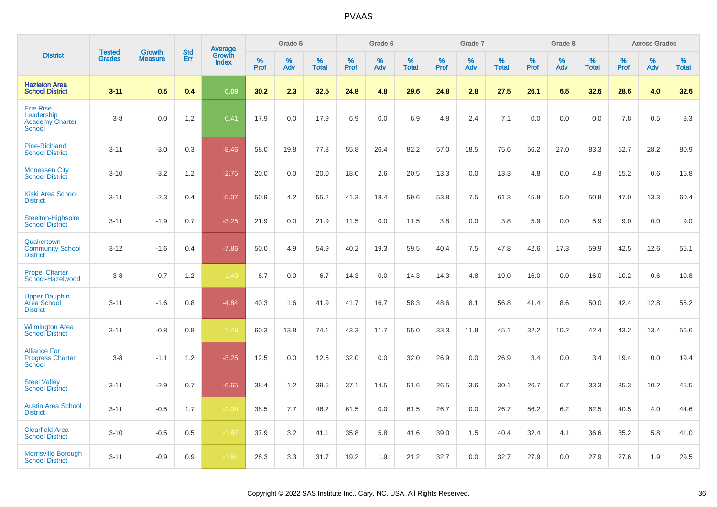|                                                                    |                                |                                 | <b>Std</b> |                                          |                     | Grade 5  |                   |                  | Grade 6  |                   |           | Grade 7  |                   |           | Grade 8  |                   |           | <b>Across Grades</b> |                   |
|--------------------------------------------------------------------|--------------------------------|---------------------------------|------------|------------------------------------------|---------------------|----------|-------------------|------------------|----------|-------------------|-----------|----------|-------------------|-----------|----------|-------------------|-----------|----------------------|-------------------|
| <b>District</b>                                                    | <b>Tested</b><br><b>Grades</b> | <b>Growth</b><br><b>Measure</b> | Err        | <b>Average</b><br>Growth<br><b>Index</b> | $\%$<br><b>Prof</b> | %<br>Adv | %<br><b>Total</b> | %<br><b>Prof</b> | %<br>Adv | %<br><b>Total</b> | %<br>Prof | %<br>Adv | %<br><b>Total</b> | %<br>Prof | %<br>Adv | %<br><b>Total</b> | %<br>Prof | %<br>Adv             | %<br><b>Total</b> |
| <b>Hazleton Area</b><br><b>School District</b>                     | $3 - 11$                       | 0.5                             | 0.4        | 0.09                                     | 30.2                | 2.3      | 32.5              | 24.8             | 4.8      | 29.6              | 24.8      | 2.8      | 27.5              | 26.1      | 6.5      | 32.6              | 28.6      | 4.0                  | 32.6              |
| <b>Erie Rise</b><br>Leadership<br><b>Academy Charter</b><br>School | $3-8$                          | 0.0                             | 1.2        | $-0.41$                                  | 17.9                | 0.0      | 17.9              | 6.9              | 0.0      | 6.9               | 4.8       | 2.4      | 7.1               | 0.0       | 0.0      | 0.0               | 7.8       | 0.5                  | 8.3               |
| <b>Pine-Richland</b><br><b>School District</b>                     | $3 - 11$                       | $-3.0$                          | 0.3        | $-8.46$                                  | 58.0                | 19.8     | 77.8              | 55.8             | 26.4     | 82.2              | 57.0      | 18.5     | 75.6              | 56.2      | 27.0     | 83.3              | 52.7      | 28.2                 | 80.9              |
| <b>Monessen City</b><br><b>School District</b>                     | $3 - 10$                       | $-3.2$                          | 1.2        | $-2.75$                                  | 20.0                | 0.0      | 20.0              | 18.0             | 2.6      | 20.5              | 13.3      | 0.0      | 13.3              | 4.8       | 0.0      | 4.8               | 15.2      | 0.6                  | 15.8              |
| <b>Kiski Area School</b><br><b>District</b>                        | $3 - 11$                       | $-2.3$                          | 0.4        | $-5.07$                                  | 50.9                | 4.2      | 55.2              | 41.3             | 18.4     | 59.6              | 53.8      | 7.5      | 61.3              | 45.8      | 5.0      | 50.8              | 47.0      | 13.3                 | 60.4              |
| Steelton-Highspire<br><b>School District</b>                       | $3 - 11$                       | $-1.9$                          | 0.7        | $-3.25$                                  | 21.9                | 0.0      | 21.9              | 11.5             | 0.0      | 11.5              | 3.8       | 0.0      | 3.8               | 5.9       | 0.0      | 5.9               | 9.0       | 0.0                  | 9.0               |
| Quakertown<br><b>Community School</b><br><b>District</b>           | $3 - 12$                       | $-1.6$                          | 0.4        | $-7.86$                                  | 50.0                | 4.9      | 54.9              | 40.2             | 19.3     | 59.5              | 40.4      | 7.5      | 47.8              | 42.6      | 17.3     | 59.9              | 42.5      | 12.6                 | 55.1              |
| <b>Propel Charter</b><br>School-Hazelwood                          | $3-8$                          | $-0.7$                          | 1.2        | $-1.40$                                  | 6.7                 | 0.0      | 6.7               | 14.3             | 0.0      | 14.3              | 14.3      | 4.8      | 19.0              | 16.0      | 0.0      | 16.0              | 10.2      | 0.6                  | 10.8              |
| <b>Upper Dauphin</b><br><b>Area School</b><br><b>District</b>      | $3 - 11$                       | $-1.6$                          | 0.8        | $-4.84$                                  | 40.3                | 1.6      | 41.9              | 41.7             | 16.7     | 58.3              | 48.6      | 8.1      | 56.8              | 41.4      | 8.6      | 50.0              | 42.4      | 12.8                 | 55.2              |
| <b>Wilmington Area</b><br><b>School District</b>                   | $3 - 11$                       | $-0.8$                          | 0.8        | $-1.48$                                  | 60.3                | 13.8     | 74.1              | 43.3             | 11.7     | 55.0              | 33.3      | 11.8     | 45.1              | 32.2      | 10.2     | 42.4              | 43.2      | 13.4                 | 56.6              |
| <b>Alliance For</b><br><b>Progress Charter</b><br>School           | $3-8$                          | $-1.1$                          | 1.2        | $-3.25$                                  | 12.5                | 0.0      | 12.5              | 32.0             | 0.0      | 32.0              | 26.9      | 0.0      | 26.9              | 3.4       | 0.0      | 3.4               | 19.4      | 0.0                  | 19.4              |
| <b>Steel Valley</b><br><b>School District</b>                      | $3 - 11$                       | $-2.9$                          | 0.7        | $-6.65$                                  | 38.4                | 1.2      | 39.5              | 37.1             | 14.5     | 51.6              | 26.5      | 3.6      | 30.1              | 26.7      | 6.7      | 33.3              | 35.3      | 10.2                 | 45.5              |
| <b>Austin Area School</b><br><b>District</b>                       | $3 - 11$                       | $-0.5$                          | 1.7        | $-1.08$                                  | 38.5                | 7.7      | 46.2              | 61.5             | 0.0      | 61.5              | 26.7      | 0.0      | 26.7              | 56.2      | 6.2      | 62.5              | 40.5      | 4.0                  | 44.6              |
| <b>Clearfield Area</b><br><b>School District</b>                   | $3 - 10$                       | $-0.5$                          | 0.5        | $-1.87$                                  | 37.9                | 3.2      | 41.1              | 35.8             | 5.8      | 41.6              | 39.0      | 1.5      | 40.4              | 32.4      | 4.1      | 36.6              | 35.2      | 5.8                  | 41.0              |
| <b>Morrisville Borough</b><br><b>School District</b>               | $3 - 11$                       | $-0.9$                          | 0.9        | $-1.54$                                  | 28.3                | 3.3      | 31.7              | 19.2             | 1.9      | 21.2              | 32.7      | 0.0      | 32.7              | 27.9      | 0.0      | 27.9              | 27.6      | 1.9                  | 29.5              |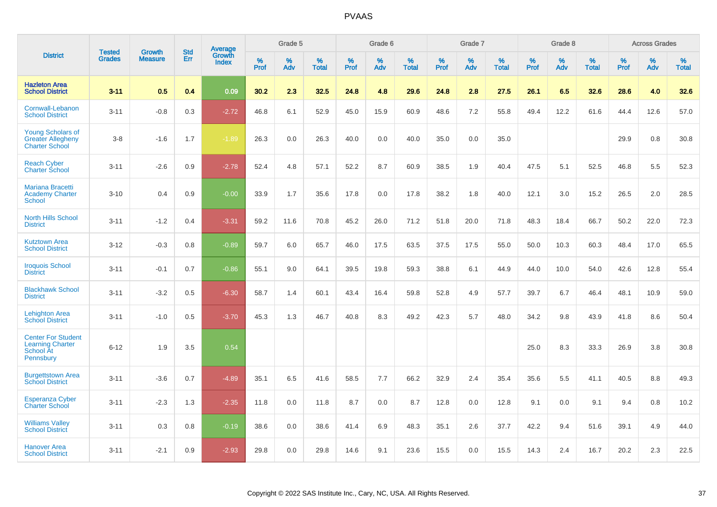|                                                                                |                                | <b>Growth</b>  | <b>Std</b> |                                   |              | Grade 5  |                   |           | Grade 6  |                   |           | Grade 7  |                   |           | Grade 8  |                   |              | <b>Across Grades</b> |                   |
|--------------------------------------------------------------------------------|--------------------------------|----------------|------------|-----------------------------------|--------------|----------|-------------------|-----------|----------|-------------------|-----------|----------|-------------------|-----------|----------|-------------------|--------------|----------------------|-------------------|
| <b>District</b>                                                                | <b>Tested</b><br><b>Grades</b> | <b>Measure</b> | <b>Err</b> | Average<br>Growth<br><b>Index</b> | $\%$<br>Prof | %<br>Adv | %<br><b>Total</b> | %<br>Prof | %<br>Adv | %<br><b>Total</b> | %<br>Prof | %<br>Adv | %<br><b>Total</b> | %<br>Prof | %<br>Adv | %<br><b>Total</b> | $\%$<br>Prof | %<br>Adv             | %<br><b>Total</b> |
| <b>Hazleton Area</b><br><b>School District</b>                                 | $3 - 11$                       | 0.5            | 0.4        | 0.09                              | 30.2         | 2.3      | 32.5              | 24.8      | 4.8      | 29.6              | 24.8      | 2.8      | 27.5              | 26.1      | 6.5      | 32.6              | 28.6         | 4.0                  | 32.6              |
| Cornwall-Lebanon<br><b>School District</b>                                     | $3 - 11$                       | $-0.8$         | 0.3        | $-2.72$                           | 46.8         | 6.1      | 52.9              | 45.0      | 15.9     | 60.9              | 48.6      | 7.2      | 55.8              | 49.4      | 12.2     | 61.6              | 44.4         | 12.6                 | 57.0              |
| <b>Young Scholars of</b><br><b>Greater Allegheny</b><br><b>Charter School</b>  | $3 - 8$                        | $-1.6$         | 1.7        | $-1.89$                           | 26.3         | 0.0      | 26.3              | 40.0      | 0.0      | 40.0              | 35.0      | 0.0      | 35.0              |           |          |                   | 29.9         | 0.8                  | 30.8              |
| <b>Reach Cyber</b><br><b>Charter School</b>                                    | $3 - 11$                       | $-2.6$         | 0.9        | $-2.78$                           | 52.4         | 4.8      | 57.1              | 52.2      | 8.7      | 60.9              | 38.5      | 1.9      | 40.4              | 47.5      | 5.1      | 52.5              | 46.8         | 5.5                  | 52.3              |
| <b>Mariana Bracetti</b><br><b>Academy Charter</b><br>School                    | $3 - 10$                       | 0.4            | 0.9        | $-0.00$                           | 33.9         | 1.7      | 35.6              | 17.8      | 0.0      | 17.8              | 38.2      | 1.8      | 40.0              | 12.1      | 3.0      | 15.2              | 26.5         | 2.0                  | 28.5              |
| <b>North Hills School</b><br><b>District</b>                                   | $3 - 11$                       | $-1.2$         | 0.4        | $-3.31$                           | 59.2         | 11.6     | 70.8              | 45.2      | 26.0     | 71.2              | 51.8      | 20.0     | 71.8              | 48.3      | 18.4     | 66.7              | 50.2         | 22.0                 | 72.3              |
| <b>Kutztown Area</b><br><b>School District</b>                                 | $3 - 12$                       | $-0.3$         | 0.8        | $-0.89$                           | 59.7         | 6.0      | 65.7              | 46.0      | 17.5     | 63.5              | 37.5      | 17.5     | 55.0              | 50.0      | 10.3     | 60.3              | 48.4         | 17.0                 | 65.5              |
| <b>Iroquois School</b><br><b>District</b>                                      | $3 - 11$                       | $-0.1$         | 0.7        | $-0.86$                           | 55.1         | 9.0      | 64.1              | 39.5      | 19.8     | 59.3              | 38.8      | 6.1      | 44.9              | 44.0      | 10.0     | 54.0              | 42.6         | 12.8                 | 55.4              |
| <b>Blackhawk School</b><br><b>District</b>                                     | $3 - 11$                       | $-3.2$         | 0.5        | $-6.30$                           | 58.7         | 1.4      | 60.1              | 43.4      | 16.4     | 59.8              | 52.8      | 4.9      | 57.7              | 39.7      | 6.7      | 46.4              | 48.1         | 10.9                 | 59.0              |
| <b>Lehighton Area</b><br><b>School District</b>                                | $3 - 11$                       | $-1.0$         | 0.5        | $-3.70$                           | 45.3         | 1.3      | 46.7              | 40.8      | 8.3      | 49.2              | 42.3      | 5.7      | 48.0              | 34.2      | 9.8      | 43.9              | 41.8         | 8.6                  | 50.4              |
| <b>Center For Student</b><br><b>Learning Charter</b><br>School At<br>Pennsbury | $6 - 12$                       | 1.9            | 3.5        | 0.54                              |              |          |                   |           |          |                   |           |          |                   | 25.0      | 8.3      | 33.3              | 26.9         | 3.8                  | 30.8              |
| <b>Burgettstown Area</b><br><b>School District</b>                             | $3 - 11$                       | $-3.6$         | 0.7        | $-4.89$                           | 35.1         | 6.5      | 41.6              | 58.5      | 7.7      | 66.2              | 32.9      | 2.4      | 35.4              | 35.6      | 5.5      | 41.1              | 40.5         | 8.8                  | 49.3              |
| <b>Esperanza Cyber</b><br><b>Charter School</b>                                | $3 - 11$                       | $-2.3$         | 1.3        | $-2.35$                           | 11.8         | 0.0      | 11.8              | 8.7       | 0.0      | 8.7               | 12.8      | 0.0      | 12.8              | 9.1       | 0.0      | 9.1               | 9.4          | 0.8                  | 10.2              |
| <b>Williams Valley</b><br><b>School District</b>                               | $3 - 11$                       | 0.3            | 0.8        | $-0.19$                           | 38.6         | 0.0      | 38.6              | 41.4      | 6.9      | 48.3              | 35.1      | 2.6      | 37.7              | 42.2      | 9.4      | 51.6              | 39.1         | 4.9                  | 44.0              |
| Hanover Area<br><b>School District</b>                                         | $3 - 11$                       | $-2.1$         | 0.9        | $-2.93$                           | 29.8         | 0.0      | 29.8              | 14.6      | 9.1      | 23.6              | 15.5      | 0.0      | 15.5              | 14.3      | 2.4      | 16.7              | 20.2         | 2.3                  | 22.5              |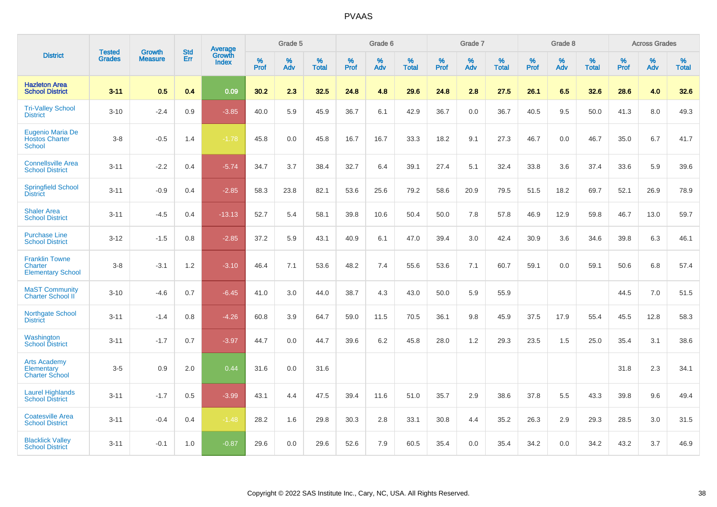|                                                              | <b>Tested</b> | <b>Growth</b>  | <b>Std</b> | Average                |              | Grade 5  |                   |           | Grade 6  |                   |           | Grade 7  |                   |           | Grade 8  |                   |           | <b>Across Grades</b> |                   |
|--------------------------------------------------------------|---------------|----------------|------------|------------------------|--------------|----------|-------------------|-----------|----------|-------------------|-----------|----------|-------------------|-----------|----------|-------------------|-----------|----------------------|-------------------|
| <b>District</b>                                              | <b>Grades</b> | <b>Measure</b> | Err        | Growth<br><b>Index</b> | $\%$<br>Prof | %<br>Adv | %<br><b>Total</b> | %<br>Prof | %<br>Adv | %<br><b>Total</b> | %<br>Prof | %<br>Adv | %<br><b>Total</b> | %<br>Prof | %<br>Adv | %<br><b>Total</b> | %<br>Prof | %<br>Adv             | %<br><b>Total</b> |
| <b>Hazleton Area</b><br><b>School District</b>               | $3 - 11$      | 0.5            | 0.4        | 0.09                   | 30.2         | 2.3      | 32.5              | 24.8      | 4.8      | 29.6              | 24.8      | 2.8      | 27.5              | 26.1      | 6.5      | 32.6              | 28.6      | 4.0                  | 32.6              |
| <b>Tri-Valley School</b><br><b>District</b>                  | $3 - 10$      | $-2.4$         | 0.9        | $-3.85$                | 40.0         | 5.9      | 45.9              | 36.7      | 6.1      | 42.9              | 36.7      | 0.0      | 36.7              | 40.5      | 9.5      | 50.0              | 41.3      | 8.0                  | 49.3              |
| Eugenio Maria De<br><b>Hostos Charter</b><br><b>School</b>   | $3-8$         | $-0.5$         | 1.4        | $-1.78$                | 45.8         | 0.0      | 45.8              | 16.7      | 16.7     | 33.3              | 18.2      | 9.1      | 27.3              | 46.7      | 0.0      | 46.7              | 35.0      | 6.7                  | 41.7              |
| <b>Connellsville Area</b><br><b>School District</b>          | $3 - 11$      | $-2.2$         | 0.4        | $-5.74$                | 34.7         | 3.7      | 38.4              | 32.7      | 6.4      | 39.1              | 27.4      | 5.1      | 32.4              | 33.8      | 3.6      | 37.4              | 33.6      | 5.9                  | 39.6              |
| <b>Springfield School</b><br><b>District</b>                 | $3 - 11$      | $-0.9$         | 0.4        | $-2.85$                | 58.3         | 23.8     | 82.1              | 53.6      | 25.6     | 79.2              | 58.6      | 20.9     | 79.5              | 51.5      | 18.2     | 69.7              | 52.1      | 26.9                 | 78.9              |
| <b>Shaler Area</b><br><b>School District</b>                 | $3 - 11$      | $-4.5$         | 0.4        | $-13.13$               | 52.7         | 5.4      | 58.1              | 39.8      | 10.6     | 50.4              | 50.0      | 7.8      | 57.8              | 46.9      | 12.9     | 59.8              | 46.7      | 13.0                 | 59.7              |
| <b>Purchase Line</b><br><b>School District</b>               | $3 - 12$      | $-1.5$         | 0.8        | $-2.85$                | 37.2         | 5.9      | 43.1              | 40.9      | 6.1      | 47.0              | 39.4      | 3.0      | 42.4              | 30.9      | 3.6      | 34.6              | 39.8      | 6.3                  | 46.1              |
| <b>Franklin Towne</b><br>Charter<br><b>Elementary School</b> | $3-8$         | $-3.1$         | 1.2        | $-3.10$                | 46.4         | 7.1      | 53.6              | 48.2      | 7.4      | 55.6              | 53.6      | 7.1      | 60.7              | 59.1      | 0.0      | 59.1              | 50.6      | 6.8                  | 57.4              |
| <b>MaST Community</b><br>Charter School II                   | $3 - 10$      | $-4.6$         | 0.7        | $-6.45$                | 41.0         | 3.0      | 44.0              | 38.7      | 4.3      | 43.0              | 50.0      | 5.9      | 55.9              |           |          |                   | 44.5      | 7.0                  | 51.5              |
| Northgate School<br><b>District</b>                          | $3 - 11$      | $-1.4$         | 0.8        | $-4.26$                | 60.8         | 3.9      | 64.7              | 59.0      | 11.5     | 70.5              | 36.1      | 9.8      | 45.9              | 37.5      | 17.9     | 55.4              | 45.5      | 12.8                 | 58.3              |
| Washington<br><b>School District</b>                         | $3 - 11$      | $-1.7$         | 0.7        | $-3.97$                | 44.7         | 0.0      | 44.7              | 39.6      | 6.2      | 45.8              | 28.0      | 1.2      | 29.3              | 23.5      | 1.5      | 25.0              | 35.4      | 3.1                  | 38.6              |
| <b>Arts Academy</b><br>Elementary<br><b>Charter School</b>   | $3-5$         | 0.9            | 2.0        | 0.44                   | 31.6         | 0.0      | 31.6              |           |          |                   |           |          |                   |           |          |                   | 31.8      | 2.3                  | 34.1              |
| <b>Laurel Highlands</b><br><b>School District</b>            | $3 - 11$      | $-1.7$         | 0.5        | $-3.99$                | 43.1         | 4.4      | 47.5              | 39.4      | 11.6     | 51.0              | 35.7      | 2.9      | 38.6              | 37.8      | 5.5      | 43.3              | 39.8      | 9.6                  | 49.4              |
| <b>Coatesville Area</b><br><b>School District</b>            | $3 - 11$      | $-0.4$         | 0.4        | $-1.48$                | 28.2         | 1.6      | 29.8              | 30.3      | 2.8      | 33.1              | 30.8      | 4.4      | 35.2              | 26.3      | 2.9      | 29.3              | 28.5      | 3.0                  | 31.5              |
| <b>Blacklick Valley</b><br><b>School District</b>            | $3 - 11$      | $-0.1$         | 1.0        | $-0.87$                | 29.6         | 0.0      | 29.6              | 52.6      | 7.9      | 60.5              | 35.4      | 0.0      | 35.4              | 34.2      | 0.0      | 34.2              | 43.2      | 3.7                  | 46.9              |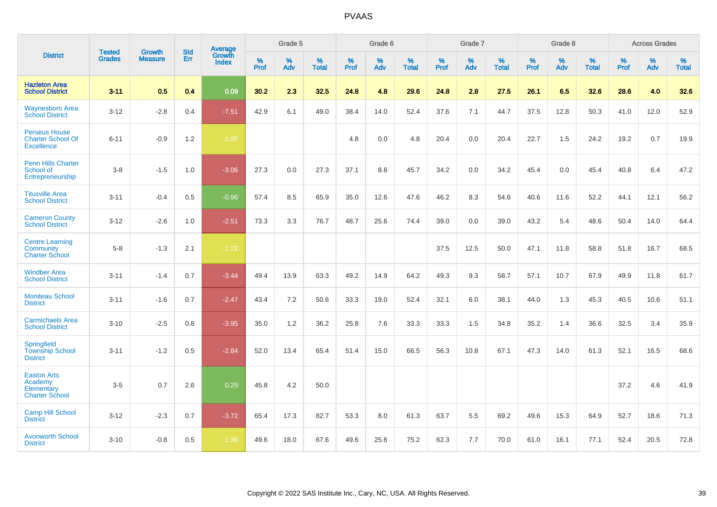|                                                                       | <b>Tested</b> | <b>Growth</b>  | <b>Std</b> | Average                |                     | Grade 5  |                   |              | Grade 6  |                   |              | Grade 7  |                   |              | Grade 8  |                   |           | <b>Across Grades</b> |                   |
|-----------------------------------------------------------------------|---------------|----------------|------------|------------------------|---------------------|----------|-------------------|--------------|----------|-------------------|--------------|----------|-------------------|--------------|----------|-------------------|-----------|----------------------|-------------------|
| <b>District</b>                                                       | <b>Grades</b> | <b>Measure</b> | Err        | Growth<br><b>Index</b> | $\%$<br><b>Prof</b> | %<br>Adv | %<br><b>Total</b> | $\%$<br>Prof | %<br>Adv | %<br><b>Total</b> | $\%$<br>Prof | %<br>Adv | %<br><b>Total</b> | $\%$<br>Prof | %<br>Adv | %<br><b>Total</b> | %<br>Prof | %<br>Adv             | %<br><b>Total</b> |
| <b>Hazleton Area</b><br><b>School District</b>                        | $3 - 11$      | 0.5            | 0.4        | 0.09                   | 30.2                | 2.3      | 32.5              | 24.8         | 4.8      | 29.6              | 24.8         | 2.8      | 27.5              | 26.1         | 6.5      | 32.6              | 28.6      | 4.0                  | 32.6              |
| <b>Waynesboro Area</b><br><b>School District</b>                      | $3 - 12$      | $-2.8$         | 0.4        | $-7.51$                | 42.9                | 6.1      | 49.0              | 38.4         | 14.0     | 52.4              | 37.6         | 7.1      | 44.7              | 37.5         | 12.8     | 50.3              | 41.0      | 12.0                 | 52.9              |
| <b>Perseus House</b><br><b>Charter School Of</b><br><b>Excellence</b> | $6 - 11$      | $-0.9$         | 1.2        | $-1.85$                |                     |          |                   | 4.8          | 0.0      | 4.8               | 20.4         | 0.0      | 20.4              | 22.7         | 1.5      | 24.2              | 19.2      | 0.7                  | 19.9              |
| <b>Penn Hills Charter</b><br>School of<br>Entrepreneurship            | $3 - 8$       | $-1.5$         | 1.0        | $-3.06$                | 27.3                | 0.0      | 27.3              | 37.1         | 8.6      | 45.7              | 34.2         | 0.0      | 34.2              | 45.4         | 0.0      | 45.4              | 40.8      | 6.4                  | 47.2              |
| <b>Titusville Area</b><br><b>School District</b>                      | $3 - 11$      | $-0.4$         | 0.5        | $-0.96$                | 57.4                | 8.5      | 65.9              | 35.0         | 12.6     | 47.6              | 46.2         | 8.3      | 54.6              | 40.6         | 11.6     | 52.2              | 44.1      | 12.1                 | 56.2              |
| <b>Cameron County</b><br><b>School District</b>                       | $3 - 12$      | $-2.6$         | 1.0        | $-2.51$                | 73.3                | 3.3      | 76.7              | 48.7         | 25.6     | 74.4              | 39.0         | 0.0      | 39.0              | 43.2         | 5.4      | 48.6              | 50.4      | 14.0                 | 64.4              |
| <b>Centre Learning</b><br>Community<br><b>Charter School</b>          | $5 - 8$       | $-1.3$         | 2.1        | $-1.22$                |                     |          |                   |              |          |                   | 37.5         | 12.5     | 50.0              | 47.1         | 11.8     | 58.8              | 51.8      | 16.7                 | 68.5              |
| <b>Windber Area</b><br><b>School District</b>                         | $3 - 11$      | $-1.4$         | 0.7        | $-3.44$                | 49.4                | 13.9     | 63.3              | 49.2         | 14.9     | 64.2              | 49.3         | 9.3      | 58.7              | 57.1         | 10.7     | 67.9              | 49.9      | 11.8                 | 61.7              |
| <b>Moniteau School</b><br><b>District</b>                             | $3 - 11$      | $-1.6$         | 0.7        | $-2.47$                | 43.4                | 7.2      | 50.6              | 33.3         | 19.0     | 52.4              | 32.1         | 6.0      | 38.1              | 44.0         | 1.3      | 45.3              | 40.5      | 10.6                 | 51.1              |
| <b>Carmichaels Area</b><br><b>School District</b>                     | $3 - 10$      | $-2.5$         | 0.8        | $-3.95$                | 35.0                | 1.2      | 36.2              | 25.8         | 7.6      | 33.3              | 33.3         | 1.5      | 34.8              | 35.2         | 1.4      | 36.6              | 32.5      | 3.4                  | 35.9              |
| <b>Springfield</b><br><b>Township School</b><br><b>District</b>       | $3 - 11$      | $-1.2$         | 0.5        | $-2.84$                | 52.0                | 13.4     | 65.4              | 51.4         | 15.0     | 66.5              | 56.3         | 10.8     | 67.1              | 47.3         | 14.0     | 61.3              | 52.1      | 16.5                 | 68.6              |
| <b>Easton Arts</b><br>Academy<br>Elementary<br><b>Charter School</b>  | $3-5$         | 0.7            | 2.6        | 0.29                   | 45.8                | 4.2      | 50.0              |              |          |                   |              |          |                   |              |          |                   | 37.2      | 4.6                  | 41.9              |
| <b>Camp Hill School</b><br><b>District</b>                            | $3 - 12$      | $-2.3$         | 0.7        | $-3.72$                | 65.4                | 17.3     | 82.7              | 53.3         | 8.0      | 61.3              | 63.7         | 5.5      | 69.2              | 49.6         | 15.3     | 64.9              | 52.7      | 18.6                 | 71.3              |
| <b>Avonworth School</b><br><b>District</b>                            | $3 - 10$      | $-0.8$         | 0.5        | $-1.38$                | 49.6                | 18.0     | 67.6              | 49.6         | 25.6     | 75.2              | 62.3         | 7.7      | 70.0              | 61.0         | 16.1     | 77.1              | 52.4      | 20.5                 | 72.8              |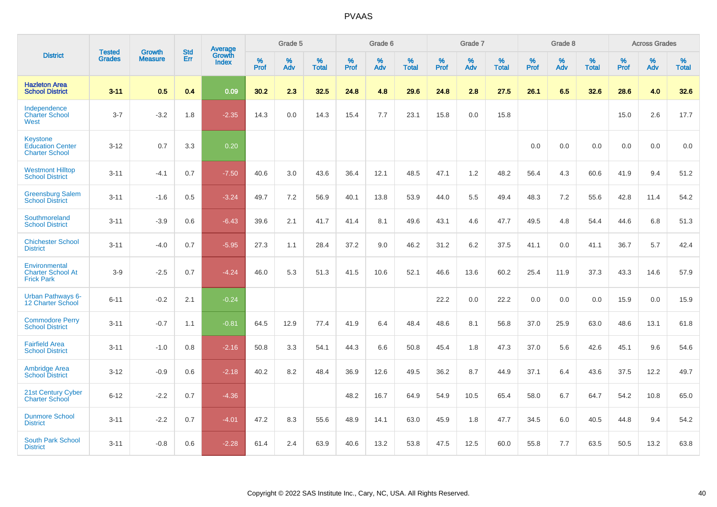|                                                                     | <b>Tested</b> | <b>Growth</b>  | <b>Std</b> | Average                       |           | Grade 5  |                   |           | Grade 6  |                   |           | Grade 7  |                   |           | Grade 8  |                   |           | <b>Across Grades</b> |                   |
|---------------------------------------------------------------------|---------------|----------------|------------|-------------------------------|-----------|----------|-------------------|-----------|----------|-------------------|-----------|----------|-------------------|-----------|----------|-------------------|-----------|----------------------|-------------------|
| <b>District</b>                                                     | <b>Grades</b> | <b>Measure</b> | Err        | <b>Growth</b><br><b>Index</b> | %<br>Prof | %<br>Adv | %<br><b>Total</b> | %<br>Prof | %<br>Adv | %<br><b>Total</b> | %<br>Prof | %<br>Adv | %<br><b>Total</b> | %<br>Prof | %<br>Adv | %<br><b>Total</b> | %<br>Prof | %<br>Adv             | %<br><b>Total</b> |
| <b>Hazleton Area</b><br><b>School District</b>                      | $3 - 11$      | 0.5            | 0.4        | 0.09                          | 30.2      | 2.3      | 32.5              | 24.8      | 4.8      | 29.6              | 24.8      | 2.8      | 27.5              | 26.1      | 6.5      | 32.6              | 28.6      | 4.0                  | 32.6              |
| Independence<br><b>Charter School</b><br>West                       | $3 - 7$       | $-3.2$         | 1.8        | $-2.35$                       | 14.3      | 0.0      | 14.3              | 15.4      | 7.7      | 23.1              | 15.8      | 0.0      | 15.8              |           |          |                   | 15.0      | 2.6                  | 17.7              |
| <b>Keystone</b><br><b>Education Center</b><br><b>Charter School</b> | $3 - 12$      | 0.7            | 3.3        | 0.20                          |           |          |                   |           |          |                   |           |          |                   | 0.0       | 0.0      | 0.0               | 0.0       | $0.0\,$              | 0.0               |
| <b>Westmont Hilltop</b><br><b>School District</b>                   | $3 - 11$      | $-4.1$         | 0.7        | $-7.50$                       | 40.6      | 3.0      | 43.6              | 36.4      | 12.1     | 48.5              | 47.1      | 1.2      | 48.2              | 56.4      | 4.3      | 60.6              | 41.9      | 9.4                  | 51.2              |
| <b>Greensburg Salem</b><br><b>School District</b>                   | $3 - 11$      | $-1.6$         | 0.5        | $-3.24$                       | 49.7      | 7.2      | 56.9              | 40.1      | 13.8     | 53.9              | 44.0      | 5.5      | 49.4              | 48.3      | 7.2      | 55.6              | 42.8      | 11.4                 | 54.2              |
| Southmoreland<br><b>School District</b>                             | $3 - 11$      | $-3.9$         | 0.6        | $-6.43$                       | 39.6      | 2.1      | 41.7              | 41.4      | 8.1      | 49.6              | 43.1      | 4.6      | 47.7              | 49.5      | 4.8      | 54.4              | 44.6      | 6.8                  | 51.3              |
| <b>Chichester School</b><br><b>District</b>                         | $3 - 11$      | $-4.0$         | 0.7        | $-5.95$                       | 27.3      | 1.1      | 28.4              | 37.2      | 9.0      | 46.2              | 31.2      | 6.2      | 37.5              | 41.1      | 0.0      | 41.1              | 36.7      | 5.7                  | 42.4              |
| Environmental<br><b>Charter School At</b><br><b>Frick Park</b>      | $3-9$         | $-2.5$         | 0.7        | $-4.24$                       | 46.0      | 5.3      | 51.3              | 41.5      | 10.6     | 52.1              | 46.6      | 13.6     | 60.2              | 25.4      | 11.9     | 37.3              | 43.3      | 14.6                 | 57.9              |
| <b>Urban Pathways 6-</b><br><b>12 Charter School</b>                | $6 - 11$      | $-0.2$         | 2.1        | $-0.24$                       |           |          |                   |           |          |                   | 22.2      | 0.0      | 22.2              | 0.0       | 0.0      | 0.0               | 15.9      | 0.0                  | 15.9              |
| <b>Commodore Perry</b><br><b>School District</b>                    | $3 - 11$      | $-0.7$         | 1.1        | $-0.81$                       | 64.5      | 12.9     | 77.4              | 41.9      | 6.4      | 48.4              | 48.6      | 8.1      | 56.8              | 37.0      | 25.9     | 63.0              | 48.6      | 13.1                 | 61.8              |
| <b>Fairfield Area</b><br><b>School District</b>                     | $3 - 11$      | $-1.0$         | 0.8        | $-2.16$                       | 50.8      | 3.3      | 54.1              | 44.3      | 6.6      | 50.8              | 45.4      | 1.8      | 47.3              | 37.0      | 5.6      | 42.6              | 45.1      | 9.6                  | 54.6              |
| <b>Ambridge Area</b><br><b>School District</b>                      | $3 - 12$      | $-0.9$         | 0.6        | $-2.18$                       | 40.2      | 8.2      | 48.4              | 36.9      | 12.6     | 49.5              | 36.2      | 8.7      | 44.9              | 37.1      | 6.4      | 43.6              | 37.5      | 12.2                 | 49.7              |
| 21st Century Cyber<br><b>Charter School</b>                         | $6 - 12$      | $-2.2$         | 0.7        | $-4.36$                       |           |          |                   | 48.2      | 16.7     | 64.9              | 54.9      | 10.5     | 65.4              | 58.0      | 6.7      | 64.7              | 54.2      | 10.8                 | 65.0              |
| <b>Dunmore School</b><br><b>District</b>                            | $3 - 11$      | $-2.2$         | 0.7        | $-4.01$                       | 47.2      | 8.3      | 55.6              | 48.9      | 14.1     | 63.0              | 45.9      | 1.8      | 47.7              | 34.5      | 6.0      | 40.5              | 44.8      | 9.4                  | 54.2              |
| <b>South Park School</b><br><b>District</b>                         | $3 - 11$      | $-0.8$         | 0.6        | $-2.28$                       | 61.4      | 2.4      | 63.9              | 40.6      | 13.2     | 53.8              | 47.5      | 12.5     | 60.0              | 55.8      | 7.7      | 63.5              | 50.5      | 13.2                 | 63.8              |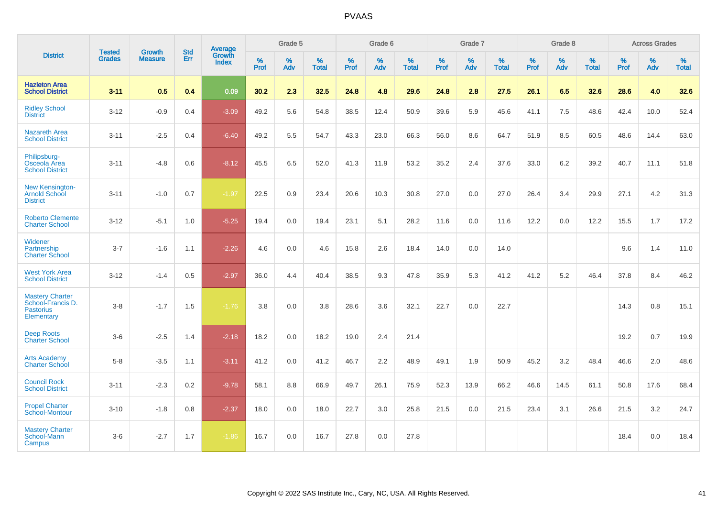|                                                                               |                                |                          | <b>Std</b> | <b>Average</b>         |              | Grade 5  |                   |           | Grade 6  |                   |           | Grade 7  |                   |           | Grade 8  |                   |           | <b>Across Grades</b> |                   |
|-------------------------------------------------------------------------------|--------------------------------|--------------------------|------------|------------------------|--------------|----------|-------------------|-----------|----------|-------------------|-----------|----------|-------------------|-----------|----------|-------------------|-----------|----------------------|-------------------|
| <b>District</b>                                                               | <b>Tested</b><br><b>Grades</b> | Growth<br><b>Measure</b> | Err        | <b>Growth</b><br>Index | $\%$<br>Prof | %<br>Adv | %<br><b>Total</b> | %<br>Prof | %<br>Adv | %<br><b>Total</b> | %<br>Prof | %<br>Adv | %<br><b>Total</b> | %<br>Prof | %<br>Adv | %<br><b>Total</b> | %<br>Prof | %<br>Adv             | %<br><b>Total</b> |
| <b>Hazleton Area</b><br><b>School District</b>                                | $3 - 11$                       | 0.5                      | 0.4        | 0.09                   | 30.2         | 2.3      | 32.5              | 24.8      | 4.8      | 29.6              | 24.8      | 2.8      | 27.5              | 26.1      | 6.5      | 32.6              | 28.6      | 4.0                  | 32.6              |
| <b>Ridley School</b><br><b>District</b>                                       | $3 - 12$                       | $-0.9$                   | 0.4        | $-3.09$                | 49.2         | 5.6      | 54.8              | 38.5      | 12.4     | 50.9              | 39.6      | 5.9      | 45.6              | 41.1      | 7.5      | 48.6              | 42.4      | 10.0                 | 52.4              |
| <b>Nazareth Area</b><br><b>School District</b>                                | $3 - 11$                       | $-2.5$                   | 0.4        | $-6.40$                | 49.2         | 5.5      | 54.7              | 43.3      | 23.0     | 66.3              | 56.0      | 8.6      | 64.7              | 51.9      | 8.5      | 60.5              | 48.6      | 14.4                 | 63.0              |
| Philipsburg-<br>Osceola Area<br><b>School District</b>                        | $3 - 11$                       | $-4.8$                   | 0.6        | $-8.12$                | 45.5         | 6.5      | 52.0              | 41.3      | 11.9     | 53.2              | 35.2      | 2.4      | 37.6              | 33.0      | 6.2      | 39.2              | 40.7      | 11.1                 | 51.8              |
| <b>New Kensington-</b><br><b>Arnold School</b><br><b>District</b>             | $3 - 11$                       | $-1.0$                   | 0.7        | $-1.97$                | 22.5         | 0.9      | 23.4              | 20.6      | 10.3     | 30.8              | 27.0      | 0.0      | 27.0              | 26.4      | 3.4      | 29.9              | 27.1      | 4.2                  | 31.3              |
| <b>Roberto Clemente</b><br><b>Charter School</b>                              | $3 - 12$                       | $-5.1$                   | 1.0        | $-5.25$                | 19.4         | 0.0      | 19.4              | 23.1      | 5.1      | 28.2              | 11.6      | 0.0      | 11.6              | 12.2      | 0.0      | 12.2              | 15.5      | 1.7                  | 17.2              |
| Widener<br>Partnership<br><b>Charter School</b>                               | $3 - 7$                        | $-1.6$                   | 1.1        | $-2.26$                | 4.6          | 0.0      | 4.6               | 15.8      | 2.6      | 18.4              | 14.0      | 0.0      | 14.0              |           |          |                   | 9.6       | 1.4                  | 11.0              |
| <b>West York Area</b><br><b>School District</b>                               | $3-12$                         | $-1.4$                   | 0.5        | $-2.97$                | 36.0         | 4.4      | 40.4              | 38.5      | 9.3      | 47.8              | 35.9      | 5.3      | 41.2              | 41.2      | 5.2      | 46.4              | 37.8      | 8.4                  | 46.2              |
| <b>Mastery Charter</b><br>School-Francis D.<br><b>Pastorius</b><br>Elementary | $3 - 8$                        | $-1.7$                   | 1.5        | $-1.76$                | 3.8          | 0.0      | 3.8               | 28.6      | 3.6      | 32.1              | 22.7      | 0.0      | 22.7              |           |          |                   | 14.3      | 0.8                  | 15.1              |
| <b>Deep Roots</b><br><b>Charter School</b>                                    | $3-6$                          | $-2.5$                   | 1.4        | $-2.18$                | 18.2         | 0.0      | 18.2              | 19.0      | 2.4      | 21.4              |           |          |                   |           |          |                   | 19.2      | 0.7                  | 19.9              |
| <b>Arts Academy</b><br><b>Charter School</b>                                  | $5 - 8$                        | $-3.5$                   | 1.1        | $-3.11$                | 41.2         | 0.0      | 41.2              | 46.7      | 2.2      | 48.9              | 49.1      | 1.9      | 50.9              | 45.2      | 3.2      | 48.4              | 46.6      | 2.0                  | 48.6              |
| <b>Council Rock</b><br><b>School District</b>                                 | $3 - 11$                       | $-2.3$                   | 0.2        | $-9.78$                | 58.1         | 8.8      | 66.9              | 49.7      | 26.1     | 75.9              | 52.3      | 13.9     | 66.2              | 46.6      | 14.5     | 61.1              | 50.8      | 17.6                 | 68.4              |
| <b>Propel Charter</b><br>School-Montour                                       | $3 - 10$                       | $-1.8$                   | 0.8        | $-2.37$                | 18.0         | 0.0      | 18.0              | 22.7      | 3.0      | 25.8              | 21.5      | 0.0      | 21.5              | 23.4      | 3.1      | 26.6              | 21.5      | 3.2                  | 24.7              |
| <b>Mastery Charter</b><br>School-Mann<br>Campus                               | $3-6$                          | $-2.7$                   | 1.7        | $-1.86$                | 16.7         | 0.0      | 16.7              | 27.8      | 0.0      | 27.8              |           |          |                   |           |          |                   | 18.4      | 0.0                  | 18.4              |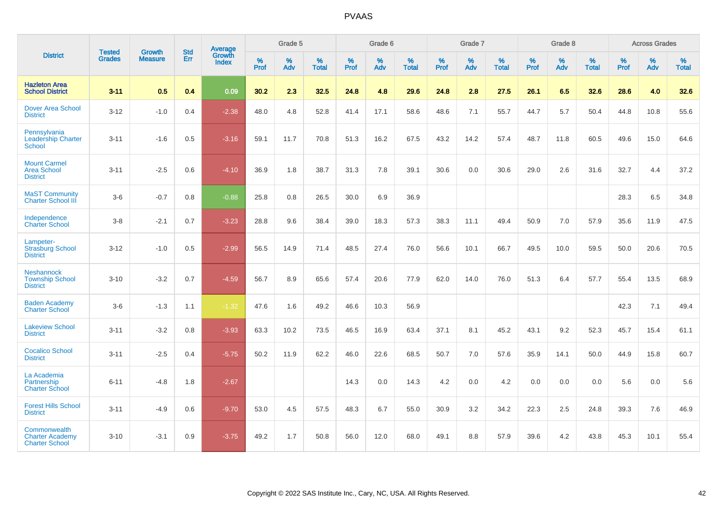|                                                                 |                                |                                 | <b>Std</b> | Average                |              | Grade 5  |                   |              | Grade 6  |                   |              | Grade 7  |                   |                     | Grade 8  |                   |              | <b>Across Grades</b> |                   |
|-----------------------------------------------------------------|--------------------------------|---------------------------------|------------|------------------------|--------------|----------|-------------------|--------------|----------|-------------------|--------------|----------|-------------------|---------------------|----------|-------------------|--------------|----------------------|-------------------|
| <b>District</b>                                                 | <b>Tested</b><br><b>Grades</b> | <b>Growth</b><br><b>Measure</b> | Err        | Growth<br><b>Index</b> | $\%$<br>Prof | %<br>Adv | %<br><b>Total</b> | $\%$<br>Prof | %<br>Adv | %<br><b>Total</b> | $\%$<br>Prof | %<br>Adv | %<br><b>Total</b> | $\%$<br><b>Prof</b> | %<br>Adv | %<br><b>Total</b> | $\%$<br>Prof | %<br>Adv             | %<br><b>Total</b> |
| <b>Hazleton Area</b><br><b>School District</b>                  | $3 - 11$                       | 0.5                             | 0.4        | 0.09                   | 30.2         | 2.3      | 32.5              | 24.8         | 4.8      | 29.6              | 24.8         | 2.8      | 27.5              | 26.1                | 6.5      | 32.6              | 28.6         | 4.0                  | 32.6              |
| <b>Dover Area School</b><br><b>District</b>                     | $3 - 12$                       | $-1.0$                          | 0.4        | $-2.38$                | 48.0         | 4.8      | 52.8              | 41.4         | 17.1     | 58.6              | 48.6         | 7.1      | 55.7              | 44.7                | 5.7      | 50.4              | 44.8         | 10.8                 | 55.6              |
| Pennsylvania<br><b>Leadership Charter</b><br><b>School</b>      | $3 - 11$                       | $-1.6$                          | 0.5        | $-3.16$                | 59.1         | 11.7     | 70.8              | 51.3         | 16.2     | 67.5              | 43.2         | 14.2     | 57.4              | 48.7                | 11.8     | 60.5              | 49.6         | 15.0                 | 64.6              |
| <b>Mount Carmel</b><br><b>Area School</b><br><b>District</b>    | $3 - 11$                       | $-2.5$                          | 0.6        | $-4.10$                | 36.9         | 1.8      | 38.7              | 31.3         | 7.8      | 39.1              | 30.6         | 0.0      | 30.6              | 29.0                | 2.6      | 31.6              | 32.7         | 4.4                  | 37.2              |
| <b>MaST Community</b><br><b>Charter School III</b>              | $3-6$                          | $-0.7$                          | 0.8        | $-0.88$                | 25.8         | 0.8      | 26.5              | 30.0         | 6.9      | 36.9              |              |          |                   |                     |          |                   | 28.3         | 6.5                  | 34.8              |
| Independence<br><b>Charter School</b>                           | $3 - 8$                        | $-2.1$                          | 0.7        | $-3.23$                | 28.8         | 9.6      | 38.4              | 39.0         | 18.3     | 57.3              | 38.3         | 11.1     | 49.4              | 50.9                | 7.0      | 57.9              | 35.6         | 11.9                 | 47.5              |
| Lampeter-<br><b>Strasburg School</b><br><b>District</b>         | $3 - 12$                       | $-1.0$                          | 0.5        | $-2.99$                | 56.5         | 14.9     | 71.4              | 48.5         | 27.4     | 76.0              | 56.6         | 10.1     | 66.7              | 49.5                | 10.0     | 59.5              | 50.0         | 20.6                 | 70.5              |
| <b>Neshannock</b><br><b>Township School</b><br><b>District</b>  | $3 - 10$                       | $-3.2$                          | 0.7        | $-4.59$                | 56.7         | 8.9      | 65.6              | 57.4         | 20.6     | 77.9              | 62.0         | 14.0     | 76.0              | 51.3                | 6.4      | 57.7              | 55.4         | 13.5                 | 68.9              |
| <b>Baden Academy</b><br><b>Charter School</b>                   | $3-6$                          | $-1.3$                          | 1.1        | $-1.32$                | 47.6         | 1.6      | 49.2              | 46.6         | 10.3     | 56.9              |              |          |                   |                     |          |                   | 42.3         | 7.1                  | 49.4              |
| <b>Lakeview School</b><br><b>District</b>                       | $3 - 11$                       | $-3.2$                          | 0.8        | $-3.93$                | 63.3         | 10.2     | 73.5              | 46.5         | 16.9     | 63.4              | 37.1         | 8.1      | 45.2              | 43.1                | 9.2      | 52.3              | 45.7         | 15.4                 | 61.1              |
| <b>Cocalico School</b><br><b>District</b>                       | $3 - 11$                       | $-2.5$                          | 0.4        | $-5.75$                | 50.2         | 11.9     | 62.2              | 46.0         | 22.6     | 68.5              | 50.7         | 7.0      | 57.6              | 35.9                | 14.1     | 50.0              | 44.9         | 15.8                 | 60.7              |
| La Academia<br>Partnership<br><b>Charter School</b>             | $6 - 11$                       | -4.8                            | 1.8        | $-2.67$                |              |          |                   | 14.3         | 0.0      | 14.3              | 4.2          | 0.0      | 4.2               | 0.0                 | 0.0      | 0.0               | 5.6          | 0.0                  | 5.6               |
| <b>Forest Hills School</b><br><b>District</b>                   | $3 - 11$                       | $-4.9$                          | 0.6        | $-9.70$                | 53.0         | 4.5      | 57.5              | 48.3         | 6.7      | 55.0              | 30.9         | 3.2      | 34.2              | 22.3                | 2.5      | 24.8              | 39.3         | 7.6                  | 46.9              |
| Commonwealth<br><b>Charter Academy</b><br><b>Charter School</b> | $3 - 10$                       | $-3.1$                          | 0.9        | $-3.75$                | 49.2         | 1.7      | 50.8              | 56.0         | 12.0     | 68.0              | 49.1         | 8.8      | 57.9              | 39.6                | 4.2      | 43.8              | 45.3         | 10.1                 | 55.4              |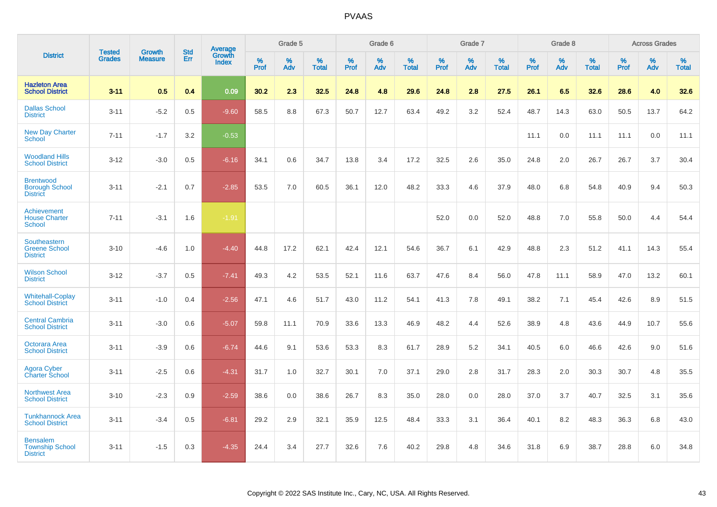|                                                              |                                |                                 | <b>Std</b> | <b>Average</b>         |           | Grade 5  |                   |           | Grade 6  |                   |           | Grade 7  |                   |           | Grade 8  |                   |           | <b>Across Grades</b> |                   |
|--------------------------------------------------------------|--------------------------------|---------------------------------|------------|------------------------|-----------|----------|-------------------|-----------|----------|-------------------|-----------|----------|-------------------|-----------|----------|-------------------|-----------|----------------------|-------------------|
| <b>District</b>                                              | <b>Tested</b><br><b>Grades</b> | <b>Growth</b><br><b>Measure</b> | Err        | Growth<br><b>Index</b> | %<br>Prof | %<br>Adv | %<br><b>Total</b> | %<br>Prof | %<br>Adv | %<br><b>Total</b> | %<br>Prof | %<br>Adv | %<br><b>Total</b> | %<br>Prof | %<br>Adv | %<br><b>Total</b> | %<br>Prof | %<br>Adv             | %<br><b>Total</b> |
| <b>Hazleton Area</b><br><b>School District</b>               | $3 - 11$                       | 0.5                             | 0.4        | 0.09                   | 30.2      | 2.3      | 32.5              | 24.8      | 4.8      | 29.6              | 24.8      | 2.8      | 27.5              | 26.1      | 6.5      | 32.6              | 28.6      | 4.0                  | 32.6              |
| <b>Dallas School</b><br><b>District</b>                      | $3 - 11$                       | $-5.2$                          | 0.5        | $-9.60$                | 58.5      | 8.8      | 67.3              | 50.7      | 12.7     | 63.4              | 49.2      | 3.2      | 52.4              | 48.7      | 14.3     | 63.0              | 50.5      | 13.7                 | 64.2              |
| <b>New Day Charter</b><br><b>School</b>                      | $7 - 11$                       | $-1.7$                          | 3.2        | $-0.53$                |           |          |                   |           |          |                   |           |          |                   | 11.1      | 0.0      | 11.1              | 11.1      | 0.0                  | 11.1              |
| <b>Woodland Hills</b><br><b>School District</b>              | $3 - 12$                       | $-3.0$                          | 0.5        | $-6.16$                | 34.1      | 0.6      | 34.7              | 13.8      | 3.4      | 17.2              | 32.5      | 2.6      | 35.0              | 24.8      | 2.0      | 26.7              | 26.7      | 3.7                  | 30.4              |
| <b>Brentwood</b><br><b>Borough School</b><br><b>District</b> | $3 - 11$                       | $-2.1$                          | 0.7        | $-2.85$                | 53.5      | 7.0      | 60.5              | 36.1      | 12.0     | 48.2              | 33.3      | 4.6      | 37.9              | 48.0      | 6.8      | 54.8              | 40.9      | 9.4                  | 50.3              |
| Achievement<br><b>House Charter</b><br><b>School</b>         | $7 - 11$                       | $-3.1$                          | 1.6        | $-1.91$                |           |          |                   |           |          |                   | 52.0      | 0.0      | 52.0              | 48.8      | 7.0      | 55.8              | 50.0      | 4.4                  | 54.4              |
| Southeastern<br><b>Greene School</b><br><b>District</b>      | $3 - 10$                       | $-4.6$                          | 1.0        | $-4.40$                | 44.8      | 17.2     | 62.1              | 42.4      | 12.1     | 54.6              | 36.7      | 6.1      | 42.9              | 48.8      | 2.3      | 51.2              | 41.1      | 14.3                 | 55.4              |
| <b>Wilson School</b><br><b>District</b>                      | $3 - 12$                       | $-3.7$                          | 0.5        | $-7.41$                | 49.3      | 4.2      | 53.5              | 52.1      | 11.6     | 63.7              | 47.6      | 8.4      | 56.0              | 47.8      | 11.1     | 58.9              | 47.0      | 13.2                 | 60.1              |
| <b>Whitehall-Coplay</b><br><b>School District</b>            | $3 - 11$                       | $-1.0$                          | 0.4        | $-2.56$                | 47.1      | 4.6      | 51.7              | 43.0      | 11.2     | 54.1              | 41.3      | 7.8      | 49.1              | 38.2      | 7.1      | 45.4              | 42.6      | 8.9                  | 51.5              |
| <b>Central Cambria</b><br><b>School District</b>             | $3 - 11$                       | $-3.0$                          | 0.6        | $-5.07$                | 59.8      | 11.1     | 70.9              | 33.6      | 13.3     | 46.9              | 48.2      | 4.4      | 52.6              | 38.9      | 4.8      | 43.6              | 44.9      | 10.7                 | 55.6              |
| Octorara Area<br><b>School District</b>                      | $3 - 11$                       | $-3.9$                          | 0.6        | $-6.74$                | 44.6      | 9.1      | 53.6              | 53.3      | 8.3      | 61.7              | 28.9      | 5.2      | 34.1              | 40.5      | 6.0      | 46.6              | 42.6      | 9.0                  | 51.6              |
| Agora Cyber<br><b>Charter School</b>                         | $3 - 11$                       | $-2.5$                          | 0.6        | $-4.31$                | 31.7      | 1.0      | 32.7              | 30.1      | 7.0      | 37.1              | 29.0      | 2.8      | 31.7              | 28.3      | 2.0      | 30.3              | 30.7      | 4.8                  | 35.5              |
| <b>Northwest Area</b><br><b>School District</b>              | $3 - 10$                       | $-2.3$                          | 0.9        | $-2.59$                | 38.6      | 0.0      | 38.6              | 26.7      | 8.3      | 35.0              | 28.0      | 0.0      | 28.0              | 37.0      | 3.7      | 40.7              | 32.5      | 3.1                  | 35.6              |
| <b>Tunkhannock Area</b><br><b>School District</b>            | $3 - 11$                       | $-3.4$                          | 0.5        | $-6.81$                | 29.2      | 2.9      | 32.1              | 35.9      | 12.5     | 48.4              | 33.3      | 3.1      | 36.4              | 40.1      | 8.2      | 48.3              | 36.3      | 6.8                  | 43.0              |
| <b>Bensalem</b><br><b>Township School</b><br><b>District</b> | $3 - 11$                       | $-1.5$                          | 0.3        | $-4.35$                | 24.4      | 3.4      | 27.7              | 32.6      | 7.6      | 40.2              | 29.8      | 4.8      | 34.6              | 31.8      | 6.9      | 38.7              | 28.8      | 6.0                  | 34.8              |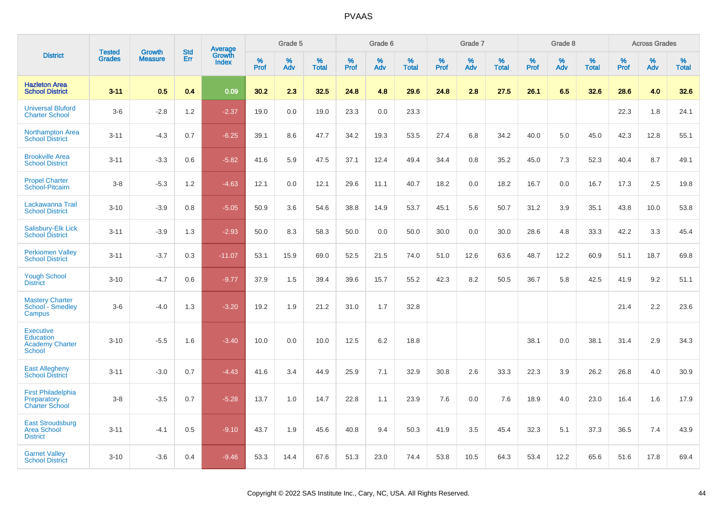|                                                                          | <b>Tested</b> | <b>Growth</b>  | <b>Std</b> | Average         |           | Grade 5  |                   |           | Grade 6  |                   |           | Grade 7  |                   |           | Grade 8  |                   |           | <b>Across Grades</b> |                   |
|--------------------------------------------------------------------------|---------------|----------------|------------|-----------------|-----------|----------|-------------------|-----------|----------|-------------------|-----------|----------|-------------------|-----------|----------|-------------------|-----------|----------------------|-------------------|
| <b>District</b>                                                          | <b>Grades</b> | <b>Measure</b> | Err        | Growth<br>Index | %<br>Prof | %<br>Adv | %<br><b>Total</b> | %<br>Prof | %<br>Adv | %<br><b>Total</b> | %<br>Prof | %<br>Adv | %<br><b>Total</b> | %<br>Prof | %<br>Adv | %<br><b>Total</b> | %<br>Prof | %<br>Adv             | %<br><b>Total</b> |
| <b>Hazleton Area</b><br><b>School District</b>                           | $3 - 11$      | 0.5            | 0.4        | 0.09            | 30.2      | 2.3      | 32.5              | 24.8      | 4.8      | 29.6              | 24.8      | 2.8      | 27.5              | 26.1      | 6.5      | 32.6              | 28.6      | 4.0                  | 32.6              |
| <b>Universal Bluford</b><br><b>Charter School</b>                        | $3-6$         | $-2.8$         | 1.2        | $-2.37$         | 19.0      | 0.0      | 19.0              | 23.3      | 0.0      | 23.3              |           |          |                   |           |          |                   | 22.3      | 1.8                  | 24.1              |
| <b>Northampton Area</b><br><b>School District</b>                        | $3 - 11$      | $-4.3$         | 0.7        | $-6.25$         | 39.1      | 8.6      | 47.7              | 34.2      | 19.3     | 53.5              | 27.4      | 6.8      | 34.2              | 40.0      | 5.0      | 45.0              | 42.3      | 12.8                 | 55.1              |
| <b>Brookville Area</b><br><b>School District</b>                         | $3 - 11$      | $-3.3$         | 0.6        | $-5.82$         | 41.6      | 5.9      | 47.5              | 37.1      | 12.4     | 49.4              | 34.4      | 0.8      | 35.2              | 45.0      | 7.3      | 52.3              | 40.4      | 8.7                  | 49.1              |
| <b>Propel Charter</b><br>School-Pitcairn                                 | $3 - 8$       | $-5.3$         | 1.2        | $-4.63$         | 12.1      | 0.0      | 12.1              | 29.6      | 11.1     | 40.7              | 18.2      | 0.0      | 18.2              | 16.7      | 0.0      | 16.7              | 17.3      | 2.5                  | 19.8              |
| Lackawanna Trail<br><b>School District</b>                               | $3 - 10$      | $-3.9$         | 0.8        | $-5.05$         | 50.9      | 3.6      | 54.6              | 38.8      | 14.9     | 53.7              | 45.1      | 5.6      | 50.7              | 31.2      | 3.9      | 35.1              | 43.8      | 10.0                 | 53.8              |
| Salisbury-Elk Lick<br><b>School District</b>                             | $3 - 11$      | $-3.9$         | 1.3        | $-2.93$         | 50.0      | 8.3      | 58.3              | 50.0      | 0.0      | 50.0              | 30.0      | 0.0      | 30.0              | 28.6      | 4.8      | 33.3              | 42.2      | 3.3                  | 45.4              |
| <b>Perkiomen Valley</b><br><b>School District</b>                        | $3 - 11$      | $-3.7$         | 0.3        | $-11.07$        | 53.1      | 15.9     | 69.0              | 52.5      | 21.5     | 74.0              | 51.0      | 12.6     | 63.6              | 48.7      | 12.2     | 60.9              | 51.1      | 18.7                 | 69.8              |
| <b>Yough School</b><br><b>District</b>                                   | $3 - 10$      | $-4.7$         | 0.6        | $-9.77$         | 37.9      | 1.5      | 39.4              | 39.6      | 15.7     | 55.2              | 42.3      | 8.2      | 50.5              | 36.7      | 5.8      | 42.5              | 41.9      | 9.2                  | 51.1              |
| <b>Mastery Charter</b><br>School - Smedley<br>Campus                     | $3-6$         | $-4.0$         | 1.3        | $-3.20$         | 19.2      | 1.9      | 21.2              | 31.0      | 1.7      | 32.8              |           |          |                   |           |          |                   | 21.4      | 2.2                  | 23.6              |
| <b>Executive</b><br>Education<br><b>Academy Charter</b><br><b>School</b> | $3 - 10$      | $-5.5$         | 1.6        | $-3.40$         | 10.0      | 0.0      | 10.0              | 12.5      | 6.2      | 18.8              |           |          |                   | 38.1      | 0.0      | 38.1              | 31.4      | 2.9                  | 34.3              |
| <b>East Allegheny</b><br><b>School District</b>                          | $3 - 11$      | $-3.0$         | 0.7        | $-4.43$         | 41.6      | 3.4      | 44.9              | 25.9      | 7.1      | 32.9              | 30.8      | 2.6      | 33.3              | 22.3      | 3.9      | 26.2              | 26.8      | 4.0                  | 30.9              |
| <b>First Philadelphia</b><br>Preparatory<br><b>Charter School</b>        | $3-8$         | $-3.5$         | 0.7        | $-5.28$         | 13.7      | 1.0      | 14.7              | 22.8      | 1.1      | 23.9              | 7.6       | 0.0      | 7.6               | 18.9      | 4.0      | 23.0              | 16.4      | 1.6                  | 17.9              |
| <b>East Stroudsburg</b><br><b>Area School</b><br><b>District</b>         | $3 - 11$      | $-4.1$         | 0.5        | $-9.10$         | 43.7      | 1.9      | 45.6              | 40.8      | 9.4      | 50.3              | 41.9      | 3.5      | 45.4              | 32.3      | 5.1      | 37.3              | 36.5      | 7.4                  | 43.9              |
| <b>Garnet Valley</b><br><b>School District</b>                           | $3 - 10$      | $-3.6$         | 0.4        | $-9.46$         | 53.3      | 14.4     | 67.6              | 51.3      | 23.0     | 74.4              | 53.8      | 10.5     | 64.3              | 53.4      | 12.2     | 65.6              | 51.6      | 17.8                 | 69.4              |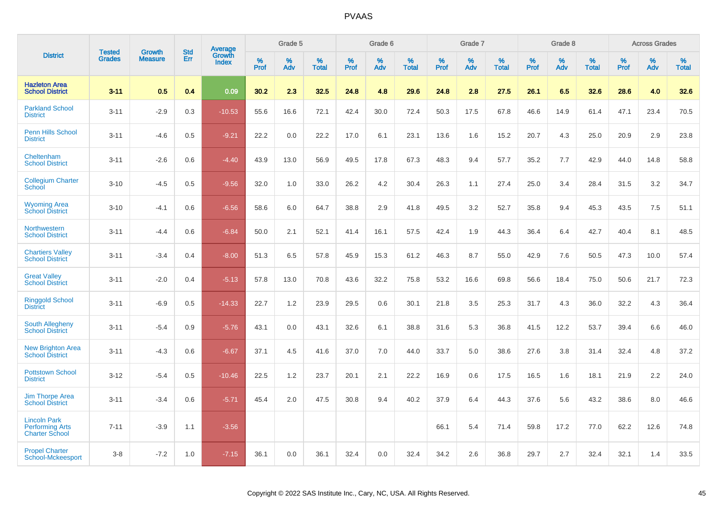|                                                                        | <b>Tested</b> | <b>Growth</b>  | <b>Std</b> | <b>Average</b><br>Growth |              | Grade 5  |                      |              | Grade 6     |                      |              | Grade 7  |                      |              | Grade 8     |                      |              | <b>Across Grades</b> |                      |
|------------------------------------------------------------------------|---------------|----------------|------------|--------------------------|--------------|----------|----------------------|--------------|-------------|----------------------|--------------|----------|----------------------|--------------|-------------|----------------------|--------------|----------------------|----------------------|
| <b>District</b>                                                        | <b>Grades</b> | <b>Measure</b> | Err        | <b>Index</b>             | $\%$<br>Prof | %<br>Adv | $\%$<br><b>Total</b> | $\%$<br>Prof | $\%$<br>Adv | $\%$<br><b>Total</b> | $\%$<br>Prof | %<br>Adv | $\%$<br><b>Total</b> | $\%$<br>Prof | $\%$<br>Adv | $\%$<br><b>Total</b> | $\%$<br>Prof | $\%$<br>Adv          | $\%$<br><b>Total</b> |
| <b>Hazleton Area</b><br><b>School District</b>                         | $3 - 11$      | 0.5            | 0.4        | 0.09                     | 30.2         | 2.3      | 32.5                 | 24.8         | 4.8         | 29.6                 | 24.8         | 2.8      | 27.5                 | 26.1         | 6.5         | 32.6                 | 28.6         | 4.0                  | 32.6                 |
| <b>Parkland School</b><br><b>District</b>                              | $3 - 11$      | $-2.9$         | 0.3        | $-10.53$                 | 55.6         | 16.6     | 72.1                 | 42.4         | 30.0        | 72.4                 | 50.3         | 17.5     | 67.8                 | 46.6         | 14.9        | 61.4                 | 47.1         | 23.4                 | 70.5                 |
| <b>Penn Hills School</b><br><b>District</b>                            | $3 - 11$      | $-4.6$         | 0.5        | $-9.21$                  | 22.2         | 0.0      | 22.2                 | 17.0         | 6.1         | 23.1                 | 13.6         | 1.6      | 15.2                 | 20.7         | 4.3         | 25.0                 | 20.9         | 2.9                  | 23.8                 |
| Cheltenham<br><b>School District</b>                                   | $3 - 11$      | $-2.6$         | 0.6        | $-4.40$                  | 43.9         | 13.0     | 56.9                 | 49.5         | 17.8        | 67.3                 | 48.3         | 9.4      | 57.7                 | 35.2         | 7.7         | 42.9                 | 44.0         | 14.8                 | 58.8                 |
| <b>Collegium Charter</b><br>School                                     | $3 - 10$      | $-4.5$         | 0.5        | $-9.56$                  | 32.0         | 1.0      | 33.0                 | 26.2         | 4.2         | 30.4                 | 26.3         | 1.1      | 27.4                 | 25.0         | 3.4         | 28.4                 | 31.5         | 3.2                  | 34.7                 |
| <b>Wyoming Area</b><br><b>School District</b>                          | $3 - 10$      | $-4.1$         | 0.6        | $-6.56$                  | 58.6         | 6.0      | 64.7                 | 38.8         | 2.9         | 41.8                 | 49.5         | 3.2      | 52.7                 | 35.8         | 9.4         | 45.3                 | 43.5         | 7.5                  | 51.1                 |
| Northwestern<br><b>School District</b>                                 | $3 - 11$      | $-4.4$         | 0.6        | $-6.84$                  | 50.0         | 2.1      | 52.1                 | 41.4         | 16.1        | 57.5                 | 42.4         | 1.9      | 44.3                 | 36.4         | 6.4         | 42.7                 | 40.4         | 8.1                  | 48.5                 |
| <b>Chartiers Valley</b><br><b>School District</b>                      | $3 - 11$      | $-3.4$         | 0.4        | $-8.00$                  | 51.3         | 6.5      | 57.8                 | 45.9         | 15.3        | 61.2                 | 46.3         | 8.7      | 55.0                 | 42.9         | 7.6         | 50.5                 | 47.3         | 10.0                 | 57.4                 |
| <b>Great Valley</b><br><b>School District</b>                          | $3 - 11$      | $-2.0$         | 0.4        | $-5.13$                  | 57.8         | 13.0     | 70.8                 | 43.6         | 32.2        | 75.8                 | 53.2         | 16.6     | 69.8                 | 56.6         | 18.4        | 75.0                 | 50.6         | 21.7                 | 72.3                 |
| <b>Ringgold School</b><br><b>District</b>                              | $3 - 11$      | $-6.9$         | 0.5        | $-14.33$                 | 22.7         | 1.2      | 23.9                 | 29.5         | 0.6         | 30.1                 | 21.8         | 3.5      | 25.3                 | 31.7         | 4.3         | 36.0                 | 32.2         | 4.3                  | 36.4                 |
| South Allegheny<br><b>School District</b>                              | $3 - 11$      | $-5.4$         | 0.9        | $-5.76$                  | 43.1         | 0.0      | 43.1                 | 32.6         | 6.1         | 38.8                 | 31.6         | 5.3      | 36.8                 | 41.5         | 12.2        | 53.7                 | 39.4         | 6.6                  | 46.0                 |
| <b>New Brighton Area</b><br><b>School District</b>                     | $3 - 11$      | $-4.3$         | 0.6        | $-6.67$                  | 37.1         | 4.5      | 41.6                 | 37.0         | 7.0         | 44.0                 | 33.7         | 5.0      | 38.6                 | 27.6         | 3.8         | 31.4                 | 32.4         | 4.8                  | 37.2                 |
| <b>Pottstown School</b><br><b>District</b>                             | $3 - 12$      | $-5.4$         | 0.5        | $-10.46$                 | 22.5         | 1.2      | 23.7                 | 20.1         | 2.1         | 22.2                 | 16.9         | 0.6      | 17.5                 | 16.5         | 1.6         | 18.1                 | 21.9         | 2.2                  | 24.0                 |
| <b>Jim Thorpe Area</b><br><b>School District</b>                       | $3 - 11$      | $-3.4$         | 0.6        | $-5.71$                  | 45.4         | 2.0      | 47.5                 | 30.8         | 9.4         | 40.2                 | 37.9         | 6.4      | 44.3                 | 37.6         | 5.6         | 43.2                 | 38.6         | 8.0                  | 46.6                 |
| <b>Lincoln Park</b><br><b>Performing Arts</b><br><b>Charter School</b> | $7 - 11$      | $-3.9$         | 1.1        | $-3.56$                  |              |          |                      |              |             |                      | 66.1         | 5.4      | 71.4                 | 59.8         | 17.2        | 77.0                 | 62.2         | 12.6                 | 74.8                 |
| <b>Propel Charter</b><br>School-Mckeesport                             | $3 - 8$       | $-7.2$         | 1.0        | $-7.15$                  | 36.1         | 0.0      | 36.1                 | 32.4         | 0.0         | 32.4                 | 34.2         | 2.6      | 36.8                 | 29.7         | 2.7         | 32.4                 | 32.1         | 1.4                  | 33.5                 |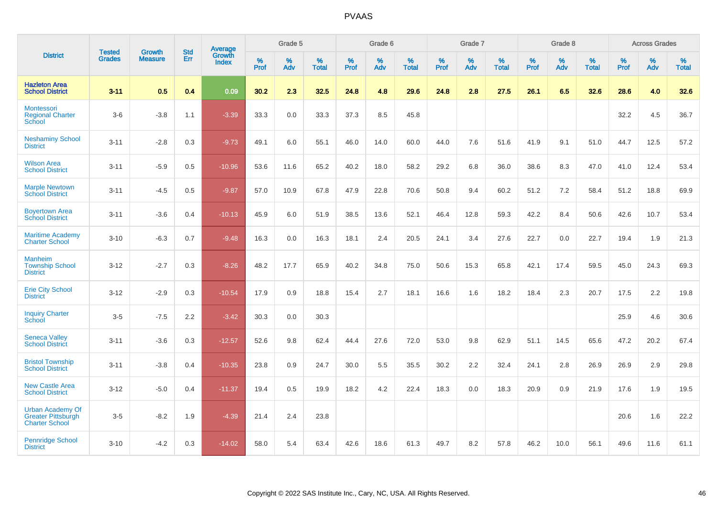|                                                                               |                                |                                 | <b>Std</b> | Average         |           | Grade 5  |                   |           | Grade 6  |                   |           | Grade 7  |                   |           | Grade 8  |                   |           | <b>Across Grades</b> |                   |
|-------------------------------------------------------------------------------|--------------------------------|---------------------------------|------------|-----------------|-----------|----------|-------------------|-----------|----------|-------------------|-----------|----------|-------------------|-----------|----------|-------------------|-----------|----------------------|-------------------|
| <b>District</b>                                                               | <b>Tested</b><br><b>Grades</b> | <b>Growth</b><br><b>Measure</b> | Err        | Growth<br>Index | %<br>Prof | %<br>Adv | %<br><b>Total</b> | %<br>Prof | %<br>Adv | %<br><b>Total</b> | %<br>Prof | %<br>Adv | %<br><b>Total</b> | %<br>Prof | %<br>Adv | %<br><b>Total</b> | %<br>Prof | %<br>Adv             | %<br><b>Total</b> |
| <b>Hazleton Area</b><br><b>School District</b>                                | $3 - 11$                       | 0.5                             | 0.4        | 0.09            | 30.2      | 2.3      | 32.5              | 24.8      | 4.8      | 29.6              | 24.8      | 2.8      | 27.5              | 26.1      | 6.5      | 32.6              | 28.6      | 4.0                  | 32.6              |
| <b>Montessori</b><br><b>Regional Charter</b><br>School                        | $3-6$                          | $-3.8$                          | 1.1        | $-3.39$         | 33.3      | 0.0      | 33.3              | 37.3      | 8.5      | 45.8              |           |          |                   |           |          |                   | 32.2      | 4.5                  | 36.7              |
| <b>Neshaminy School</b><br><b>District</b>                                    | $3 - 11$                       | $-2.8$                          | 0.3        | $-9.73$         | 49.1      | 6.0      | 55.1              | 46.0      | 14.0     | 60.0              | 44.0      | 7.6      | 51.6              | 41.9      | 9.1      | 51.0              | 44.7      | 12.5                 | 57.2              |
| <b>Wilson Area</b><br><b>School District</b>                                  | $3 - 11$                       | $-5.9$                          | 0.5        | $-10.96$        | 53.6      | 11.6     | 65.2              | 40.2      | 18.0     | 58.2              | 29.2      | 6.8      | 36.0              | 38.6      | 8.3      | 47.0              | 41.0      | 12.4                 | 53.4              |
| <b>Marple Newtown</b><br><b>School District</b>                               | $3 - 11$                       | $-4.5$                          | 0.5        | $-9.87$         | 57.0      | 10.9     | 67.8              | 47.9      | 22.8     | 70.6              | 50.8      | 9.4      | 60.2              | 51.2      | 7.2      | 58.4              | 51.2      | 18.8                 | 69.9              |
| <b>Boyertown Area</b><br><b>School District</b>                               | $3 - 11$                       | $-3.6$                          | 0.4        | $-10.13$        | 45.9      | 6.0      | 51.9              | 38.5      | 13.6     | 52.1              | 46.4      | 12.8     | 59.3              | 42.2      | 8.4      | 50.6              | 42.6      | 10.7                 | 53.4              |
| <b>Maritime Academy</b><br><b>Charter School</b>                              | $3 - 10$                       | $-6.3$                          | 0.7        | $-9.48$         | 16.3      | 0.0      | 16.3              | 18.1      | 2.4      | 20.5              | 24.1      | 3.4      | 27.6              | 22.7      | 0.0      | 22.7              | 19.4      | 1.9                  | 21.3              |
| <b>Manheim</b><br><b>Township School</b><br><b>District</b>                   | $3 - 12$                       | $-2.7$                          | 0.3        | $-8.26$         | 48.2      | 17.7     | 65.9              | 40.2      | 34.8     | 75.0              | 50.6      | 15.3     | 65.8              | 42.1      | 17.4     | 59.5              | 45.0      | 24.3                 | 69.3              |
| <b>Erie City School</b><br><b>District</b>                                    | $3 - 12$                       | $-2.9$                          | 0.3        | $-10.54$        | 17.9      | 0.9      | 18.8              | 15.4      | 2.7      | 18.1              | 16.6      | 1.6      | 18.2              | 18.4      | 2.3      | 20.7              | 17.5      | 2.2                  | 19.8              |
| <b>Inquiry Charter</b><br>School                                              | $3-5$                          | $-7.5$                          | 2.2        | $-3.42$         | 30.3      | 0.0      | 30.3              |           |          |                   |           |          |                   |           |          |                   | 25.9      | 4.6                  | 30.6              |
| <b>Seneca Valley</b><br><b>School District</b>                                | $3 - 11$                       | $-3.6$                          | 0.3        | $-12.57$        | 52.6      | 9.8      | 62.4              | 44.4      | 27.6     | 72.0              | 53.0      | 9.8      | 62.9              | 51.1      | 14.5     | 65.6              | 47.2      | 20.2                 | 67.4              |
| <b>Bristol Township</b><br><b>School District</b>                             | $3 - 11$                       | $-3.8$                          | 0.4        | $-10.35$        | 23.8      | 0.9      | 24.7              | 30.0      | 5.5      | 35.5              | 30.2      | 2.2      | 32.4              | 24.1      | 2.8      | 26.9              | 26.9      | 2.9                  | 29.8              |
| <b>New Castle Area</b><br><b>School District</b>                              | $3 - 12$                       | $-5.0$                          | 0.4        | $-11.37$        | 19.4      | 0.5      | 19.9              | 18.2      | 4.2      | 22.4              | 18.3      | 0.0      | 18.3              | 20.9      | 0.9      | 21.9              | 17.6      | 1.9                  | 19.5              |
| <b>Urban Academy Of</b><br><b>Greater Pittsburgh</b><br><b>Charter School</b> | $3-5$                          | $-8.2$                          | 1.9        | $-4.39$         | 21.4      | 2.4      | 23.8              |           |          |                   |           |          |                   |           |          |                   | 20.6      | 1.6                  | 22.2              |
| <b>Pennridge School</b><br><b>District</b>                                    | $3 - 10$                       | $-4.2$                          | 0.3        | $-14.02$        | 58.0      | 5.4      | 63.4              | 42.6      | 18.6     | 61.3              | 49.7      | 8.2      | 57.8              | 46.2      | 10.0     | 56.1              | 49.6      | 11.6                 | 61.1              |